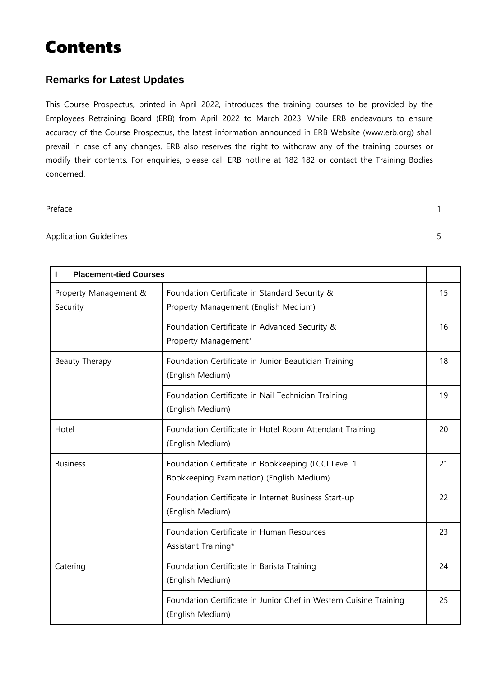# Contents

#### **Remarks for Latest Updates**

This Course Prospectus, printed in April 2022, introduces the training courses to be provided by the Employees Retraining Board (ERB) from April 2022 to March 2023. While ERB endeavours to ensure accuracy of the Course Prospectus, the latest information announced in ERB Website (www.erb.org) shall prevail in case of any changes. ERB also reserves the right to withdraw any of the training courses or modify their contents. For enquiries, please call ERB hotline at 182 182 or contact the Training Bodies concerned.

#### Preface 1

#### Application Guidelines 5

| <b>Placement-tied Courses</b>     |                                                                                                  |    |
|-----------------------------------|--------------------------------------------------------------------------------------------------|----|
| Property Management &<br>Security | Foundation Certificate in Standard Security &<br>Property Management (English Medium)            |    |
|                                   | Foundation Certificate in Advanced Security &<br>Property Management*                            | 16 |
| Beauty Therapy                    | Foundation Certificate in Junior Beautician Training<br>(English Medium)                         | 18 |
|                                   | Foundation Certificate in Nail Technician Training<br>(English Medium)                           | 19 |
| Hotel                             | Foundation Certificate in Hotel Room Attendant Training<br>(English Medium)                      | 20 |
| <b>Business</b>                   | Foundation Certificate in Bookkeeping (LCCI Level 1<br>Bookkeeping Examination) (English Medium) | 21 |
|                                   | Foundation Certificate in Internet Business Start-up<br>(English Medium)                         | 22 |
|                                   | Foundation Certificate in Human Resources<br>Assistant Training*                                 | 23 |
| Catering                          | Foundation Certificate in Barista Training<br>(English Medium)                                   | 24 |
|                                   | Foundation Certificate in Junior Chef in Western Cuisine Training<br>(English Medium)            | 25 |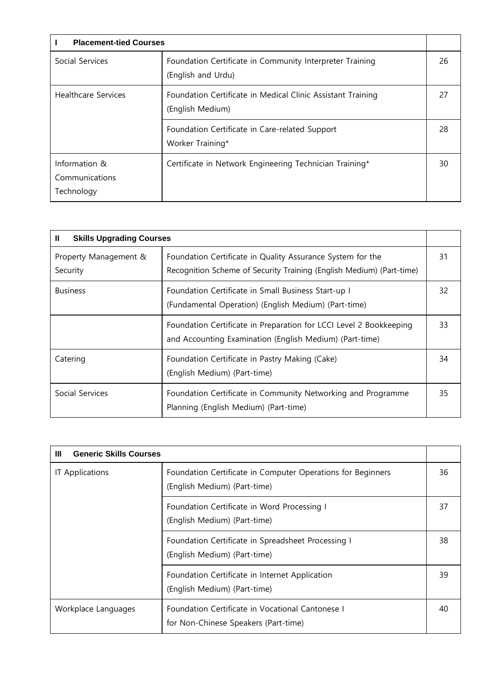| <b>Placement-tied Courses</b>                 |                                                                                 |    |
|-----------------------------------------------|---------------------------------------------------------------------------------|----|
| Social Services                               | Foundation Certificate in Community Interpreter Training<br>(English and Urdu)  |    |
| <b>Healthcare Services</b>                    | Foundation Certificate in Medical Clinic Assistant Training<br>(English Medium) |    |
|                                               | Foundation Certificate in Care-related Support<br>Worker Training*              | 28 |
| Information &<br>Communications<br>Technology | Certificate in Network Engineering Technician Training*                         | 30 |

| Ш<br><b>Skills Upgrading Courses</b>                                                                                          |                                                                                                                                    |    |  |
|-------------------------------------------------------------------------------------------------------------------------------|------------------------------------------------------------------------------------------------------------------------------------|----|--|
| Property Management &<br>Security                                                                                             | Foundation Certificate in Quality Assurance System for the<br>Recognition Scheme of Security Training (English Medium) (Part-time) |    |  |
| <b>Business</b>                                                                                                               | Foundation Certificate in Small Business Start-up I<br>(Fundamental Operation) (English Medium) (Part-time)                        | 32 |  |
| Foundation Certificate in Preparation for LCCI Level 2 Bookkeeping<br>and Accounting Examination (English Medium) (Part-time) |                                                                                                                                    | 33 |  |
| Catering                                                                                                                      | Foundation Certificate in Pastry Making (Cake)<br>(English Medium) (Part-time)                                                     | 34 |  |
| Social Services                                                                                                               | Foundation Certificate in Community Networking and Programme<br>Planning (English Medium) (Part-time)                              | 35 |  |

| <b>Generic Skills Courses</b><br>Ш |                                                                                             |    |
|------------------------------------|---------------------------------------------------------------------------------------------|----|
| IT Applications                    | Foundation Certificate in Computer Operations for Beginners<br>(English Medium) (Part-time) | 36 |
|                                    | Foundation Certificate in Word Processing I<br>(English Medium) (Part-time)                 | 37 |
|                                    | Foundation Certificate in Spreadsheet Processing I<br>(English Medium) (Part-time)          | 38 |
|                                    | Foundation Certificate in Internet Application<br>(English Medium) (Part-time)              | 39 |
| Workplace Languages                | Foundation Certificate in Vocational Cantonese I<br>for Non-Chinese Speakers (Part-time)    | 40 |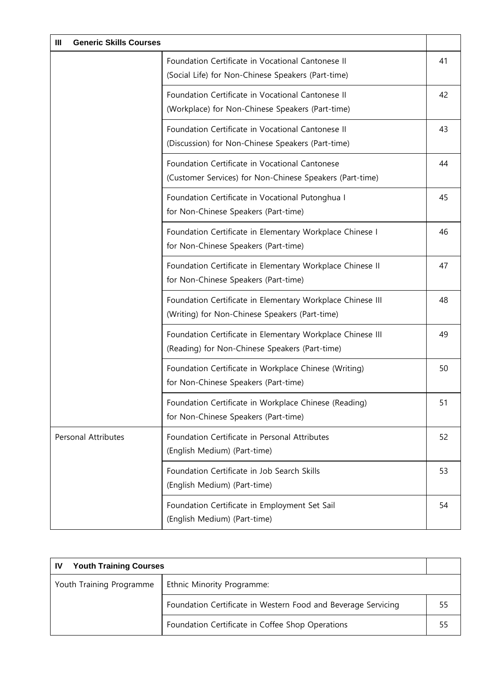| <b>Generic Skills Courses</b><br>Ш |                                                                                                              |    |
|------------------------------------|--------------------------------------------------------------------------------------------------------------|----|
|                                    | Foundation Certificate in Vocational Cantonese II<br>(Social Life) for Non-Chinese Speakers (Part-time)      | 41 |
|                                    | Foundation Certificate in Vocational Cantonese II<br>(Workplace) for Non-Chinese Speakers (Part-time)        | 42 |
|                                    | Foundation Certificate in Vocational Cantonese II<br>(Discussion) for Non-Chinese Speakers (Part-time)       | 43 |
|                                    | Foundation Certificate in Vocational Cantonese<br>(Customer Services) for Non-Chinese Speakers (Part-time)   | 44 |
|                                    | Foundation Certificate in Vocational Putonghua I<br>for Non-Chinese Speakers (Part-time)                     | 45 |
|                                    | Foundation Certificate in Elementary Workplace Chinese I<br>for Non-Chinese Speakers (Part-time)             | 46 |
|                                    | Foundation Certificate in Elementary Workplace Chinese II<br>for Non-Chinese Speakers (Part-time)            | 47 |
|                                    | Foundation Certificate in Elementary Workplace Chinese III<br>(Writing) for Non-Chinese Speakers (Part-time) | 48 |
|                                    | Foundation Certificate in Elementary Workplace Chinese III<br>(Reading) for Non-Chinese Speakers (Part-time) | 49 |
|                                    | Foundation Certificate in Workplace Chinese (Writing)<br>for Non-Chinese Speakers (Part-time)                | 50 |
|                                    | Foundation Certificate in Workplace Chinese (Reading)<br>for Non-Chinese Speakers (Part-time)                | 51 |
| <b>Personal Attributes</b>         | Foundation Certificate in Personal Attributes<br>(English Medium) (Part-time)                                | 52 |
|                                    | Foundation Certificate in Job Search Skills<br>(English Medium) (Part-time)                                  | 53 |
|                                    | Foundation Certificate in Employment Set Sail<br>(English Medium) (Part-time)                                | 54 |

| <b>Youth Training Courses</b><br>.IV |                                                               |    |
|--------------------------------------|---------------------------------------------------------------|----|
| Youth Training Programme             | Ethnic Minority Programme:                                    |    |
|                                      | Foundation Certificate in Western Food and Beverage Servicing | 55 |
|                                      | Foundation Certificate in Coffee Shop Operations              | 55 |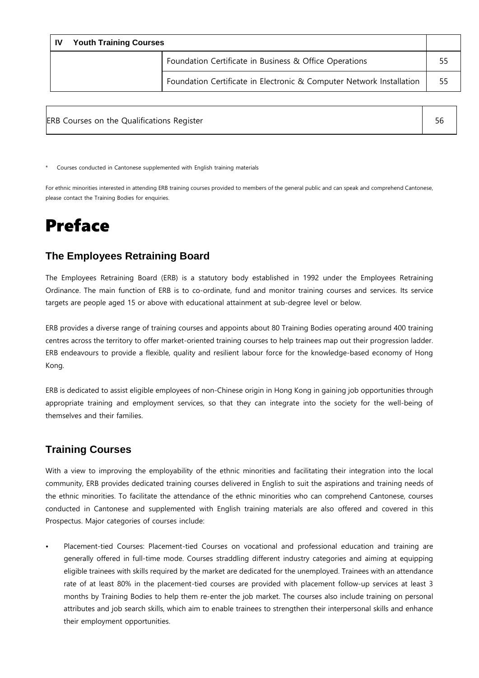| .IV | <b>Youth Training Courses</b> |                                                                      |    |
|-----|-------------------------------|----------------------------------------------------------------------|----|
|     |                               | Foundation Certificate in Business & Office Operations               | 55 |
|     |                               | Foundation Certificate in Electronic & Computer Network Installation | 55 |

| ERB Courses on the Qualifications Register |  |
|--------------------------------------------|--|
|                                            |  |

\* Courses conducted in Cantonese supplemented with English training materials

For ethnic minorities interested in attending ERB training courses provided to members of the general public and can speak and comprehend Cantonese, please contact the Training Bodies for enquiries.

# Preface

#### **The Employees Retraining Board**

The Employees Retraining Board (ERB) is a statutory body established in 1992 under the Employees Retraining Ordinance. The main function of ERB is to co-ordinate, fund and monitor training courses and services. Its service targets are people aged 15 or above with educational attainment at sub-degree level or below.

ERB provides a diverse range of training courses and appoints about 80 Training Bodies operating around 400 training centres across the territory to offer market-oriented training courses to help trainees map out their progression ladder. ERB endeavours to provide a flexible, quality and resilient labour force for the knowledge-based economy of Hong Kong.

ERB is dedicated to assist eligible employees of non-Chinese origin in Hong Kong in gaining job opportunities through appropriate training and employment services, so that they can integrate into the society for the well-being of themselves and their families.

#### **Training Courses**

With a view to improving the employability of the ethnic minorities and facilitating their integration into the local community, ERB provides dedicated training courses delivered in English to suit the aspirations and training needs of the ethnic minorities. To facilitate the attendance of the ethnic minorities who can comprehend Cantonese, courses conducted in Cantonese and supplemented with English training materials are also offered and covered in this Prospectus. Major categories of courses include:

• Placement-tied Courses: Placement-tied Courses on vocational and professional education and training are generally offered in full-time mode. Courses straddling different industry categories and aiming at equipping eligible trainees with skills required by the market are dedicated for the unemployed. Trainees with an attendance rate of at least 80% in the placement-tied courses are provided with placement follow-up services at least 3 months by Training Bodies to help them re-enter the job market. The courses also include training on personal attributes and job search skills, which aim to enable trainees to strengthen their interpersonal skills and enhance their employment opportunities.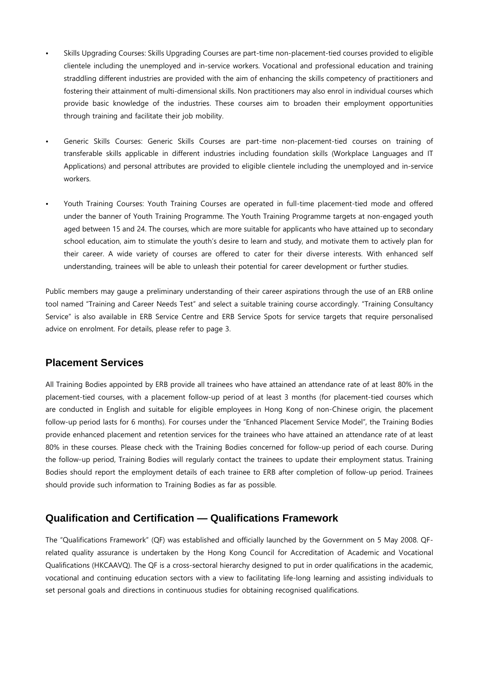- Skills Upgrading Courses: Skills Upgrading Courses are part-time non-placement-tied courses provided to eligible clientele including the unemployed and in-service workers. Vocational and professional education and training straddling different industries are provided with the aim of enhancing the skills competency of practitioners and fostering their attainment of multi-dimensional skills. Non practitioners may also enrol in individual courses which provide basic knowledge of the industries. These courses aim to broaden their employment opportunities through training and facilitate their job mobility.
- Generic Skills Courses: Generic Skills Courses are part-time non-placement-tied courses on training of transferable skills applicable in different industries including foundation skills (Workplace Languages and IT Applications) and personal attributes are provided to eligible clientele including the unemployed and in-service workers.
- Youth Training Courses: Youth Training Courses are operated in full-time placement-tied mode and offered under the banner of Youth Training Programme. The Youth Training Programme targets at non-engaged youth aged between 15 and 24. The courses, which are more suitable for applicants who have attained up to secondary school education, aim to stimulate the youth's desire to learn and study, and motivate them to actively plan for their career. A wide variety of courses are offered to cater for their diverse interests. With enhanced self understanding, trainees will be able to unleash their potential for career development or further studies.

Public members may gauge a preliminary understanding of their career aspirations through the use of an ERB online tool named "Training and Career Needs Test" and select a suitable training course accordingly. "Training Consultancy Service" is also available in ERB Service Centre and ERB Service Spots for service targets that require personalised advice on enrolment. For details, please refer to page 3.

#### **Placement Services**

All Training Bodies appointed by ERB provide all trainees who have attained an attendance rate of at least 80% in the placement-tied courses, with a placement follow-up period of at least 3 months (for placement-tied courses which are conducted in English and suitable for eligible employees in Hong Kong of non-Chinese origin, the placement follow-up period lasts for 6 months). For courses under the "Enhanced Placement Service Model", the Training Bodies provide enhanced placement and retention services for the trainees who have attained an attendance rate of at least 80% in these courses. Please check with the Training Bodies concerned for follow-up period of each course. During the follow-up period, Training Bodies will regularly contact the trainees to update their employment status. Training Bodies should report the employment details of each trainee to ERB after completion of follow-up period. Trainees should provide such information to Training Bodies as far as possible.

#### **Qualification and Certification — Qualifications Framework**

The "Qualifications Framework" (QF) was established and officially launched by the Government on 5 May 2008. QFrelated quality assurance is undertaken by the Hong Kong Council for Accreditation of Academic and Vocational Qualifications (HKCAAVQ). The QF is a cross-sectoral hierarchy designed to put in order qualifications in the academic, vocational and continuing education sectors with a view to facilitating life-long learning and assisting individuals to set personal goals and directions in continuous studies for obtaining recognised qualifications.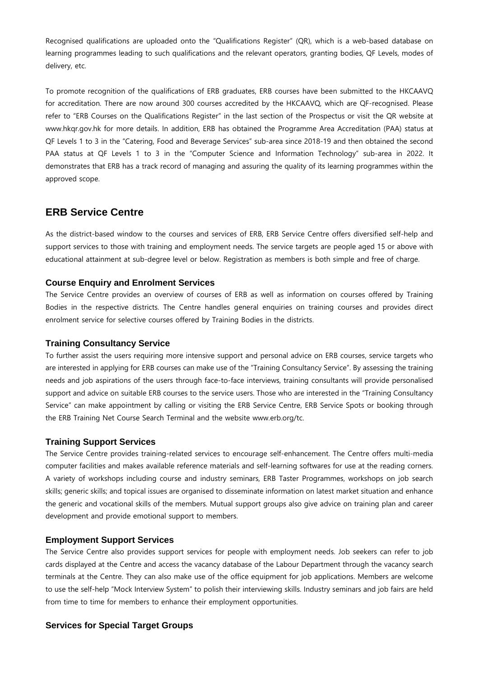Recognised qualifications are uploaded onto the "Qualifications Register" (QR), which is a web-based database on learning programmes leading to such qualifications and the relevant operators, granting bodies, QF Levels, modes of delivery, etc.

To promote recognition of the qualifications of ERB graduates, ERB courses have been submitted to the HKCAAVQ for accreditation. There are now around 300 courses accredited by the HKCAAVQ, which are QF-recognised. Please refer to "ERB Courses on the Qualifications Register" in the last section of the Prospectus or visit the QR website at www.hkqr.gov.hk for more details. In addition, ERB has obtained the Programme Area Accreditation (PAA) status at QF Levels 1 to 3 in the "Catering, Food and Beverage Services" sub-area since 2018-19 and then obtained the second PAA status at QF Levels 1 to 3 in the "Computer Science and Information Technology" sub-area in 2022. It demonstrates that ERB has a track record of managing and assuring the quality of its learning programmes within the approved scope.

#### **ERB Service Centre**

As the district-based window to the courses and services of ERB, ERB Service Centre offers diversified self-help and support services to those with training and employment needs. The service targets are people aged 15 or above with educational attainment at sub-degree level or below. Registration as members is both simple and free of charge.

#### **Course Enquiry and Enrolment Services**

The Service Centre provides an overview of courses of ERB as well as information on courses offered by Training Bodies in the respective districts. The Centre handles general enquiries on training courses and provides direct enrolment service for selective courses offered by Training Bodies in the districts.

#### **Training Consultancy Service**

To further assist the users requiring more intensive support and personal advice on ERB courses, service targets who are interested in applying for ERB courses can make use of the "Training Consultancy Service". By assessing the training needs and job aspirations of the users through face-to-face interviews, training consultants will provide personalised support and advice on suitable ERB courses to the service users. Those who are interested in the "Training Consultancy Service" can make appointment by calling or visiting the ERB Service Centre, ERB Service Spots or booking through the ERB Training Net Course Search Terminal and the website www.erb.org/tc.

#### **Training Support Services**

The Service Centre provides training-related services to encourage self-enhancement. The Centre offers multi-media computer facilities and makes available reference materials and self-learning softwares for use at the reading corners. A variety of workshops including course and industry seminars, ERB Taster Programmes, workshops on job search skills; generic skills; and topical issues are organised to disseminate information on latest market situation and enhance the generic and vocational skills of the members. Mutual support groups also give advice on training plan and career development and provide emotional support to members.

#### **Employment Support Services**

The Service Centre also provides support services for people with employment needs. Job seekers can refer to job cards displayed at the Centre and access the vacancy database of the Labour Department through the vacancy search terminals at the Centre. They can also make use of the office equipment for job applications. Members are welcome to use the self-help "Mock Interview System" to polish their interviewing skills. Industry seminars and job fairs are held from time to time for members to enhance their employment opportunities.

#### **Services for Special Target Groups**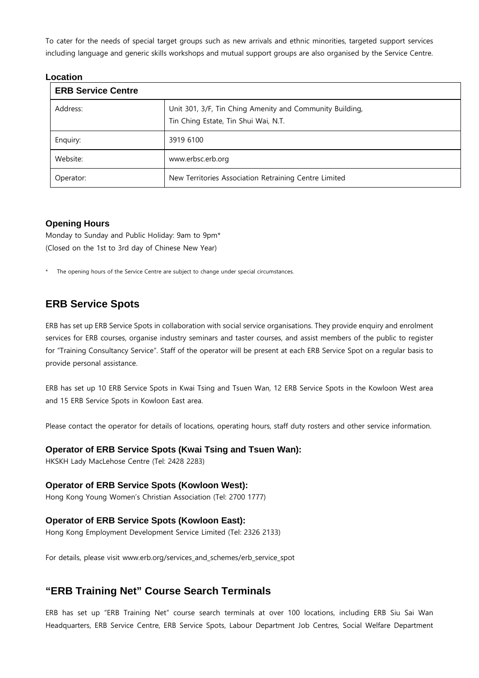To cater for the needs of special target groups such as new arrivals and ethnic minorities, targeted support services including language and generic skills workshops and mutual support groups are also organised by the Service Centre.

#### **Location**

| <b>ERB Service Centre</b> |                                                                                                  |  |
|---------------------------|--------------------------------------------------------------------------------------------------|--|
| Address:                  | Unit 301, 3/F, Tin Ching Amenity and Community Building,<br>Tin Ching Estate, Tin Shui Wai, N.T. |  |
| Enquiry:                  | 3919 6100                                                                                        |  |
| Website:                  | www.erbsc.erb.org                                                                                |  |
| Operator:                 | New Territories Association Retraining Centre Limited                                            |  |

#### **Opening Hours**

Monday to Sunday and Public Holiday: 9am to 9pm\* (Closed on the 1st to 3rd day of Chinese New Year)

The opening hours of the Service Centre are subject to change under special circumstances.

#### **ERB Service Spots**

ERB has set up ERB Service Spots in collaboration with social service organisations. They provide enquiry and enrolment services for ERB courses, organise industry seminars and taster courses, and assist members of the public to register for "Training Consultancy Service". Staff of the operator will be present at each ERB Service Spot on a regular basis to provide personal assistance.

ERB has set up 10 ERB Service Spots in Kwai Tsing and Tsuen Wan, 12 ERB Service Spots in the Kowloon West area and 15 ERB Service Spots in Kowloon East area.

Please contact the operator for details of locations, operating hours, staff duty rosters and other service information.

#### **Operator of ERB Service Spots (Kwai Tsing and Tsuen Wan):**

HKSKH Lady MacLehose Centre (Tel: 2428 2283)

#### **Operator of ERB Service Spots (Kowloon West):**

Hong Kong Young Women's Christian Association (Tel: 2700 1777)

#### **Operator of ERB Service Spots (Kowloon East):**

Hong Kong Employment Development Service Limited (Tel: 2326 2133)

For details, please visit www.erb.org/services\_and\_schemes/erb\_service\_spot

#### **"ERB Training Net" Course Search Terminals**

ERB has set up "ERB Training Net" course search terminals at over 100 locations, including ERB Siu Sai Wan Headquarters, ERB Service Centre, ERB Service Spots, Labour Department Job Centres, Social Welfare Department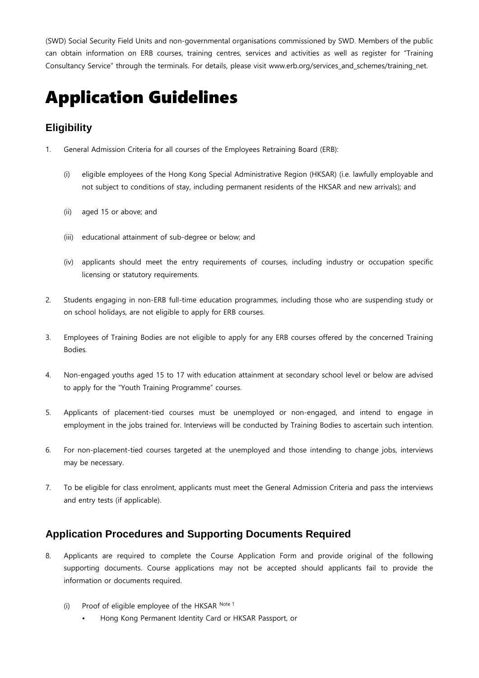(SWD) Social Security Field Units and non-governmental organisations commissioned by SWD. Members of the public can obtain information on ERB courses, training centres, services and activities as well as register for "Training Consultancy Service" through the terminals. For details, please visit www.erb.org/services\_and\_schemes/training\_net.

# Application Guidelines

#### **Eligibility**

- 1. General Admission Criteria for all courses of the Employees Retraining Board (ERB):
	- (i) eligible employees of the Hong Kong Special Administrative Region (HKSAR) (i.e. lawfully employable and not subject to conditions of stay, including permanent residents of the HKSAR and new arrivals); and
	- (ii) aged 15 or above; and
	- (iii) educational attainment of sub-degree or below; and
	- (iv) applicants should meet the entry requirements of courses, including industry or occupation specific licensing or statutory requirements.
- 2. Students engaging in non-ERB full-time education programmes, including those who are suspending study or on school holidays, are not eligible to apply for ERB courses.
- 3. Employees of Training Bodies are not eligible to apply for any ERB courses offered by the concerned Training Bodies.
- 4. Non-engaged youths aged 15 to 17 with education attainment at secondary school level or below are advised to apply for the "Youth Training Programme" courses.
- 5. Applicants of placement-tied courses must be unemployed or non-engaged, and intend to engage in employment in the jobs trained for. Interviews will be conducted by Training Bodies to ascertain such intention.
- 6. For non-placement-tied courses targeted at the unemployed and those intending to change jobs, interviews may be necessary.
- 7. To be eligible for class enrolment, applicants must meet the General Admission Criteria and pass the interviews and entry tests (if applicable).

#### **Application Procedures and Supporting Documents Required**

- 8. Applicants are required to complete the Course Application Form and provide original of the following supporting documents. Course applications may not be accepted should applicants fail to provide the information or documents required.
	- (i) Proof of eligible employee of the HKSAR Note 1
		- Hong Kong Permanent Identity Card or HKSAR Passport, or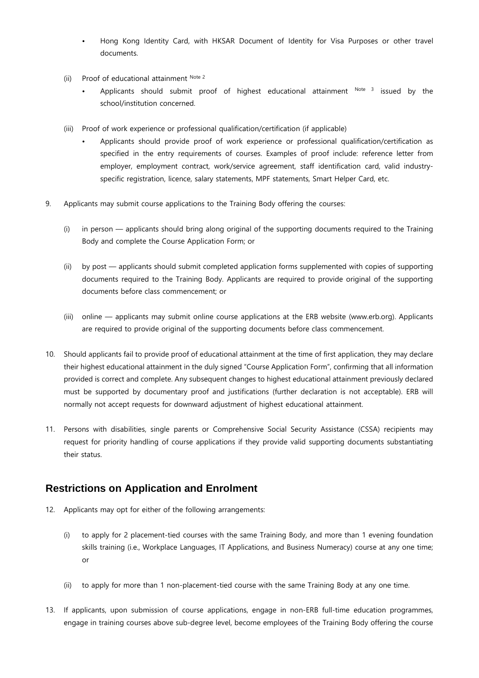- Hong Kong Identity Card, with HKSAR Document of Identity for Visa Purposes or other travel documents.
- (ii) Proof of educational attainment Note 2
	- Applicants should submit proof of highest educational attainment  $N<sup>ote</sup>$  issued by the school/institution concerned.
- (iii) Proof of work experience or professional qualification/certification (if applicable)
	- Applicants should provide proof of work experience or professional qualification/certification as specified in the entry requirements of courses. Examples of proof include: reference letter from employer, employment contract, work/service agreement, staff identification card, valid industryspecific registration, licence, salary statements, MPF statements, Smart Helper Card, etc.
- 9. Applicants may submit course applications to the Training Body offering the courses:
	- (i) in person applicants should bring along original of the supporting documents required to the Training Body and complete the Course Application Form; or
	- (ii) by post applicants should submit completed application forms supplemented with copies of supporting documents required to the Training Body. Applicants are required to provide original of the supporting documents before class commencement; or
	- (iii) online applicants may submit online course applications at the ERB website (www.erb.org). Applicants are required to provide original of the supporting documents before class commencement.
- 10. Should applicants fail to provide proof of educational attainment at the time of first application, they may declare their highest educational attainment in the duly signed "Course Application Form", confirming that all information provided is correct and complete. Any subsequent changes to highest educational attainment previously declared must be supported by documentary proof and justifications (further declaration is not acceptable). ERB will normally not accept requests for downward adjustment of highest educational attainment.
- 11. Persons with disabilities, single parents or Comprehensive Social Security Assistance (CSSA) recipients may request for priority handling of course applications if they provide valid supporting documents substantiating their status.

#### **Restrictions on Application and Enrolment**

- 12. Applicants may opt for either of the following arrangements:
	- (i) to apply for 2 placement-tied courses with the same Training Body, and more than 1 evening foundation skills training (i.e., Workplace Languages, IT Applications, and Business Numeracy) course at any one time; or
	- (ii) to apply for more than 1 non-placement-tied course with the same Training Body at any one time.
- 13. If applicants, upon submission of course applications, engage in non-ERB full-time education programmes, engage in training courses above sub-degree level, become employees of the Training Body offering the course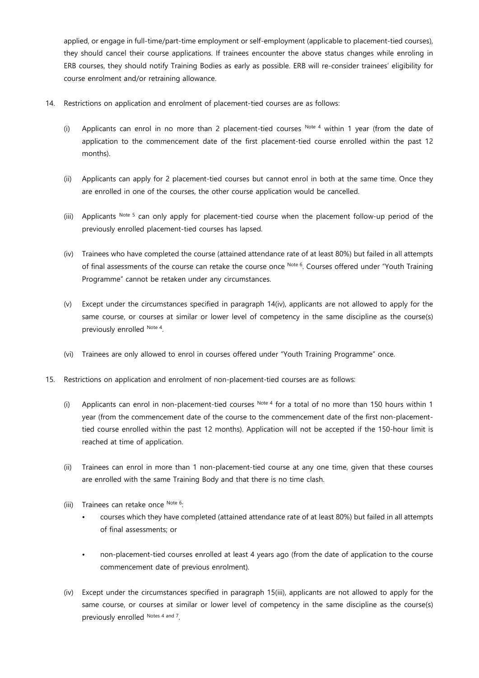applied, or engage in full-time/part-time employment or self-employment (applicable to placement-tied courses), they should cancel their course applications. If trainees encounter the above status changes while enroling in ERB courses, they should notify Training Bodies as early as possible. ERB will re-consider trainees' eligibility for course enrolment and/or retraining allowance.

- 14. Restrictions on application and enrolment of placement-tied courses are as follows:
	- (i) Applicants can enrol in no more than 2 placement-tied courses  $N$ <sup>ote 4</sup> within 1 year (from the date of application to the commencement date of the first placement-tied course enrolled within the past 12 months).
	- (ii) Applicants can apply for 2 placement-tied courses but cannot enrol in both at the same time. Once they are enrolled in one of the courses, the other course application would be cancelled.
	- (iii) Applicants Note 5 can only apply for placement-tied course when the placement follow-up period of the previously enrolled placement-tied courses has lapsed.
	- (iv) Trainees who have completed the course (attained attendance rate of at least 80%) but failed in all attempts of final assessments of the course can retake the course once Note 6. Courses offered under "Youth Training Programme" cannot be retaken under any circumstances.
	- (v) Except under the circumstances specified in paragraph 14(iv), applicants are not allowed to apply for the same course, or courses at similar or lower level of competency in the same discipline as the course(s) previously enrolled Note 4.
	- (vi) Trainees are only allowed to enrol in courses offered under "Youth Training Programme" once.
- 15. Restrictions on application and enrolment of non-placement-tied courses are as follows:
	- (i) Applicants can enrol in non-placement-tied courses  $N<sup>ote 4</sup>$  for a total of no more than 150 hours within 1 year (from the commencement date of the course to the commencement date of the first non-placementtied course enrolled within the past 12 months). Application will not be accepted if the 150-hour limit is reached at time of application.
	- (ii) Trainees can enrol in more than 1 non-placement-tied course at any one time, given that these courses are enrolled with the same Training Body and that there is no time clash.
	- (iii) Trainees can retake once Note 6:
		- courses which they have completed (attained attendance rate of at least 80%) but failed in all attempts of final assessments; or
		- non-placement-tied courses enrolled at least 4 years ago (from the date of application to the course commencement date of previous enrolment).
	- (iv) Except under the circumstances specified in paragraph 15(iii), applicants are not allowed to apply for the same course, or courses at similar or lower level of competency in the same discipline as the course(s) previously enrolled Notes 4 and 7.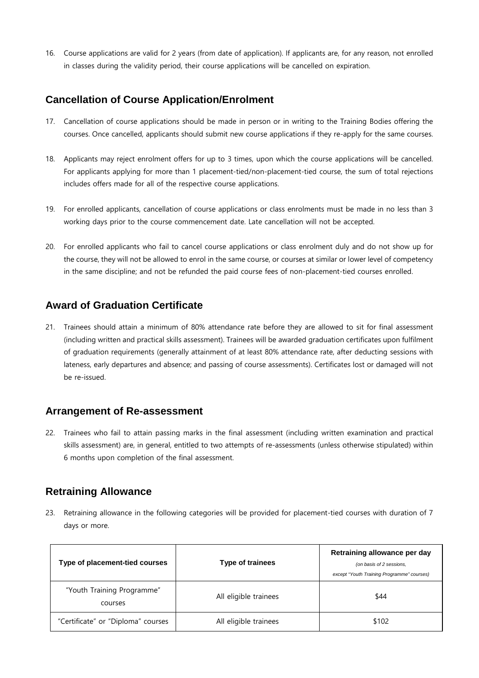16. Course applications are valid for 2 years (from date of application). If applicants are, for any reason, not enrolled in classes during the validity period, their course applications will be cancelled on expiration.

#### **Cancellation of Course Application/Enrolment**

- 17. Cancellation of course applications should be made in person or in writing to the Training Bodies offering the courses. Once cancelled, applicants should submit new course applications if they re-apply for the same courses.
- 18. Applicants may reject enrolment offers for up to 3 times, upon which the course applications will be cancelled. For applicants applying for more than 1 placement-tied/non-placement-tied course, the sum of total rejections includes offers made for all of the respective course applications.
- 19. For enrolled applicants, cancellation of course applications or class enrolments must be made in no less than 3 working days prior to the course commencement date. Late cancellation will not be accepted.
- 20. For enrolled applicants who fail to cancel course applications or class enrolment duly and do not show up for the course, they will not be allowed to enrol in the same course, or courses at similar or lower level of competency in the same discipline; and not be refunded the paid course fees of non-placement-tied courses enrolled.

#### **Award of Graduation Certificate**

21. Trainees should attain a minimum of 80% attendance rate before they are allowed to sit for final assessment (including written and practical skills assessment). Trainees will be awarded graduation certificates upon fulfilment of graduation requirements (generally attainment of at least 80% attendance rate, after deducting sessions with lateness, early departures and absence; and passing of course assessments). Certificates lost or damaged will not be re-issued.

#### **Arrangement of Re-assessment**

22. Trainees who fail to attain passing marks in the final assessment (including written examination and practical skills assessment) are, in general, entitled to two attempts of re-assessments (unless otherwise stipulated) within 6 months upon completion of the final assessment.

#### **Retraining Allowance**

23. Retraining allowance in the following categories will be provided for placement-tied courses with duration of 7 days or more.

| Type of placement-tied courses        | <b>Type of trainees</b> | Retraining allowance per day<br>(on basis of 2 sessions,<br>except "Youth Training Programme" courses) |
|---------------------------------------|-------------------------|--------------------------------------------------------------------------------------------------------|
| "Youth Training Programme"<br>courses | All eligible trainees   | \$44                                                                                                   |
| "Certificate" or "Diploma" courses    | All eligible trainees   | \$102                                                                                                  |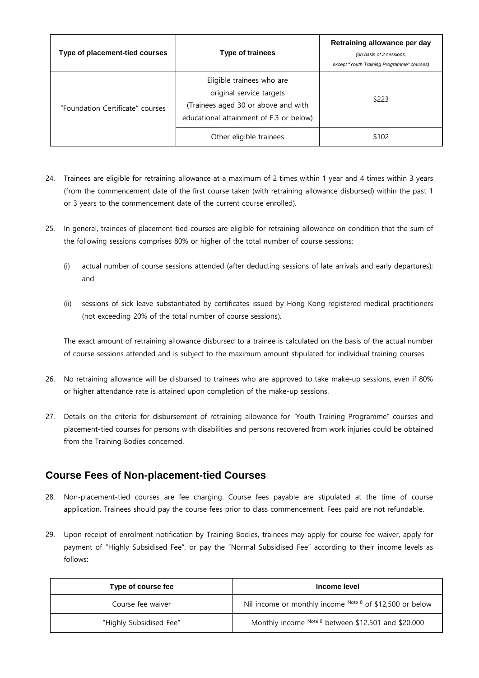| Type of placement-tied courses   | <b>Type of trainees</b>                                                                                                                 | Retraining allowance per day<br>(on basis of 2 sessions,<br>except "Youth Training Programme" courses) |
|----------------------------------|-----------------------------------------------------------------------------------------------------------------------------------------|--------------------------------------------------------------------------------------------------------|
| "Foundation Certificate" courses | Eligible trainees who are<br>original service targets<br>(Trainees aged 30 or above and with<br>educational attainment of F.3 or below) | \$223                                                                                                  |
|                                  | Other eligible trainees                                                                                                                 | \$102                                                                                                  |

- 24. Trainees are eligible for retraining allowance at a maximum of 2 times within 1 year and 4 times within 3 years (from the commencement date of the first course taken (with retraining allowance disbursed) within the past 1 or 3 years to the commencement date of the current course enrolled).
- 25. In general, trainees of placement-tied courses are eligible for retraining allowance on condition that the sum of the following sessions comprises 80% or higher of the total number of course sessions:
	- (i) actual number of course sessions attended (after deducting sessions of late arrivals and early departures); and
	- (ii) sessions of sick leave substantiated by certificates issued by Hong Kong registered medical practitioners (not exceeding 20% of the total number of course sessions).

The exact amount of retraining allowance disbursed to a trainee is calculated on the basis of the actual number of course sessions attended and is subject to the maximum amount stipulated for individual training courses.

- 26. No retraining allowance will be disbursed to trainees who are approved to take make-up sessions, even if 80% or higher attendance rate is attained upon completion of the make-up sessions.
- 27. Details on the criteria for disbursement of retraining allowance for "Youth Training Programme" courses and placement-tied courses for persons with disabilities and persons recovered from work injuries could be obtained from the Training Bodies concerned.

#### **Course Fees of Non-placement-tied Courses**

- 28. Non-placement-tied courses are fee charging. Course fees payable are stipulated at the time of course application. Trainees should pay the course fees prior to class commencement. Fees paid are not refundable.
- 29. Upon receipt of enrolment notification by Training Bodies, trainees may apply for course fee waiver, apply for payment of "Highly Subsidised Fee", or pay the "Normal Subsidised Fee" according to their income levels as follows:

| Type of course fee      | Income level                                               |
|-------------------------|------------------------------------------------------------|
| Course fee waiver       | Nil income or monthly income $Note 8$ of \$12,500 or below |
| "Highly Subsidised Fee" | Monthly income Note 8 between \$12,501 and \$20,000        |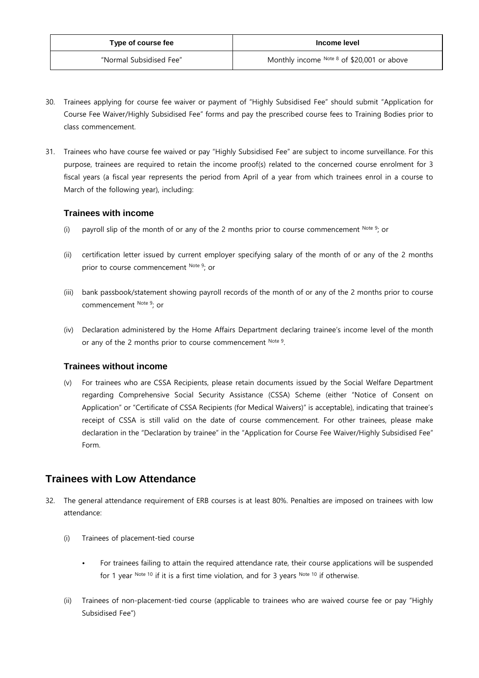| Type of course fee      | Income level                                 |
|-------------------------|----------------------------------------------|
| "Normal Subsidised Fee" | Monthly income $Note 8$ of \$20,001 or above |

- 30. Trainees applying for course fee waiver or payment of "Highly Subsidised Fee" should submit "Application for Course Fee Waiver/Highly Subsidised Fee" forms and pay the prescribed course fees to Training Bodies prior to class commencement.
- 31. Trainees who have course fee waived or pay "Highly Subsidised Fee" are subject to income surveillance. For this purpose, trainees are required to retain the income proof(s) related to the concerned course enrolment for 3 fiscal years (a fiscal year represents the period from April of a year from which trainees enrol in a course to March of the following year), including:

#### **Trainees with income**

- (i) payroll slip of the month of or any of the 2 months prior to course commencement  $\text{Note 9: }$  or
- (ii) certification letter issued by current employer specifying salary of the month of or any of the 2 months prior to course commencement Note 9; or
- (iii) bank passbook/statement showing payroll records of the month of or any of the 2 months prior to course commencement Note 9; or
- (iv) Declaration administered by the Home Affairs Department declaring trainee's income level of the month or any of the 2 months prior to course commencement Note 9.

#### **Trainees without income**

(v) For trainees who are CSSA Recipients, please retain documents issued by the Social Welfare Department regarding Comprehensive Social Security Assistance (CSSA) Scheme (either "Notice of Consent on Application" or "Certificate of CSSA Recipients (for Medical Waivers)" is acceptable), indicating that trainee's receipt of CSSA is still valid on the date of course commencement. For other trainees, please make declaration in the "Declaration by trainee" in the "Application for Course Fee Waiver/Highly Subsidised Fee" Form.

#### **Trainees with Low Attendance**

- 32. The general attendance requirement of ERB courses is at least 80%. Penalties are imposed on trainees with low attendance:
	- (i) Trainees of placement-tied course
		- For trainees failing to attain the required attendance rate, their course applications will be suspended for 1 year Note 10 if it is a first time violation, and for 3 years Note 10 if otherwise.
	- (ii) Trainees of non-placement-tied course (applicable to trainees who are waived course fee or pay "Highly Subsidised Fee")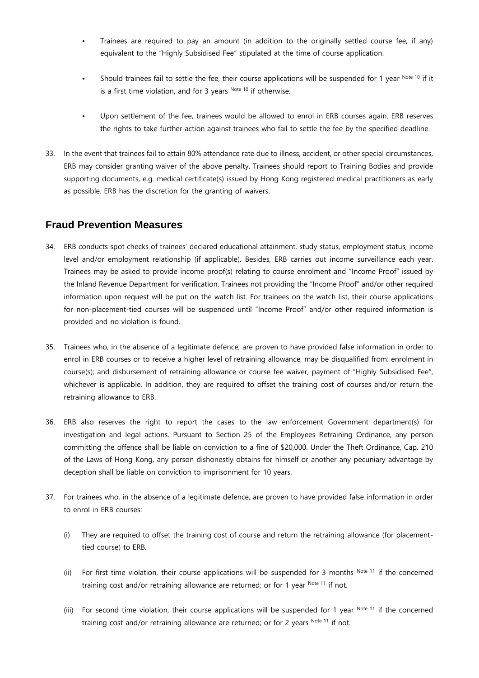- Trainees are required to pay an amount (in addition to the originally settled course fee, if any) equivalent to the "Highly Subsidised Fee" stipulated at the time of course application.
- Should trainees fail to settle the fee, their course applications will be suspended for 1 year Note 10 if it is a first time violation, and for 3 years Note 10 if otherwise.
- Upon settlement of the fee, trainees would be allowed to enrol in ERB courses again. ERB reserves the rights to take further action against trainees who fail to settle the fee by the specified deadline.
- 33. In the event that trainees fail to attain 80% attendance rate due to illness, accident, or other special circumstances, ERB may consider granting waiver of the above penalty. Trainees should report to Training Bodies and provide supporting documents, e.g. medical certificate(s) issued by Hong Kong registered medical practitioners as early as possible. ERB has the discretion for the granting of waivers.

#### **Fraud Prevention Measures**

- 34. ERB conducts spot checks of trainees' declared educational attainment, study status, employment status, income level and/or employment relationship (if applicable). Besides, ERB carries out income surveillance each year. Trainees may be asked to provide income proof(s) relating to course enrolment and "Income Proof" issued by the Inland Revenue Department for verification. Trainees not providing the "Income Proof" and/or other required information upon request will be put on the watch list. For trainees on the watch list, their course applications for non-placement-tied courses will be suspended until "Income Proof" and/or other required information is provided and no violation is found.
- 35. Trainees who, in the absence of a legitimate defence, are proven to have provided false information in order to enrol in ERB courses or to receive a higher level of retraining allowance, may be disqualified from: enrolment in course(s); and disbursement of retraining allowance or course fee waiver, payment of "Highly Subsidised Fee", whichever is applicable. In addition, they are required to offset the training cost of courses and/or return the retraining allowance to ERB.
- 36. ERB also reserves the right to report the cases to the law enforcement Government department(s) for investigation and legal actions. Pursuant to Section 25 of the Employees Retraining Ordinance, any person committing the offence shall be liable on conviction to a fine of \$20,000. Under the Theft Ordinance, Cap. 210 of the Laws of Hong Kong, any person dishonestly obtains for himself or another any pecuniary advantage by deception shall be liable on conviction to imprisonment for 10 years.
- 37. For trainees who, in the absence of a legitimate defence, are proven to have provided false information in order to enrol in ERB courses:
	- (i) They are required to offset the training cost of course and return the retraining allowance (for placementtied course) to ERB.
	- (ii) For first time violation, their course applications will be suspended for 3 months  $^{Note 11}$  if the concerned training cost and/or retraining allowance are returned; or for 1 year  $Note 11$  if not.
	- (iii) For second time violation, their course applications will be suspended for 1 year  $^{Note 11}$  if the concerned training cost and/or retraining allowance are returned; or for 2 years Note 11 if not.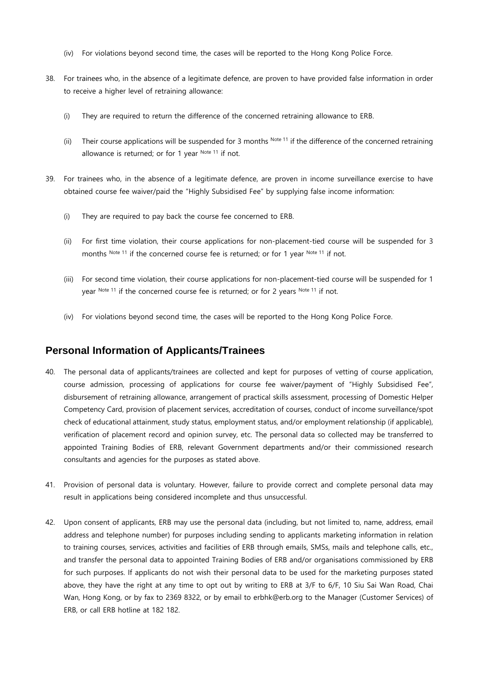- (iv) For violations beyond second time, the cases will be reported to the Hong Kong Police Force.
- 38. For trainees who, in the absence of a legitimate defence, are proven to have provided false information in order to receive a higher level of retraining allowance:
	- (i) They are required to return the difference of the concerned retraining allowance to ERB.
	- (ii) Their course applications will be suspended for 3 months  $N<sub>ote</sub>$  11 if the difference of the concerned retraining allowance is returned; or for 1 year Note 11 if not.
- 39. For trainees who, in the absence of a legitimate defence, are proven in income surveillance exercise to have obtained course fee waiver/paid the "Highly Subsidised Fee" by supplying false income information:
	- (i) They are required to pay back the course fee concerned to ERB.
	- (ii) For first time violation, their course applications for non-placement-tied course will be suspended for 3 months Note 11 if the concerned course fee is returned; or for 1 year Note 11 if not.
	- (iii) For second time violation, their course applications for non-placement-tied course will be suspended for 1 year Note 11 if the concerned course fee is returned; or for 2 years Note 11 if not.
	- (iv) For violations beyond second time, the cases will be reported to the Hong Kong Police Force.

#### **Personal Information of Applicants/Trainees**

- 40. The personal data of applicants/trainees are collected and kept for purposes of vetting of course application, course admission, processing of applications for course fee waiver/payment of "Highly Subsidised Fee", disbursement of retraining allowance, arrangement of practical skills assessment, processing of Domestic Helper Competency Card, provision of placement services, accreditation of courses, conduct of income surveillance/spot check of educational attainment, study status, employment status, and/or employment relationship (if applicable), verification of placement record and opinion survey, etc. The personal data so collected may be transferred to appointed Training Bodies of ERB, relevant Government departments and/or their commissioned research consultants and agencies for the purposes as stated above.
- 41. Provision of personal data is voluntary. However, failure to provide correct and complete personal data may result in applications being considered incomplete and thus unsuccessful.
- 42. Upon consent of applicants, ERB may use the personal data (including, but not limited to, name, address, email address and telephone number) for purposes including sending to applicants marketing information in relation to training courses, services, activities and facilities of ERB through emails, SMSs, mails and telephone calls, etc., and transfer the personal data to appointed Training Bodies of ERB and/or organisations commissioned by ERB for such purposes. If applicants do not wish their personal data to be used for the marketing purposes stated above, they have the right at any time to opt out by writing to ERB at 3/F to 6/F, 10 Siu Sai Wan Road, Chai Wan, Hong Kong, or by fax to 2369 8322, or by email to erbhk@erb.org to the Manager (Customer Services) of ERB, or call ERB hotline at 182 182.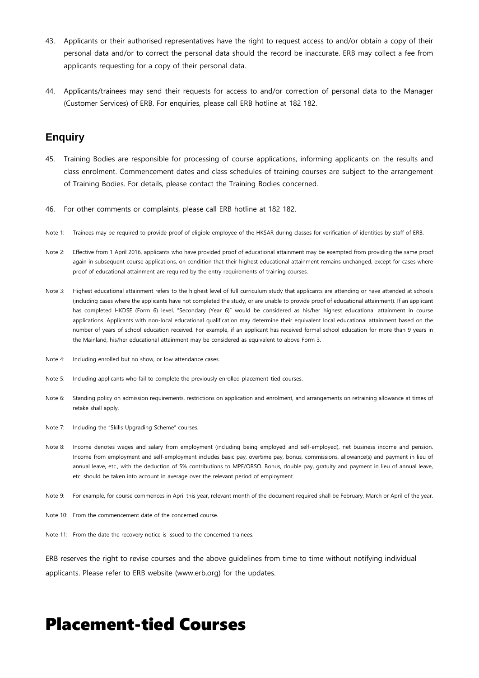- 43. Applicants or their authorised representatives have the right to request access to and/or obtain a copy of their personal data and/or to correct the personal data should the record be inaccurate. ERB may collect a fee from applicants requesting for a copy of their personal data.
- 44. Applicants/trainees may send their requests for access to and/or correction of personal data to the Manager (Customer Services) of ERB. For enquiries, please call ERB hotline at 182 182.

#### **Enquiry**

- 45. Training Bodies are responsible for processing of course applications, informing applicants on the results and class enrolment. Commencement dates and class schedules of training courses are subject to the arrangement of Training Bodies. For details, please contact the Training Bodies concerned.
- 46. For other comments or complaints, please call ERB hotline at 182 182.
- Note 1: Trainees may be required to provide proof of eligible employee of the HKSAR during classes for verification of identities by staff of ERB.
- Note 2: Effective from 1 April 2016, applicants who have provided proof of educational attainment may be exempted from providing the same proof again in subsequent course applications, on condition that their highest educational attainment remains unchanged, except for cases where proof of educational attainment are required by the entry requirements of training courses.
- Note 3: Highest educational attainment refers to the highest level of full curriculum study that applicants are attending or have attended at schools (including cases where the applicants have not completed the study, or are unable to provide proof of educational attainment). If an applicant has completed HKDSE (Form 6) level, "Secondary (Year 6)" would be considered as his/her highest educational attainment in course applications. Applicants with non-local educational qualification may determine their equivalent local educational attainment based on the number of years of school education received. For example, if an applicant has received formal school education for more than 9 years in the Mainland, his/her educational attainment may be considered as equivalent to above Form 3.
- Note 4: Including enrolled but no show, or low attendance cases.
- Note 5: Including applicants who fail to complete the previously enrolled placement-tied courses.
- Note 6: Standing policy on admission requirements, restrictions on application and enrolment, and arrangements on retraining allowance at times of retake shall apply.
- Note 7: Including the "Skills Upgrading Scheme" courses.
- Note 8: Income denotes wages and salary from employment (including being employed and self-employed), net business income and pension. Income from employment and self-employment includes basic pay, overtime pay, bonus, commissions, allowance(s) and payment in lieu of annual leave, etc., with the deduction of 5% contributions to MPF/ORSO. Bonus, double pay, gratuity and payment in lieu of annual leave, etc. should be taken into account in average over the relevant period of employment.
- Note 9: For example, for course commences in April this year, relevant month of the document required shall be February, March or April of the year.
- Note 10: From the commencement date of the concerned course.
- Note 11: From the date the recovery notice is issued to the concerned trainees.

ERB reserves the right to revise courses and the above guidelines from time to time without notifying individual applicants. Please refer to ERB website (www.erb.org) for the updates.

# Placement-tied Courses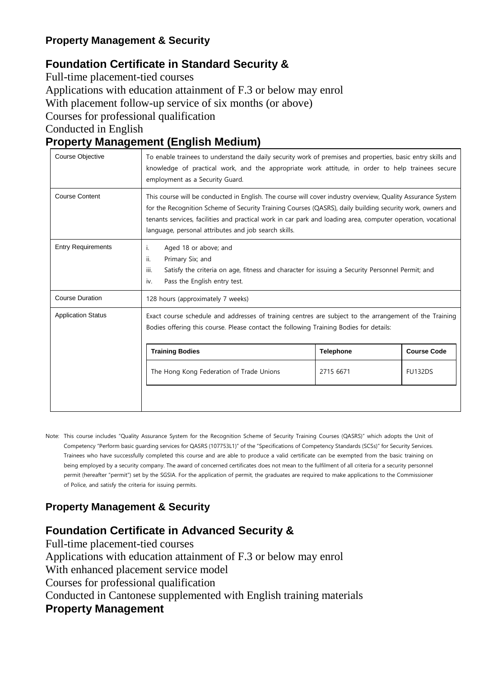#### **Property Management & Security**

## **Foundation Certificate in Standard Security &**

Full-time placement-tied courses Applications with education attainment of F.3 or below may enrol With placement follow-up service of six months (or above) Courses for professional qualification Conducted in English

### **Property Management (English Medium)**

| <b>Course Objective</b>   | To enable trainees to understand the daily security work of premises and properties, basic entry skills and<br>knowledge of practical work, and the appropriate work attitude, in order to help trainees secure<br>employment as a Security Guard.                                                                                                                                               |           |                |
|---------------------------|--------------------------------------------------------------------------------------------------------------------------------------------------------------------------------------------------------------------------------------------------------------------------------------------------------------------------------------------------------------------------------------------------|-----------|----------------|
| <b>Course Content</b>     | This course will be conducted in English. The course will cover industry overview, Quality Assurance System<br>for the Recognition Scheme of Security Training Courses (QASRS), daily building security work, owners and<br>tenants services, facilities and practical work in car park and loading area, computer operation, vocational<br>language, personal attributes and job search skills. |           |                |
| <b>Entry Requirements</b> | Aged 18 or above; and<br>i.<br>ii.<br>Primary Six; and<br>iii.<br>Satisfy the criteria on age, fitness and character for issuing a Security Personnel Permit; and<br>Pass the English entry test.<br>iv.                                                                                                                                                                                         |           |                |
| <b>Course Duration</b>    | 128 hours (approximately 7 weeks)                                                                                                                                                                                                                                                                                                                                                                |           |                |
| <b>Application Status</b> | Exact course schedule and addresses of training centres are subject to the arrangement of the Training<br>Bodies offering this course. Please contact the following Training Bodies for details:                                                                                                                                                                                                 |           |                |
|                           | <b>Course Code</b><br><b>Training Bodies</b><br><b>Telephone</b>                                                                                                                                                                                                                                                                                                                                 |           |                |
|                           | The Hong Kong Federation of Trade Unions                                                                                                                                                                                                                                                                                                                                                         | 2715 6671 | <b>FU132DS</b> |
|                           |                                                                                                                                                                                                                                                                                                                                                                                                  |           |                |

Note: This course includes "Quality Assurance System for the Recognition Scheme of Security Training Courses (QASRS)" which adopts the Unit of Competency "Perform basic guarding services for QASRS (107753L1)" of the "Specifications of Competency Standards (SCSs)" for Security Services. Trainees who have successfully completed this course and are able to produce a valid certificate can be exempted from the basic training on being employed by a security company. The award of concerned certificates does not mean to the fulfilment of all criteria for a security personnel permit (hereafter "permit") set by the SGSIA. For the application of permit, the graduates are required to make applications to the Commissioner of Police, and satisfy the criteria for issuing permits.

#### **Property Management & Security**

#### **Foundation Certificate in Advanced Security &**

Full-time placement-tied courses Applications with education attainment of F.3 or below may enrol With enhanced placement service model Courses for professional qualification Conducted in Cantonese supplemented with English training materials **Property Management**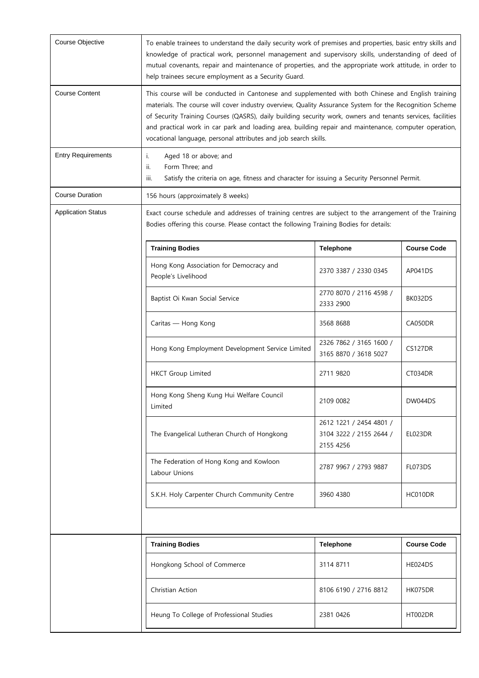| Course Objective          | To enable trainees to understand the daily security work of premises and properties, basic entry skills and<br>knowledge of practical work, personnel management and supervisory skills, understanding of deed of<br>mutual covenants, repair and maintenance of properties, and the appropriate work attitude, in order to<br>help trainees secure employment as a Security Guard.                                                                                                                      |                                                                 |                    |
|---------------------------|----------------------------------------------------------------------------------------------------------------------------------------------------------------------------------------------------------------------------------------------------------------------------------------------------------------------------------------------------------------------------------------------------------------------------------------------------------------------------------------------------------|-----------------------------------------------------------------|--------------------|
| <b>Course Content</b>     | This course will be conducted in Cantonese and supplemented with both Chinese and English training<br>materials. The course will cover industry overview, Quality Assurance System for the Recognition Scheme<br>of Security Training Courses (QASRS), daily building security work, owners and tenants services, facilities<br>and practical work in car park and loading area, building repair and maintenance, computer operation,<br>vocational language, personal attributes and job search skills. |                                                                 |                    |
| <b>Entry Requirements</b> | Aged 18 or above; and<br>i.<br>Form Three; and<br>ii.<br>iii.<br>Satisfy the criteria on age, fitness and character for issuing a Security Personnel Permit.                                                                                                                                                                                                                                                                                                                                             |                                                                 |                    |
| <b>Course Duration</b>    | 156 hours (approximately 8 weeks)                                                                                                                                                                                                                                                                                                                                                                                                                                                                        |                                                                 |                    |
| <b>Application Status</b> | Exact course schedule and addresses of training centres are subject to the arrangement of the Training<br>Bodies offering this course. Please contact the following Training Bodies for details:                                                                                                                                                                                                                                                                                                         |                                                                 |                    |
|                           | <b>Training Bodies</b>                                                                                                                                                                                                                                                                                                                                                                                                                                                                                   | <b>Telephone</b>                                                | <b>Course Code</b> |
|                           | Hong Kong Association for Democracy and<br>People's Livelihood                                                                                                                                                                                                                                                                                                                                                                                                                                           | 2370 3387 / 2330 0345                                           | AP041DS            |
|                           | Baptist Oi Kwan Social Service                                                                                                                                                                                                                                                                                                                                                                                                                                                                           | 2770 8070 / 2116 4598 /<br>2333 2900                            | BK032DS            |
|                           | Caritas — Hong Kong                                                                                                                                                                                                                                                                                                                                                                                                                                                                                      | 3568 8688                                                       | CA050DR            |
|                           | Hong Kong Employment Development Service Limited                                                                                                                                                                                                                                                                                                                                                                                                                                                         | 2326 7862 / 3165 1600 /<br>3165 8870 / 3618 5027                | CS127DR            |
|                           | <b>HKCT Group Limited</b>                                                                                                                                                                                                                                                                                                                                                                                                                                                                                | 2711 9820                                                       | CT034DR            |
|                           | Hong Kong Sheng Kung Hui Welfare Council<br>Limited                                                                                                                                                                                                                                                                                                                                                                                                                                                      | 2109 0082                                                       | DW044DS            |
|                           | The Evangelical Lutheran Church of Hongkong                                                                                                                                                                                                                                                                                                                                                                                                                                                              | 2612 1221 / 2454 4801 /<br>3104 3222 / 2155 2644 /<br>2155 4256 | EL023DR            |
|                           | The Federation of Hong Kong and Kowloon<br>Labour Unions                                                                                                                                                                                                                                                                                                                                                                                                                                                 | 2787 9967 / 2793 9887                                           | FL073DS            |
|                           | S.K.H. Holy Carpenter Church Community Centre                                                                                                                                                                                                                                                                                                                                                                                                                                                            | 3960 4380                                                       | HC010DR            |
|                           |                                                                                                                                                                                                                                                                                                                                                                                                                                                                                                          |                                                                 |                    |
|                           | <b>Training Bodies</b>                                                                                                                                                                                                                                                                                                                                                                                                                                                                                   | <b>Telephone</b>                                                | <b>Course Code</b> |
|                           | Hongkong School of Commerce                                                                                                                                                                                                                                                                                                                                                                                                                                                                              | 3114 8711                                                       | HE024DS            |
|                           | Christian Action                                                                                                                                                                                                                                                                                                                                                                                                                                                                                         | 8106 6190 / 2716 8812                                           | HK075DR            |
|                           | Heung To College of Professional Studies                                                                                                                                                                                                                                                                                                                                                                                                                                                                 | 2381 0426                                                       | HT002DR            |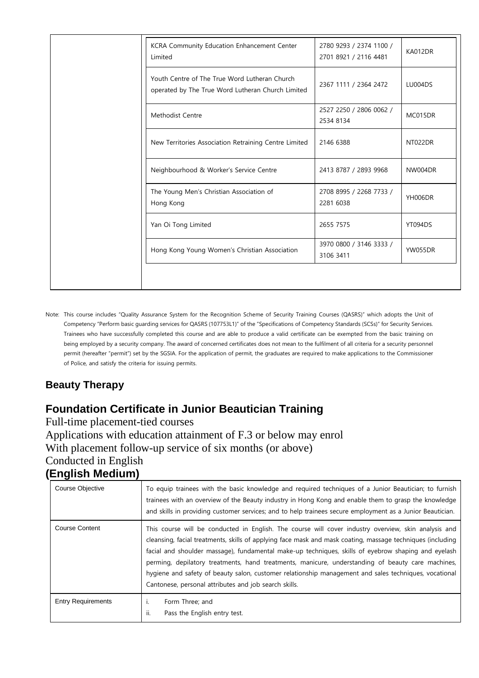| KCRA Community Education Enhancement Center<br>Limited                                             | 2780 9293 / 2374 1100 /<br>2701 8921 / 2116 4481 | KA012DR        |
|----------------------------------------------------------------------------------------------------|--------------------------------------------------|----------------|
| Youth Centre of The True Word Lutheran Church<br>operated by The True Word Lutheran Church Limited | 2367 1111 / 2364 2472                            | LU004DS        |
| Methodist Centre                                                                                   | 2527 2250 / 2806 0062 /<br>2534 8134             | MC015DR        |
| New Territories Association Retraining Centre Limited                                              | 2146 6388                                        | NT022DR        |
| Neighbourhood & Worker's Service Centre                                                            | 2413 8787 / 2893 9968                            | NW004DR        |
| The Young Men's Christian Association of<br>Hong Kong                                              | 2708 8995 / 2268 7733 /<br>2281 6038             | <b>YH006DR</b> |
| Yan Oi Tong Limited                                                                                | 2655 7575                                        | YT094DS        |
| Hong Kong Young Women's Christian Association                                                      | 3970 0800 / 3146 3333 /<br>3106 3411             | YW055DR        |
|                                                                                                    |                                                  |                |

Note: This course includes "Quality Assurance System for the Recognition Scheme of Security Training Courses (QASRS)" which adopts the Unit of Competency "Perform basic guarding services for QASRS (107753L1)" of the "Specifications of Competency Standards (SCSs)" for Security Services. Trainees who have successfully completed this course and are able to produce a valid certificate can be exempted from the basic training on being employed by a security company. The award of concerned certificates does not mean to the fulfilment of all criteria for a security personnel permit (hereafter "permit") set by the SGSIA. For the application of permit, the graduates are required to make applications to the Commissioner of Police, and satisfy the criteria for issuing permits.

#### **Beauty Therapy**

# **Foundation Certificate in Junior Beautician Training**

Full-time placement-tied courses Applications with education attainment of F.3 or below may enrol With placement follow-up service of six months (or above) Conducted in English **(English Medium)**

| Course Objective          | To equip trainees with the basic knowledge and required techniques of a Junior Beautician; to furnish<br>trainees with an overview of the Beauty industry in Hong Kong and enable them to grasp the knowledge<br>and skills in providing customer services; and to help trainees secure employment as a Junior Beautician.                                                                                                                                                                                                                                                                       |
|---------------------------|--------------------------------------------------------------------------------------------------------------------------------------------------------------------------------------------------------------------------------------------------------------------------------------------------------------------------------------------------------------------------------------------------------------------------------------------------------------------------------------------------------------------------------------------------------------------------------------------------|
| <b>Course Content</b>     | This course will be conducted in English. The course will cover industry overview, skin analysis and<br>cleansing, facial treatments, skills of applying face mask and mask coating, massage techniques (including<br>facial and shoulder massage), fundamental make-up techniques, skills of eyebrow shaping and eyelash<br>perming, depilatory treatments, hand treatments, manicure, understanding of beauty care machines,<br>hygiene and safety of beauty salon, customer relationship management and sales techniques, vocational<br>Cantonese, personal attributes and job search skills. |
| <b>Entry Requirements</b> | Form Three; and<br>ii.<br>Pass the English entry test.                                                                                                                                                                                                                                                                                                                                                                                                                                                                                                                                           |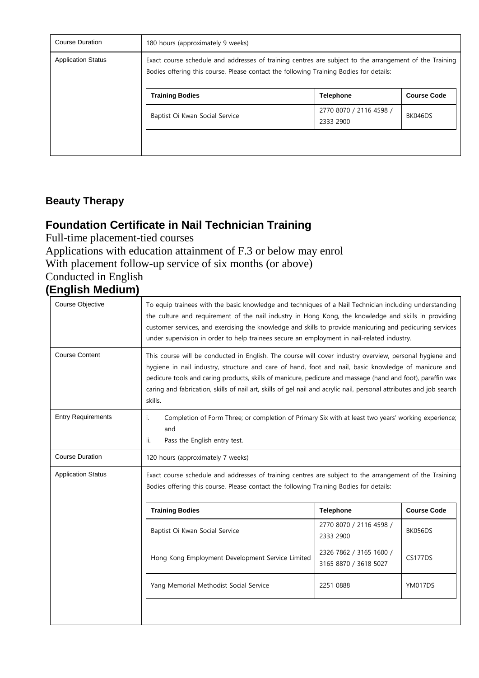| <b>Course Duration</b>    | 180 hours (approximately 9 weeks)                                                                                                                                                                |                                      |         |  |
|---------------------------|--------------------------------------------------------------------------------------------------------------------------------------------------------------------------------------------------|--------------------------------------|---------|--|
| <b>Application Status</b> | Exact course schedule and addresses of training centres are subject to the arrangement of the Training<br>Bodies offering this course. Please contact the following Training Bodies for details: |                                      |         |  |
|                           | <b>Training Bodies</b><br><b>Telephone</b><br><b>Course Code</b>                                                                                                                                 |                                      |         |  |
|                           | Baptist Oi Kwan Social Service                                                                                                                                                                   | 2770 8070 / 2116 4598 /<br>2333 2900 | BK046DS |  |
|                           |                                                                                                                                                                                                  |                                      |         |  |

#### **Beauty Therapy**

### **Foundation Certificate in Nail Technician Training**

Full-time placement-tied courses

Applications with education attainment of F.3 or below may enrol With placement follow-up service of six months (or above) Conducted in English

# **(English Medium)**

| Course Objective          | To equip trainees with the basic knowledge and techniques of a Nail Technician including understanding<br>the culture and requirement of the nail industry in Hong Kong, the knowledge and skills in providing<br>customer services, and exercising the knowledge and skills to provide manicuring and pedicuring services<br>under supervision in order to help trainees secure an employment in nail-related industry.                                        |                                                  |                    |  |
|---------------------------|-----------------------------------------------------------------------------------------------------------------------------------------------------------------------------------------------------------------------------------------------------------------------------------------------------------------------------------------------------------------------------------------------------------------------------------------------------------------|--------------------------------------------------|--------------------|--|
| <b>Course Content</b>     | This course will be conducted in English. The course will cover industry overview, personal hygiene and<br>hygiene in nail industry, structure and care of hand, foot and nail, basic knowledge of manicure and<br>pedicure tools and caring products, skills of manicure, pedicure and massage (hand and foot), paraffin wax<br>caring and fabrication, skills of nail art, skills of gel nail and acrylic nail, personal attributes and job search<br>skills. |                                                  |                    |  |
| <b>Entry Requirements</b> | Completion of Form Three; or completion of Primary Six with at least two years' working experience;<br>i.<br>and<br>Pass the English entry test.<br>ii.                                                                                                                                                                                                                                                                                                         |                                                  |                    |  |
| <b>Course Duration</b>    | 120 hours (approximately 7 weeks)                                                                                                                                                                                                                                                                                                                                                                                                                               |                                                  |                    |  |
| <b>Application Status</b> | Exact course schedule and addresses of training centres are subject to the arrangement of the Training<br>Bodies offering this course. Please contact the following Training Bodies for details:                                                                                                                                                                                                                                                                |                                                  |                    |  |
|                           | <b>Training Bodies</b>                                                                                                                                                                                                                                                                                                                                                                                                                                          | <b>Telephone</b>                                 | <b>Course Code</b> |  |
|                           | Baptist Oi Kwan Social Service                                                                                                                                                                                                                                                                                                                                                                                                                                  | 2770 8070 / 2116 4598 /<br>2333 2900             | BK056DS            |  |
|                           | Hong Kong Employment Development Service Limited                                                                                                                                                                                                                                                                                                                                                                                                                | 2326 7862 / 3165 1600 /<br>3165 8870 / 3618 5027 | CS177DS            |  |
|                           | Yang Memorial Methodist Social Service<br>2251 0888<br>YM017DS                                                                                                                                                                                                                                                                                                                                                                                                  |                                                  |                    |  |
|                           |                                                                                                                                                                                                                                                                                                                                                                                                                                                                 |                                                  |                    |  |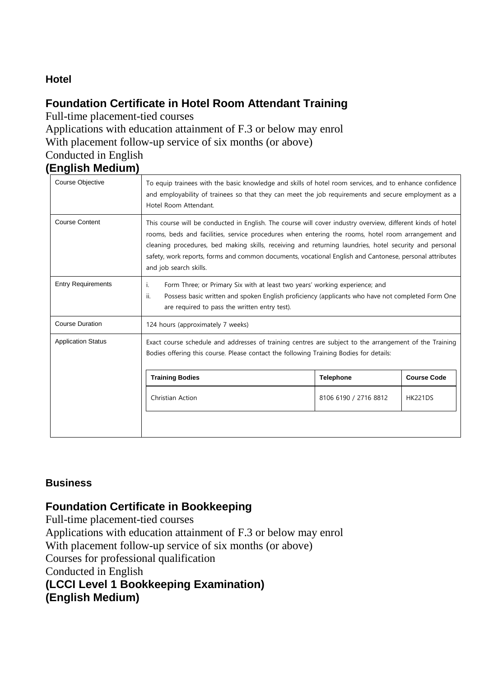#### **Hotel**

#### **Foundation Certificate in Hotel Room Attendant Training**

Full-time placement-tied courses

Applications with education attainment of F.3 or below may enrol With placement follow-up service of six months (or above) Conducted in English

## **(English Medium)**

| Course Objective          | To equip trainees with the basic knowledge and skills of hotel room services, and to enhance confidence<br>and employability of trainees so that they can meet the job requirements and secure employment as a<br>Hotel Room Attendant.                                                                                                                                                                                                                          |                       |                |
|---------------------------|------------------------------------------------------------------------------------------------------------------------------------------------------------------------------------------------------------------------------------------------------------------------------------------------------------------------------------------------------------------------------------------------------------------------------------------------------------------|-----------------------|----------------|
| <b>Course Content</b>     | This course will be conducted in English. The course will cover industry overview, different kinds of hotel<br>rooms, beds and facilities, service procedures when entering the rooms, hotel room arrangement and<br>cleaning procedures, bed making skills, receiving and returning laundries, hotel security and personal<br>safety, work reports, forms and common documents, vocational English and Cantonese, personal attributes<br>and job search skills. |                       |                |
| <b>Entry Requirements</b> | Form Three; or Primary Six with at least two years' working experience; and<br>i.<br>ii.<br>Possess basic written and spoken English proficiency (applicants who have not completed Form One<br>are required to pass the written entry test).                                                                                                                                                                                                                    |                       |                |
| <b>Course Duration</b>    | 124 hours (approximately 7 weeks)                                                                                                                                                                                                                                                                                                                                                                                                                                |                       |                |
| <b>Application Status</b> | Exact course schedule and addresses of training centres are subject to the arrangement of the Training<br>Bodies offering this course. Please contact the following Training Bodies for details:                                                                                                                                                                                                                                                                 |                       |                |
|                           | <b>Training Bodies</b><br><b>Course Code</b><br><b>Telephone</b>                                                                                                                                                                                                                                                                                                                                                                                                 |                       |                |
|                           | Christian Action                                                                                                                                                                                                                                                                                                                                                                                                                                                 | 8106 6190 / 2716 8812 | <b>HK221DS</b> |
|                           |                                                                                                                                                                                                                                                                                                                                                                                                                                                                  |                       |                |

#### **Business**

#### **Foundation Certificate in Bookkeeping**

Full-time placement-tied courses Applications with education attainment of F.3 or below may enrol With placement follow-up service of six months (or above) Courses for professional qualification Conducted in English **(LCCI Level 1 Bookkeeping Examination) (English Medium)**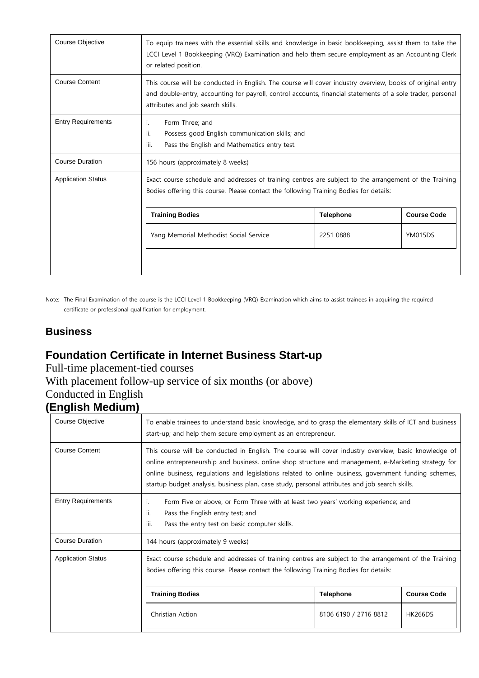| Course Objective          | To equip trainees with the essential skills and knowledge in basic bookkeeping, assist them to take the<br>LCCI Level 1 Bookkeeping (VRQ) Examination and help them secure employment as an Accounting Clerk<br>or related position.                           |  |  |  |
|---------------------------|----------------------------------------------------------------------------------------------------------------------------------------------------------------------------------------------------------------------------------------------------------------|--|--|--|
| <b>Course Content</b>     | This course will be conducted in English. The course will cover industry overview, books of original entry<br>and double-entry, accounting for payroll, control accounts, financial statements of a sole trader, personal<br>attributes and job search skills. |  |  |  |
| <b>Entry Requirements</b> | Form Three; and<br>Ι.<br>ii.<br>Possess good English communication skills; and<br>Pass the English and Mathematics entry test.<br>iii.                                                                                                                         |  |  |  |
| <b>Course Duration</b>    | 156 hours (approximately 8 weeks)                                                                                                                                                                                                                              |  |  |  |
| <b>Application Status</b> | Exact course schedule and addresses of training centres are subject to the arrangement of the Training<br>Bodies offering this course. Please contact the following Training Bodies for details:                                                               |  |  |  |
|                           | <b>Training Bodies</b><br><b>Course Code</b><br><b>Telephone</b>                                                                                                                                                                                               |  |  |  |
|                           | Yang Memorial Methodist Social Service<br><b>YM015DS</b><br>2251 0888                                                                                                                                                                                          |  |  |  |
|                           |                                                                                                                                                                                                                                                                |  |  |  |

Note: The Final Examination of the course is the LCCI Level 1 Bookkeeping (VRQ) Examination which aims to assist trainees in acquiring the required certificate or professional qualification for employment.

#### **Business**

#### **Foundation Certificate in Internet Business Start-up**

Full-time placement-tied courses

With placement follow-up service of six months (or above)

# Conducted in English

# **(English Medium)**

| Course Objective          | To enable trainees to understand basic knowledge, and to grasp the elementary skills of ICT and business<br>start-up; and help them secure employment as an entrepreneur.                                                                                                                                                                                                                                                |  |  |  |
|---------------------------|--------------------------------------------------------------------------------------------------------------------------------------------------------------------------------------------------------------------------------------------------------------------------------------------------------------------------------------------------------------------------------------------------------------------------|--|--|--|
| <b>Course Content</b>     | This course will be conducted in English. The course will cover industry overview, basic knowledge of<br>online entrepreneurship and business, online shop structure and management, e-Marketing strategy for<br>online business, regulations and legislations related to online business, government funding schemes,<br>startup budget analysis, business plan, case study, personal attributes and job search skills. |  |  |  |
| <b>Entry Requirements</b> | Form Five or above, or Form Three with at least two years' working experience; and<br>Ι.<br>ii.<br>Pass the English entry test; and<br>iii.<br>Pass the entry test on basic computer skills.                                                                                                                                                                                                                             |  |  |  |
| <b>Course Duration</b>    | 144 hours (approximately 9 weeks)                                                                                                                                                                                                                                                                                                                                                                                        |  |  |  |
| <b>Application Status</b> | Exact course schedule and addresses of training centres are subject to the arrangement of the Training<br>Bodies offering this course. Please contact the following Training Bodies for details:                                                                                                                                                                                                                         |  |  |  |
|                           | <b>Course Code</b><br><b>Training Bodies</b><br><b>Telephone</b>                                                                                                                                                                                                                                                                                                                                                         |  |  |  |
|                           | Christian Action<br>8106 6190 / 2716 8812<br><b>HK266DS</b>                                                                                                                                                                                                                                                                                                                                                              |  |  |  |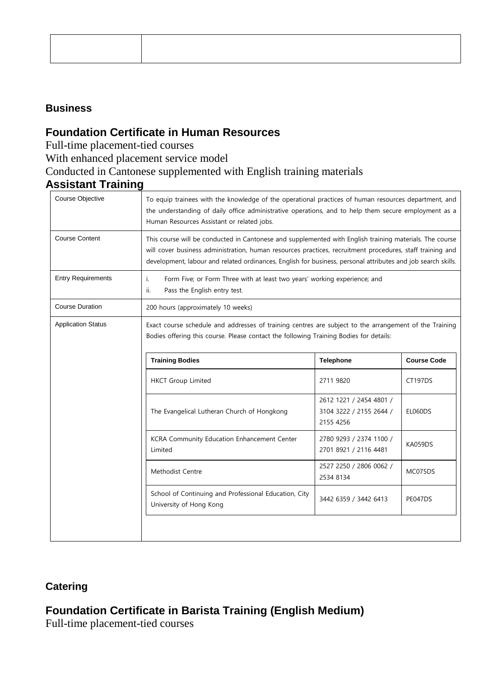#### **Business**

#### **Foundation Certificate in Human Resources**

Full-time placement-tied courses

With enhanced placement service model

#### Conducted in Cantonese supplemented with English training materials

### **Assistant Training**

| Course Objective                                                                                                     | To equip trainees with the knowledge of the operational practices of human resources department, and<br>the understanding of daily office administrative operations, and to help them secure employment as a<br>Human Resources Assistant or related jobs.                                                                           |                                                                 |                    |  |
|----------------------------------------------------------------------------------------------------------------------|--------------------------------------------------------------------------------------------------------------------------------------------------------------------------------------------------------------------------------------------------------------------------------------------------------------------------------------|-----------------------------------------------------------------|--------------------|--|
| <b>Course Content</b>                                                                                                | This course will be conducted in Cantonese and supplemented with English training materials. The course<br>will cover business administration, human resources practices, recruitment procedures, staff training and<br>development, labour and related ordinances, English for business, personal attributes and job search skills. |                                                                 |                    |  |
| <b>Entry Requirements</b>                                                                                            | Form Five; or Form Three with at least two years' working experience; and<br>i.<br>Pass the English entry test.<br>ii.                                                                                                                                                                                                               |                                                                 |                    |  |
| <b>Course Duration</b>                                                                                               | 200 hours (approximately 10 weeks)                                                                                                                                                                                                                                                                                                   |                                                                 |                    |  |
| <b>Application Status</b>                                                                                            | Exact course schedule and addresses of training centres are subject to the arrangement of the Training<br>Bodies offering this course. Please contact the following Training Bodies for details:                                                                                                                                     |                                                                 |                    |  |
|                                                                                                                      | <b>Training Bodies</b>                                                                                                                                                                                                                                                                                                               | <b>Telephone</b>                                                | <b>Course Code</b> |  |
|                                                                                                                      | <b>HKCT Group Limited</b>                                                                                                                                                                                                                                                                                                            | 2711 9820                                                       | <b>CT197DS</b>     |  |
|                                                                                                                      | The Evangelical Lutheran Church of Hongkong                                                                                                                                                                                                                                                                                          | 2612 1221 / 2454 4801 /<br>3104 3222 / 2155 2644 /<br>2155 4256 | <b>EL060DS</b>     |  |
|                                                                                                                      | KCRA Community Education Enhancement Center<br>Limited                                                                                                                                                                                                                                                                               | 2780 9293 / 2374 1100 /<br>2701 8921 / 2116 4481                | KA059DS            |  |
|                                                                                                                      | Methodist Centre                                                                                                                                                                                                                                                                                                                     | 2527 2250 / 2806 0062 /<br>2534 8134                            | MC075DS            |  |
| School of Continuing and Professional Education, City<br>3442 6359 / 3442 6413<br>PE047DS<br>University of Hong Kong |                                                                                                                                                                                                                                                                                                                                      |                                                                 |                    |  |
|                                                                                                                      |                                                                                                                                                                                                                                                                                                                                      |                                                                 |                    |  |

#### **Catering**

## **Foundation Certificate in Barista Training (English Medium)**

Full-time placement-tied courses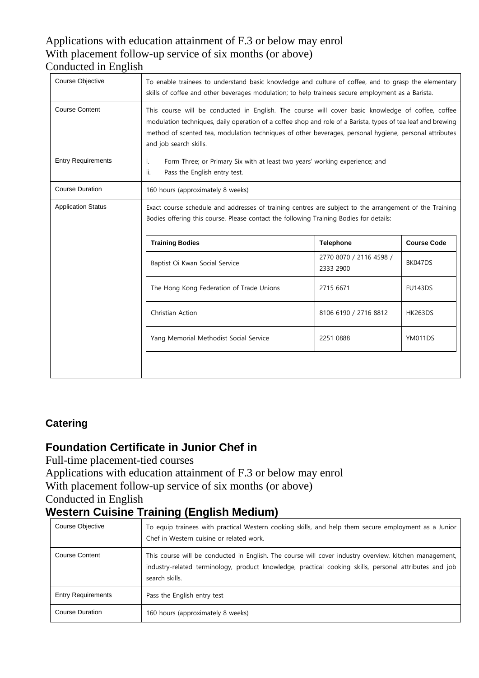# Applications with education attainment of F.3 or below may enrol With placement follow-up service of six months (or above)

# Conducted in English

| Course Objective          | To enable trainees to understand basic knowledge and culture of coffee, and to grasp the elementary<br>skills of coffee and other beverages modulation; to help trainees secure employment as a Barista.                                                                                                                                              |                                      |                |
|---------------------------|-------------------------------------------------------------------------------------------------------------------------------------------------------------------------------------------------------------------------------------------------------------------------------------------------------------------------------------------------------|--------------------------------------|----------------|
| <b>Course Content</b>     | This course will be conducted in English. The course will cover basic knowledge of coffee, coffee<br>modulation techniques, daily operation of a coffee shop and role of a Barista, types of tea leaf and brewing<br>method of scented tea, modulation techniques of other beverages, personal hygiene, personal attributes<br>and job search skills. |                                      |                |
| <b>Entry Requirements</b> | Form Three; or Primary Six with at least two years' working experience; and<br>i.<br>Pass the English entry test.<br>ii.                                                                                                                                                                                                                              |                                      |                |
| <b>Course Duration</b>    | 160 hours (approximately 8 weeks)                                                                                                                                                                                                                                                                                                                     |                                      |                |
| <b>Application Status</b> | Exact course schedule and addresses of training centres are subject to the arrangement of the Training<br>Bodies offering this course. Please contact the following Training Bodies for details:                                                                                                                                                      |                                      |                |
|                           | <b>Training Bodies</b><br><b>Course Code</b><br><b>Telephone</b>                                                                                                                                                                                                                                                                                      |                                      |                |
|                           | Baptist Oi Kwan Social Service                                                                                                                                                                                                                                                                                                                        | 2770 8070 / 2116 4598 /<br>2333 2900 | BK047DS        |
|                           | The Hong Kong Federation of Trade Unions                                                                                                                                                                                                                                                                                                              | 2715 6671                            | <b>FU143DS</b> |
|                           | Christian Action                                                                                                                                                                                                                                                                                                                                      | 8106 6190 / 2716 8812                | <b>HK263DS</b> |
|                           | Yang Memorial Methodist Social Service                                                                                                                                                                                                                                                                                                                | 2251 0888                            | YM011DS        |
|                           |                                                                                                                                                                                                                                                                                                                                                       |                                      |                |

#### **Catering**

### **Foundation Certificate in Junior Chef in**

Full-time placement-tied courses

Applications with education attainment of F.3 or below may enrol

With placement follow-up service of six months (or above)

### Conducted in English

# **Western Cuisine Training (English Medium)**

| Course Objective          | To equip trainees with practical Western cooking skills, and help them secure employment as a Junior<br>Chef in Western cuisine or related work.                                                                                     |
|---------------------------|--------------------------------------------------------------------------------------------------------------------------------------------------------------------------------------------------------------------------------------|
| <b>Course Content</b>     | This course will be conducted in English. The course will cover industry overview, kitchen management,  <br>industry-related terminology, product knowledge, practical cooking skills, personal attributes and job<br>search skills. |
| <b>Entry Requirements</b> | Pass the English entry test                                                                                                                                                                                                          |
| <b>Course Duration</b>    | 160 hours (approximately 8 weeks)                                                                                                                                                                                                    |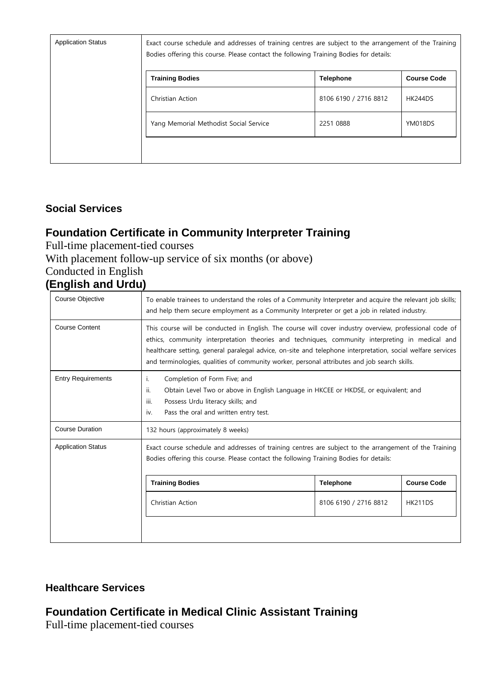| <b>Application Status</b> | Exact course schedule and addresses of training centres are subject to the arrangement of the Training<br>Bodies offering this course. Please contact the following Training Bodies for details: |                       |                    |
|---------------------------|--------------------------------------------------------------------------------------------------------------------------------------------------------------------------------------------------|-----------------------|--------------------|
|                           | <b>Training Bodies</b>                                                                                                                                                                           | <b>Telephone</b>      | <b>Course Code</b> |
|                           | Christian Action                                                                                                                                                                                 | 8106 6190 / 2716 8812 | <b>HK244DS</b>     |
|                           | Yang Memorial Methodist Social Service                                                                                                                                                           | 2251 0888             | YM018DS            |
|                           |                                                                                                                                                                                                  |                       |                    |

#### **Social Services**

# **Foundation Certificate in Community Interpreter Training**

Full-time placement-tied courses

#### With placement follow-up service of six months (or above)

Conducted in English

#### **(English and Urdu)**

| Course Objective          | To enable trainees to understand the roles of a Community Interpreter and acquire the relevant job skills;<br>and help them secure employment as a Community Interpreter or get a job in related industry.                                                                                                                                                                                                                |                       |                    |
|---------------------------|---------------------------------------------------------------------------------------------------------------------------------------------------------------------------------------------------------------------------------------------------------------------------------------------------------------------------------------------------------------------------------------------------------------------------|-----------------------|--------------------|
| <b>Course Content</b>     | This course will be conducted in English. The course will cover industry overview, professional code of<br>ethics, community interpretation theories and techniques, community interpreting in medical and<br>healthcare setting, general paralegal advice, on-site and telephone interpretation, social welfare services<br>and terminologies, qualities of community worker, personal attributes and job search skills. |                       |                    |
| <b>Entry Requirements</b> | Completion of Form Five; and<br>i.<br>ii.<br>Obtain Level Two or above in English Language in HKCEE or HKDSE, or equivalent; and<br>iii.<br>Possess Urdu literacy skills; and<br>Pass the oral and written entry test.<br>iv.                                                                                                                                                                                             |                       |                    |
| <b>Course Duration</b>    | 132 hours (approximately 8 weeks)                                                                                                                                                                                                                                                                                                                                                                                         |                       |                    |
| <b>Application Status</b> | Exact course schedule and addresses of training centres are subject to the arrangement of the Training<br>Bodies offering this course. Please contact the following Training Bodies for details:                                                                                                                                                                                                                          |                       |                    |
|                           | <b>Training Bodies</b>                                                                                                                                                                                                                                                                                                                                                                                                    | <b>Telephone</b>      | <b>Course Code</b> |
|                           | Christian Action                                                                                                                                                                                                                                                                                                                                                                                                          | 8106 6190 / 2716 8812 | <b>HK211DS</b>     |
|                           |                                                                                                                                                                                                                                                                                                                                                                                                                           |                       |                    |

#### **Healthcare Services**

#### **Foundation Certificate in Medical Clinic Assistant Training**

Full-time placement-tied courses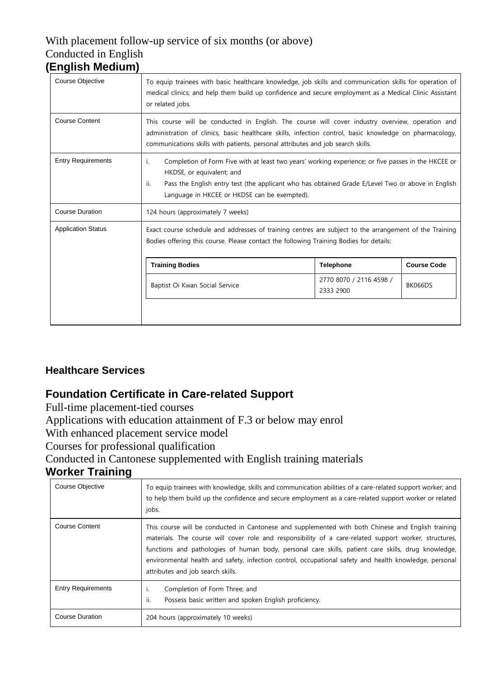#### With placement follow-up service of six months (or above) Conducted in English **(English Medium)**

| Course Objective          | To equip trainees with basic healthcare knowledge, job skills and communication skills for operation of<br>medical clinics; and help them build up confidence and secure employment as a Medical Clinic Assistant<br>or related jobs.                                                              |                                      |                    |
|---------------------------|----------------------------------------------------------------------------------------------------------------------------------------------------------------------------------------------------------------------------------------------------------------------------------------------------|--------------------------------------|--------------------|
| <b>Course Content</b>     | This course will be conducted in English. The course will cover industry overview, operation and<br>administration of clinics, basic healthcare skills, infection control, basic knowledge on pharmacology,<br>communications skills with patients, personal attributes and job search skills.     |                                      |                    |
| <b>Entry Requirements</b> | Completion of Form Five with at least two years' working experience; or five passes in the HKCEE or<br>i.<br>HKDSE, or equivalent; and<br>ii.<br>Pass the English entry test (the applicant who has obtained Grade E/Level Two or above in English<br>Language in HKCEE or HKDSE can be exempted). |                                      |                    |
| <b>Course Duration</b>    | 124 hours (approximately 7 weeks)                                                                                                                                                                                                                                                                  |                                      |                    |
| <b>Application Status</b> | Exact course schedule and addresses of training centres are subject to the arrangement of the Training<br>Bodies offering this course. Please contact the following Training Bodies for details:                                                                                                   |                                      |                    |
|                           | <b>Training Bodies</b>                                                                                                                                                                                                                                                                             | <b>Telephone</b>                     | <b>Course Code</b> |
|                           | Baptist Oi Kwan Social Service                                                                                                                                                                                                                                                                     | 2770 8070 / 2116 4598 /<br>2333 2900 | <b>BK066DS</b>     |
|                           |                                                                                                                                                                                                                                                                                                    |                                      |                    |

#### **Healthcare Services**

#### **Foundation Certificate in Care-related Support**

Full-time placement-tied courses

Applications with education attainment of F.3 or below may enrol

With enhanced placement service model

Courses for professional qualification

Conducted in Cantonese supplemented with English training materials

#### **Worker Training**

| Course Objective                                      | To equip trainees with knowledge, skills and communication abilities of a care-related support worker; and<br>to help them build up the confidence and secure employment as a care-related support worker or related<br>jobs.                                                                                                                                                                                                                                      |
|-------------------------------------------------------|--------------------------------------------------------------------------------------------------------------------------------------------------------------------------------------------------------------------------------------------------------------------------------------------------------------------------------------------------------------------------------------------------------------------------------------------------------------------|
| <b>Course Content</b>                                 | This course will be conducted in Cantonese and supplemented with both Chinese and English training<br>materials. The course will cover role and responsibility of a care-related support worker, structures,<br>functions and pathologies of human body, personal care skills, patient care skills, drug knowledge,<br>environmental health and safety, infection control, occupational safety and health knowledge, personal<br>attributes and job search skills. |
| <b>Entry Requirements</b>                             | Completion of Form Three; and<br>Τ.<br>Possess basic written and spoken English proficiency.<br>н.                                                                                                                                                                                                                                                                                                                                                                 |
| Course Duration<br>204 hours (approximately 10 weeks) |                                                                                                                                                                                                                                                                                                                                                                                                                                                                    |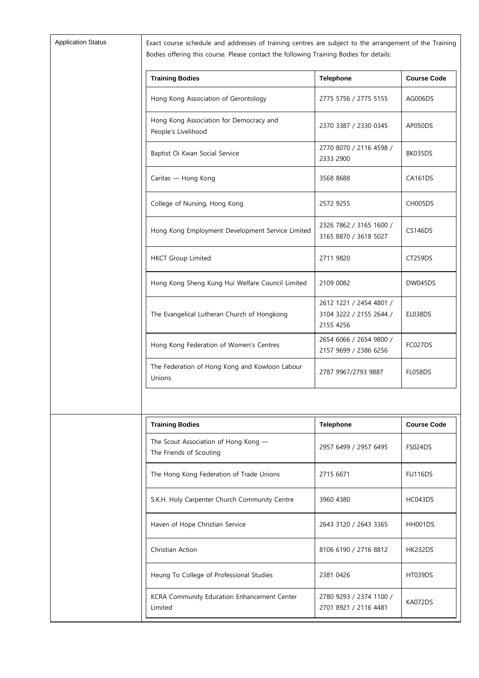Exact course schedule and addresses of training centres are subject to the arrangement of the Training Bodies offering this course. Please contact the following Training Bodies for details:

| <b>Training Bodies</b>                                         | <b>Telephone</b>                                                | <b>Course Code</b> |
|----------------------------------------------------------------|-----------------------------------------------------------------|--------------------|
| Hong Kong Association of Gerontology                           | 2775 5756 / 2775 5155                                           | AG006DS            |
| Hong Kong Association for Democracy and<br>People's Livelihood | 2370 3387 / 2330 0345                                           | AP050DS            |
| Baptist Oi Kwan Social Service                                 | 2770 8070 / 2116 4598 /<br>2333 2900                            | BK035DS            |
| Caritas — Hong Kong                                            | 3568 8688                                                       | <b>CA161DS</b>     |
| College of Nursing, Hong Kong                                  | 2572 9255                                                       | CH005DS            |
| Hong Kong Employment Development Service Limited               | 2326 7862 / 3165 1600 /<br>3165 8870 / 3618 5027                | <b>CS146DS</b>     |
| <b>HKCT Group Limited</b>                                      | 2711 9820                                                       | CT259DS            |
| Hong Kong Sheng Kung Hui Welfare Council Limited               | 2109 0082                                                       | <b>DW045DS</b>     |
| The Evangelical Lutheran Church of Hongkong                    | 2612 1221 / 2454 4801 /<br>3104 3222 / 2155 2644 /<br>2155 4256 | EL038DS            |
| Hong Kong Federation of Women's Centres                        | 2654 6066 / 2654 9800 /<br>2157 9699 / 2386 6256                | FC027DS            |
| The Federation of Hong Kong and Kowloon Labour<br>Unions       | 2787 9967/2793 9887                                             | <b>FL058DS</b>     |

| <b>Training Bodies</b>                                          | <b>Telephone</b>                                 | <b>Course Code</b> |
|-----------------------------------------------------------------|--------------------------------------------------|--------------------|
| The Scout Association of Hong Kong —<br>The Friends of Scouting | 2957 6499 / 2957 6495                            | <b>FS024DS</b>     |
| The Hong Kong Federation of Trade Unions                        | 2715 6671                                        | <b>FU116DS</b>     |
| S.K.H. Holy Carpenter Church Community Centre                   | 3960 4380                                        | HC043DS            |
| Haven of Hope Christian Service                                 | 2643 3120 / 2643 3365                            | HH001DS            |
| Christian Action                                                | 8106 6190 / 2716 8812                            | <b>HK232DS</b>     |
| Heung To College of Professional Studies                        | 2381 0426                                        | <b>HT039DS</b>     |
| KCRA Community Education Enhancement Center<br>Limited          | 2780 9293 / 2374 1100 /<br>2701 8921 / 2116 4481 | KA072DS            |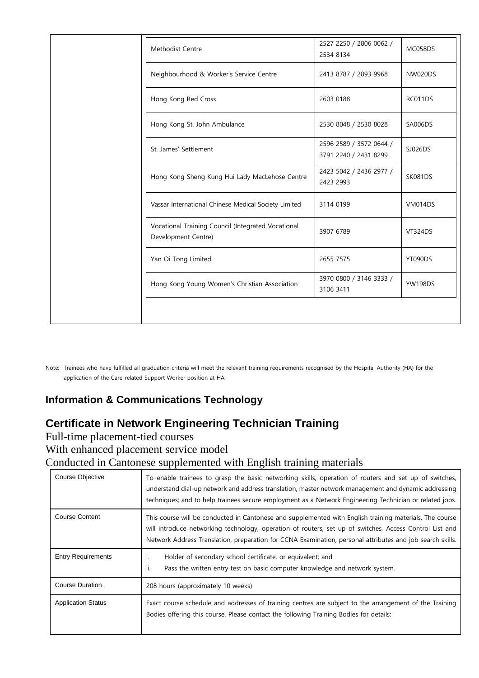| Methodist Centre                                                          | 2527 2250 / 2806 0062 /<br>2534 8134             | MC058DS        |
|---------------------------------------------------------------------------|--------------------------------------------------|----------------|
| Neighbourhood & Worker's Service Centre                                   | 2413 8787 / 2893 9968                            | <b>NW020DS</b> |
| Hong Kong Red Cross                                                       | 2603 0188                                        | RC011DS        |
| Hong Kong St. John Ambulance                                              | 2530 8048 / 2530 8028                            | SA006DS        |
| St. James' Settlement                                                     | 2596 2589 / 3572 0644 /<br>3791 2240 / 2431 8299 | SJ026DS        |
| Hong Kong Sheng Kung Hui Lady MacLehose Centre                            | 2423 5042 / 2436 2977 /<br>2423 2993             | SK081DS        |
| Vassar International Chinese Medical Society Limited                      | 3114 0199                                        | <b>VM014DS</b> |
| Vocational Training Council (Integrated Vocational<br>Development Centre) | 3907 6789                                        | <b>VT324DS</b> |
| Yan Oi Tong Limited                                                       | 2655 7575                                        | YT090DS        |
| Hong Kong Young Women's Christian Association                             | 3970 0800 / 3146 3333 /<br>3106 3411             | <b>YW198DS</b> |
|                                                                           |                                                  |                |

Note: Trainees who have fulfilled all graduation criteria will meet the relevant training requirements recognised by the Hospital Authority (HA) for the application of the Care-related Support Worker position at HA.

#### **Information & Communications Technology**

## **Certificate in Network Engineering Technician Training**

Full-time placement-tied courses

With enhanced placement service model

Conducted in Cantonese supplemented with English training materials

| Course Objective          | To enable trainees to grasp the basic networking skills, operation of routers and set up of switches,<br>understand dial-up network and address translation, master network management and dynamic addressing<br>techniques; and to help trainees secure employment as a Network Engineering Technician or related jobs.        |  |
|---------------------------|---------------------------------------------------------------------------------------------------------------------------------------------------------------------------------------------------------------------------------------------------------------------------------------------------------------------------------|--|
| <b>Course Content</b>     | This course will be conducted in Cantonese and supplemented with English training materials. The course<br>will introduce networking technology, operation of routers, set up of switches, Access Control List and<br>Network Address Translation, preparation for CCNA Examination, personal attributes and job search skills. |  |
| <b>Entry Requirements</b> | Holder of secondary school certificate, or equivalent; and<br>п.<br>Pass the written entry test on basic computer knowledge and network system.<br>H.                                                                                                                                                                           |  |
| <b>Course Duration</b>    | 208 hours (approximately 10 weeks)                                                                                                                                                                                                                                                                                              |  |
| <b>Application Status</b> | Exact course schedule and addresses of training centres are subject to the arrangement of the Training<br>Bodies offering this course. Please contact the following Training Bodies for details:                                                                                                                                |  |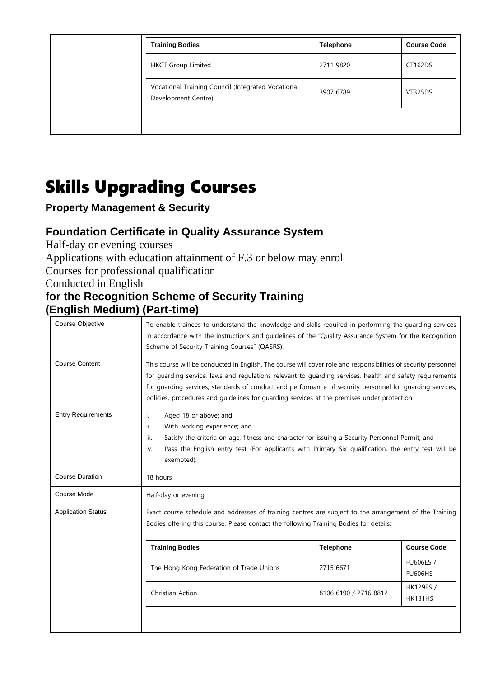|  | <b>Training Bodies</b>                                                    | <b>Telephone</b> | <b>Course Code</b> |
|--|---------------------------------------------------------------------------|------------------|--------------------|
|  | <b>HKCT Group Limited</b>                                                 | 2711 9820        | CT162DS            |
|  | Vocational Training Council (Integrated Vocational<br>Development Centre) | 3907 6789        | <b>VT325DS</b>     |
|  |                                                                           |                  |                    |

# Skills Upgrading Courses

## **Property Management & Security**

## **Foundation Certificate in Quality Assurance System**

Half-day or evening courses

Applications with education attainment of F.3 or below may enrol

Courses for professional qualification

Conducted in English

#### **for the Recognition Scheme of Security Training (English Medium) (Part-time)**

| Course Objective          | To enable trainees to understand the knowledge and skills required in performing the guarding services<br>in accordance with the instructions and quidelines of the "Quality Assurance System for the Recognition<br>Scheme of Security Training Courses" (QASRS).                                                                                                                                                                     |                       |                             |
|---------------------------|----------------------------------------------------------------------------------------------------------------------------------------------------------------------------------------------------------------------------------------------------------------------------------------------------------------------------------------------------------------------------------------------------------------------------------------|-----------------------|-----------------------------|
| <b>Course Content</b>     | This course will be conducted in English. The course will cover role and responsibilities of security personnel<br>for guarding service, laws and regulations relevant to guarding services, health and safety requirements<br>for quarding services, standards of conduct and performance of security personnel for quarding services,<br>policies, procedures and guidelines for guarding services at the premises under protection. |                       |                             |
| <b>Entry Requirements</b> | Aged 18 or above; and<br>i.<br>With working experience; and<br>ii.<br>Satisfy the criteria on age, fitness and character for issuing a Security Personnel Permit; and<br>iii.<br>Pass the English entry test (For applicants with Primary Six qualification, the entry test will be<br>iv.<br>exempted).                                                                                                                               |                       |                             |
| <b>Course Duration</b>    | 18 hours                                                                                                                                                                                                                                                                                                                                                                                                                               |                       |                             |
| Course Mode               | Half-day or evening                                                                                                                                                                                                                                                                                                                                                                                                                    |                       |                             |
| <b>Application Status</b> | Exact course schedule and addresses of training centres are subject to the arrangement of the Training<br>Bodies offering this course. Please contact the following Training Bodies for details:                                                                                                                                                                                                                                       |                       |                             |
|                           | <b>Training Bodies</b>                                                                                                                                                                                                                                                                                                                                                                                                                 | <b>Telephone</b>      | <b>Course Code</b>          |
|                           | The Hong Kong Federation of Trade Unions                                                                                                                                                                                                                                                                                                                                                                                               | 2715 6671             | FU606ES /<br><b>FU606HS</b> |
|                           | Christian Action                                                                                                                                                                                                                                                                                                                                                                                                                       | 8106 6190 / 2716 8812 | HK129ES /<br><b>HK131HS</b> |
|                           |                                                                                                                                                                                                                                                                                                                                                                                                                                        |                       |                             |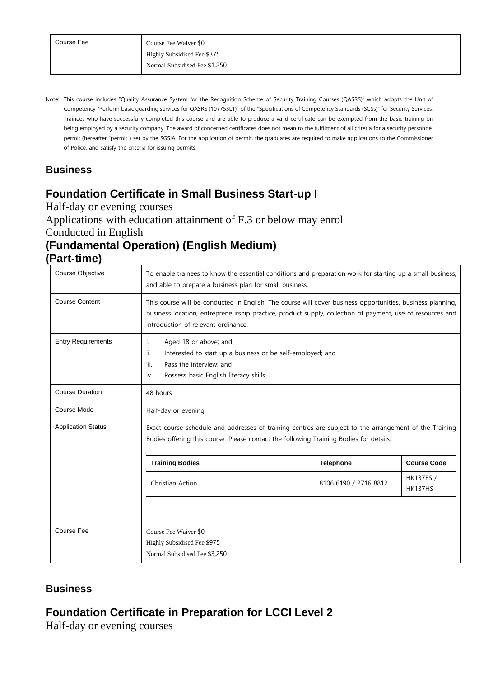Note: This course includes "Quality Assurance System for the Recognition Scheme of Security Training Courses (QASRS)" which adopts the Unit of Competency "Perform basic guarding services for QASRS (107753L1)" of the "Specifications of Competency Standards (SCSs)" for Security Services. Trainees who have successfully completed this course and are able to produce a valid certificate can be exempted from the basic training on being employed by a security company. The award of concerned certificates does not mean to the fulfilment of all criteria for a security personnel permit (hereafter "permit") set by the SGSIA. For the application of permit, the graduates are required to make applications to the Commissioner of Police, and satisfy the criteria for issuing permits.

#### **Business**

#### **Foundation Certificate in Small Business Start-up I**

Half-day or evening courses

Applications with education attainment of F.3 or below may enrol

Conducted in English

# **(Fundamental Operation) (English Medium)**

**(Part-time)**

| Course Objective          | To enable trainees to know the essential conditions and preparation work for starting up a small business,<br>and able to prepare a business plan for small business.                                                                                          |                  |                    |  |
|---------------------------|----------------------------------------------------------------------------------------------------------------------------------------------------------------------------------------------------------------------------------------------------------------|------------------|--------------------|--|
| <b>Course Content</b>     | This course will be conducted in English. The course will cover business opportunities, business planning,<br>business location, entrepreneurship practice, product supply, collection of payment, use of resources and<br>introduction of relevant ordinance. |                  |                    |  |
| <b>Entry Requirements</b> | Aged 18 or above; and<br>ı.<br>ii.<br>Interested to start up a business or be self-employed; and<br>Pass the interview; and<br>iii.<br>Possess basic English literacy skills.<br>iv.                                                                           |                  |                    |  |
| <b>Course Duration</b>    | 48 hours                                                                                                                                                                                                                                                       |                  |                    |  |
| Course Mode               | Half-day or evening                                                                                                                                                                                                                                            |                  |                    |  |
| <b>Application Status</b> | Exact course schedule and addresses of training centres are subject to the arrangement of the Training<br>Bodies offering this course. Please contact the following Training Bodies for details:                                                               |                  |                    |  |
|                           | <b>Training Bodies</b>                                                                                                                                                                                                                                         | <b>Telephone</b> | <b>Course Code</b> |  |
|                           | <b>HK137ES /</b><br>Christian Action<br>8106 6190 / 2716 8812<br>HK137HS                                                                                                                                                                                       |                  |                    |  |
|                           |                                                                                                                                                                                                                                                                |                  |                    |  |
| Course Fee                | Course Fee Waiver \$0<br>Highly Subsidised Fee \$975<br>Normal Subsidised Fee \$3,250                                                                                                                                                                          |                  |                    |  |

#### **Business**

#### **Foundation Certificate in Preparation for LCCI Level 2**

Half-day or evening courses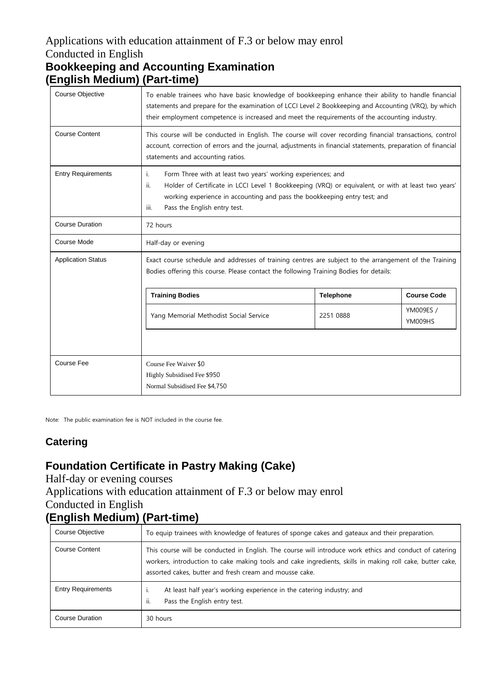#### Applications with education attainment of F.3 or below may enrol Conducted in English **Bookkeeping and Accounting Examination**

# **(English Medium) (Part-time)**

| <b>Course Objective</b>   | To enable trainees who have basic knowledge of bookkeeping enhance their ability to handle financial<br>statements and prepare for the examination of LCCI Level 2 Bookkeeping and Accounting (VRQ), by which<br>their employment competence is increased and meet the requirements of the accounting industry. |                  |                      |
|---------------------------|-----------------------------------------------------------------------------------------------------------------------------------------------------------------------------------------------------------------------------------------------------------------------------------------------------------------|------------------|----------------------|
| <b>Course Content</b>     | This course will be conducted in English. The course will cover recording financial transactions, control<br>account, correction of errors and the journal, adjustments in financial statements, preparation of financial<br>statements and accounting ratios.                                                  |                  |                      |
| <b>Entry Requirements</b> | Form Three with at least two years' working experiences; and<br>i.<br>Holder of Certificate in LCCI Level 1 Bookkeeping (VRQ) or equivalent, or with at least two years'<br>ii.<br>working experience in accounting and pass the bookkeeping entry test; and<br>Pass the English entry test.<br>iii.            |                  |                      |
| <b>Course Duration</b>    | 72 hours                                                                                                                                                                                                                                                                                                        |                  |                      |
| Course Mode               | Half-day or evening                                                                                                                                                                                                                                                                                             |                  |                      |
| <b>Application Status</b> | Exact course schedule and addresses of training centres are subject to the arrangement of the Training<br>Bodies offering this course. Please contact the following Training Bodies for details:                                                                                                                |                  |                      |
|                           | <b>Training Bodies</b>                                                                                                                                                                                                                                                                                          | <b>Telephone</b> | <b>Course Code</b>   |
|                           | Yang Memorial Methodist Social Service                                                                                                                                                                                                                                                                          | 2251 0888        | YM009ES /<br>YM009HS |
|                           |                                                                                                                                                                                                                                                                                                                 |                  |                      |
| Course Fee                | Course Fee Waiver \$0<br>Highly Subsidised Fee \$950<br>Normal Subsidised Fee \$4,750                                                                                                                                                                                                                           |                  |                      |

Note: The public examination fee is NOT included in the course fee.

#### **Catering**

## **Foundation Certificate in Pastry Making (Cake)**

Half-day or evening courses

Applications with education attainment of F.3 or below may enrol

#### Conducted in English **(English Medium) (Part-time)**

| Course Objective          | To equip trainees with knowledge of features of sponge cakes and gateaux and their preparation.                                                                                                                                                                                 |
|---------------------------|---------------------------------------------------------------------------------------------------------------------------------------------------------------------------------------------------------------------------------------------------------------------------------|
| <b>Course Content</b>     | This course will be conducted in English. The course will introduce work ethics and conduct of catering<br>workers, introduction to cake making tools and cake ingredients, skills in making roll cake, butter cake,<br>assorted cakes, butter and fresh cream and mousse cake. |
| <b>Entry Requirements</b> | At least half year's working experience in the catering industry; and<br>ii.<br>Pass the English entry test.                                                                                                                                                                    |
| <b>Course Duration</b>    | 30 hours                                                                                                                                                                                                                                                                        |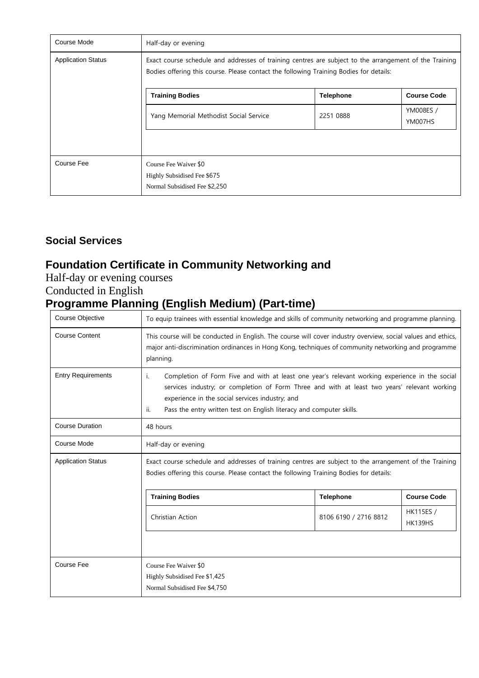| Course Mode               | Half-day or evening                                                                                                                                                                              |                  |                      |
|---------------------------|--------------------------------------------------------------------------------------------------------------------------------------------------------------------------------------------------|------------------|----------------------|
| <b>Application Status</b> | Exact course schedule and addresses of training centres are subject to the arrangement of the Training<br>Bodies offering this course. Please contact the following Training Bodies for details: |                  |                      |
|                           | <b>Training Bodies</b>                                                                                                                                                                           | <b>Telephone</b> | <b>Course Code</b>   |
|                           | Yang Memorial Methodist Social Service                                                                                                                                                           | 2251 0888        | YM008ES /<br>YM007HS |
|                           |                                                                                                                                                                                                  |                  |                      |
| Course Fee                | Course Fee Waiver \$0<br>Highly Subsidised Fee \$675<br>Normal Subsidised Fee \$2,250                                                                                                            |                  |                      |

#### **Social Services**

## **Foundation Certificate in Community Networking and**

Half-day or evening courses Conducted in English

# **Programme Planning (English Medium) (Part-time)**

| Course Objective          | To equip trainees with essential knowledge and skills of community networking and programme planning.                                                                                                                                                                                                                                  |  |  |  |
|---------------------------|----------------------------------------------------------------------------------------------------------------------------------------------------------------------------------------------------------------------------------------------------------------------------------------------------------------------------------------|--|--|--|
| <b>Course Content</b>     | This course will be conducted in English. The course will cover industry overview, social values and ethics,<br>major anti-discrimination ordinances in Hong Kong, techniques of community networking and programme<br>planning.                                                                                                       |  |  |  |
| <b>Entry Requirements</b> | Completion of Form Five and with at least one year's relevant working experience in the social<br>i.<br>services industry; or completion of Form Three and with at least two years' relevant working<br>experience in the social services industry; and<br>Pass the entry written test on English literacy and computer skills.<br>ii. |  |  |  |
| <b>Course Duration</b>    | 48 hours                                                                                                                                                                                                                                                                                                                               |  |  |  |
| Course Mode               | Half-day or evening                                                                                                                                                                                                                                                                                                                    |  |  |  |
| <b>Application Status</b> | Exact course schedule and addresses of training centres are subject to the arrangement of the Training<br>Bodies offering this course. Please contact the following Training Bodies for details:                                                                                                                                       |  |  |  |
|                           | <b>Course Code</b><br><b>Training Bodies</b><br><b>Telephone</b>                                                                                                                                                                                                                                                                       |  |  |  |
|                           | <b>HK115ES /</b><br>Christian Action<br>8106 6190 / 2716 8812<br><b>HK139HS</b>                                                                                                                                                                                                                                                        |  |  |  |
|                           |                                                                                                                                                                                                                                                                                                                                        |  |  |  |
| Course Fee                | Course Fee Waiver \$0<br>Highly Subsidised Fee \$1,425<br>Normal Subsidised Fee \$4,750                                                                                                                                                                                                                                                |  |  |  |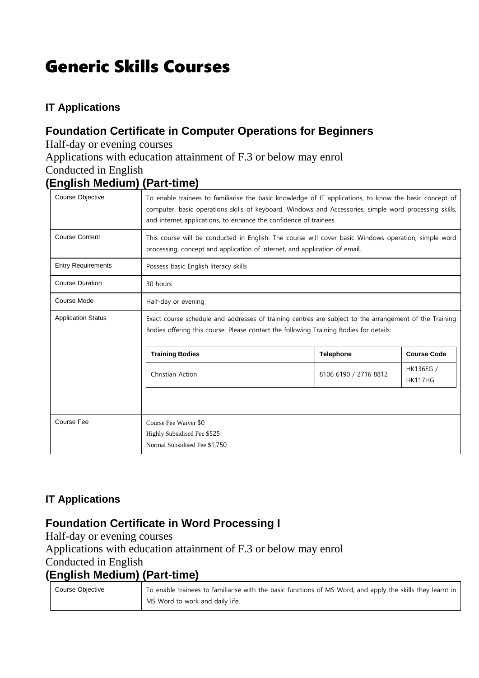# Generic Skills Courses

#### **IT Applications**

### **Foundation Certificate in Computer Operations for Beginners**

Half-day or evening courses

Applications with education attainment of F.3 or below may enrol

Conducted in English

#### **(English Medium) (Part-time)**

| <b>Course Objective</b>   | To enable trainees to familiarise the basic knowledge of IT applications, to know the basic concept of<br>computer, basic operations skills of keyboard, Windows and Accessories, simple word processing skills,<br>and internet applications, to enhance the confidence of trainees. |  |  |  |
|---------------------------|---------------------------------------------------------------------------------------------------------------------------------------------------------------------------------------------------------------------------------------------------------------------------------------|--|--|--|
| <b>Course Content</b>     | This course will be conducted in English. The course will cover basic Windows operation, simple word<br>processing, concept and application of internet, and application of email.                                                                                                    |  |  |  |
| <b>Entry Requirements</b> | Possess basic English literacy skills                                                                                                                                                                                                                                                 |  |  |  |
| <b>Course Duration</b>    | 30 hours                                                                                                                                                                                                                                                                              |  |  |  |
| Course Mode               | Half-day or evening                                                                                                                                                                                                                                                                   |  |  |  |
| <b>Application Status</b> | Exact course schedule and addresses of training centres are subject to the arrangement of the Training<br>Bodies offering this course. Please contact the following Training Bodies for details:                                                                                      |  |  |  |
|                           | <b>Training Bodies</b><br><b>Course Code</b><br><b>Telephone</b>                                                                                                                                                                                                                      |  |  |  |
|                           | HK136EG /<br>8106 6190 / 2716 8812<br>Christian Action<br>HK117HG                                                                                                                                                                                                                     |  |  |  |
|                           |                                                                                                                                                                                                                                                                                       |  |  |  |
| Course Fee                | Course Fee Waiver \$0<br>Highly Subsidised Fee \$525<br>Normal Subsidised Fee \$1,750                                                                                                                                                                                                 |  |  |  |

#### **IT Applications**

#### **Foundation Certificate in Word Processing I**

Half-day or evening courses Applications with education attainment of F.3 or below may enrol Conducted in English **(English Medium) (Part-time)**

| Course Objective | To enable trainees to familiarise with the basic functions of MS Word, and apply the skills they learnt in |
|------------------|------------------------------------------------------------------------------------------------------------|
|                  | MS Word to work and daily life.                                                                            |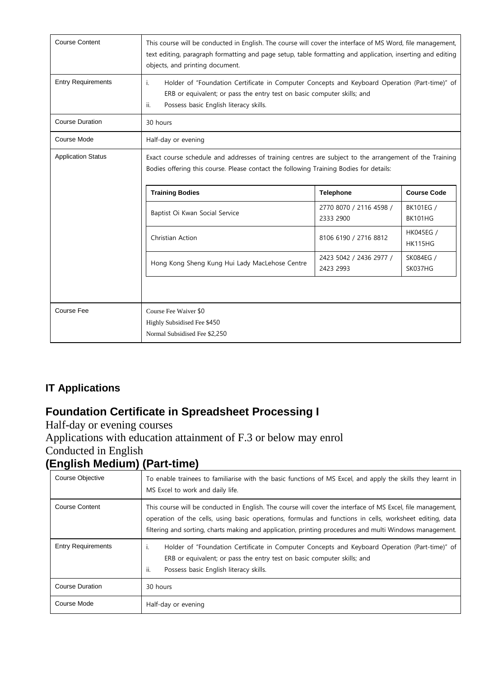| <b>Course Content</b>     | This course will be conducted in English. The course will cover the interface of MS Word, file management,<br>text editing, paragraph formatting and page setup, table formatting and application, inserting and editing<br>objects, and printing document.          |                                      |                                    |
|---------------------------|----------------------------------------------------------------------------------------------------------------------------------------------------------------------------------------------------------------------------------------------------------------------|--------------------------------------|------------------------------------|
| <b>Entry Requirements</b> | Holder of "Foundation Certificate in Computer Concepts and Keyboard Operation (Part-time)" of<br>i.<br>ERB or equivalent; or pass the entry test on basic computer skills; and<br>Possess basic English literacy skills.<br>ii.                                      |                                      |                                    |
| <b>Course Duration</b>    | 30 hours                                                                                                                                                                                                                                                             |                                      |                                    |
| Course Mode               | Half-day or evening                                                                                                                                                                                                                                                  |                                      |                                    |
| <b>Application Status</b> | Exact course schedule and addresses of training centres are subject to the arrangement of the Training<br>Bodies offering this course. Please contact the following Training Bodies for details:<br><b>Course Code</b><br><b>Training Bodies</b><br><b>Telephone</b> |                                      |                                    |
|                           | Baptist Oi Kwan Social Service                                                                                                                                                                                                                                       | 2770 8070 / 2116 4598 /<br>2333 2900 | BK101EG /<br><b>BK101HG</b>        |
|                           | Christian Action                                                                                                                                                                                                                                                     | 8106 6190 / 2716 8812                | <b>HK045EG /</b><br><b>HK115HG</b> |
|                           | Hong Kong Sheng Kung Hui Lady MacLehose Centre                                                                                                                                                                                                                       | 2423 5042 / 2436 2977 /<br>2423 2993 | SK084EG /<br>SK037HG               |
| <b>Course Fee</b>         | Course Fee Waiver \$0<br>Highly Subsidised Fee \$450<br>Normal Subsidised Fee \$2,250                                                                                                                                                                                |                                      |                                    |

#### **IT Applications**

## **Foundation Certificate in Spreadsheet Processing I**

Half-day or evening courses Applications with education attainment of F.3 or below may enrol Conducted in English **(English Medium) (Part-time)**

| Course Objective          | To enable trainees to familiarise with the basic functions of MS Excel, and apply the skills they learnt in<br>MS Excel to work and daily life.                                                                                                                                                                                    |
|---------------------------|------------------------------------------------------------------------------------------------------------------------------------------------------------------------------------------------------------------------------------------------------------------------------------------------------------------------------------|
| <b>Course Content</b>     | This course will be conducted in English. The course will cover the interface of MS Excel, file management,<br>operation of the cells, using basic operations, formulas and functions in cells, worksheet editing, data<br>filtering and sorting, charts making and application, printing procedures and multi Windows management. |
| <b>Entry Requirements</b> | Holder of "Foundation Certificate in Computer Concepts and Keyboard Operation (Part-time)" of<br>L.<br>ERB or equivalent; or pass the entry test on basic computer skills; and<br>Possess basic English literacy skills.<br>÷ii.                                                                                                   |
| <b>Course Duration</b>    | 30 hours                                                                                                                                                                                                                                                                                                                           |
| Course Mode               | Half-day or evening                                                                                                                                                                                                                                                                                                                |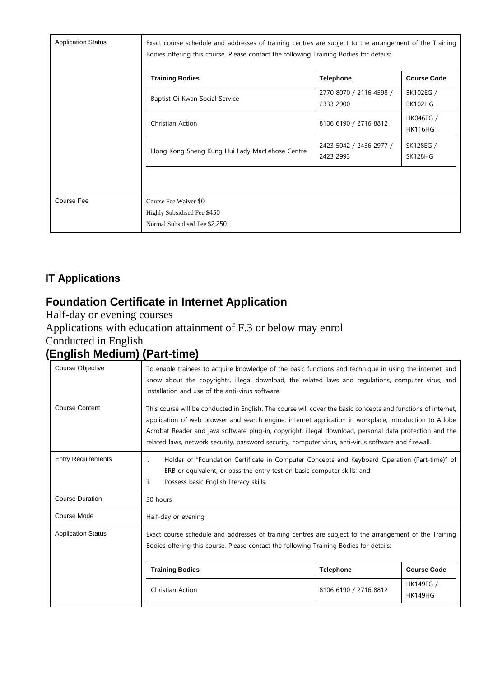| <b>Application Status</b> | Exact course schedule and addresses of training centres are subject to the arrangement of the Training<br>Bodies offering this course. Please contact the following Training Bodies for details: |                                      |                                    |
|---------------------------|--------------------------------------------------------------------------------------------------------------------------------------------------------------------------------------------------|--------------------------------------|------------------------------------|
|                           | <b>Training Bodies</b>                                                                                                                                                                           | <b>Telephone</b>                     | <b>Course Code</b>                 |
|                           | Baptist Oi Kwan Social Service                                                                                                                                                                   | 2770 8070 / 2116 4598 /<br>2333 2900 | BK102EG /<br>BK102HG               |
|                           | Christian Action                                                                                                                                                                                 | 8106 6190 / 2716 8812                | <b>HK046EG /</b><br><b>HK116HG</b> |
|                           | Hong Kong Sheng Kung Hui Lady MacLehose Centre                                                                                                                                                   | 2423 5042 / 2436 2977 /<br>2423 2993 | SK128EG /<br>SK128HG               |
|                           |                                                                                                                                                                                                  |                                      |                                    |
| Course Fee                | Course Fee Waiver \$0<br>Highly Subsidised Fee \$450<br>Normal Subsidised Fee \$2,250                                                                                                            |                                      |                                    |

#### **IT Applications**

# **Foundation Certificate in Internet Application**

Half-day or evening courses

Applications with education attainment of F.3 or below may enrol

Conducted in English

# **(English Medium) (Part-time)**

| Course Objective          | To enable trainees to acquire knowledge of the basic functions and technique in using the internet, and<br>know about the copyrights, illegal download, the related laws and regulations, computer virus, and<br>installation and use of the anti-virus software.                                                                                                                                                                          |                       |                                    |
|---------------------------|--------------------------------------------------------------------------------------------------------------------------------------------------------------------------------------------------------------------------------------------------------------------------------------------------------------------------------------------------------------------------------------------------------------------------------------------|-----------------------|------------------------------------|
| <b>Course Content</b>     | This course will be conducted in English. The course will cover the basic concepts and functions of internet,<br>application of web browser and search engine, internet application in workplace, introduction to Adobe<br>Acrobat Reader and java software plug-in, copyright, illegal download, personal data protection and the<br>related laws, network security, password security, computer virus, anti-virus software and firewall. |                       |                                    |
| <b>Entry Requirements</b> | Holder of "Foundation Certificate in Computer Concepts and Keyboard Operation (Part-time)" of<br>i.<br>ERB or equivalent; or pass the entry test on basic computer skills; and<br>ii.<br>Possess basic English literacy skills.                                                                                                                                                                                                            |                       |                                    |
| <b>Course Duration</b>    | 30 hours                                                                                                                                                                                                                                                                                                                                                                                                                                   |                       |                                    |
| Course Mode               | Half-day or evening                                                                                                                                                                                                                                                                                                                                                                                                                        |                       |                                    |
| <b>Application Status</b> | Exact course schedule and addresses of training centres are subject to the arrangement of the Training<br>Bodies offering this course. Please contact the following Training Bodies for details:                                                                                                                                                                                                                                           |                       |                                    |
|                           | <b>Training Bodies</b>                                                                                                                                                                                                                                                                                                                                                                                                                     | <b>Telephone</b>      | <b>Course Code</b>                 |
|                           | Christian Action                                                                                                                                                                                                                                                                                                                                                                                                                           | 8106 6190 / 2716 8812 | <b>HK149EG /</b><br><b>HK149HG</b> |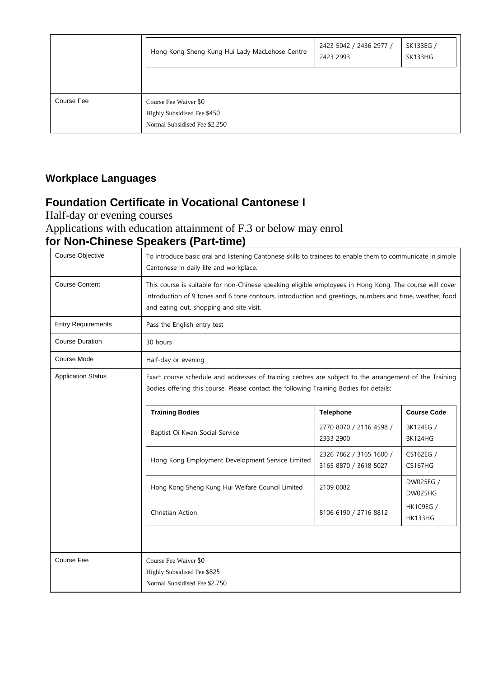|            | Hong Kong Sheng Kung Hui Lady MacLehose Centre                                        | 2423 5042 / 2436 2977 /<br>2423 2993 | SK133EG /<br>SK133HG |
|------------|---------------------------------------------------------------------------------------|--------------------------------------|----------------------|
|            |                                                                                       |                                      |                      |
| Course Fee | Course Fee Waiver \$0<br>Highly Subsidised Fee \$450<br>Normal Subsidised Fee \$2,250 |                                      |                      |

#### **Foundation Certificate in Vocational Cantonese I**

Half-day or evening courses

Applications with education attainment of F.3 or below may enrol **for Non-Chinese Speakers (Part-time)**

| Course Objective          | To introduce basic oral and listening Cantonese skills to trainees to enable them to communicate in simple<br>Cantonese in daily life and workplace.                                                                                                            |                                                  |                             |  |
|---------------------------|-----------------------------------------------------------------------------------------------------------------------------------------------------------------------------------------------------------------------------------------------------------------|--------------------------------------------------|-----------------------------|--|
| <b>Course Content</b>     | This course is suitable for non-Chinese speaking eligible employees in Hong Kong. The course will cover<br>introduction of 9 tones and 6 tone contours, introduction and greetings, numbers and time, weather, food<br>and eating out, shopping and site visit. |                                                  |                             |  |
| <b>Entry Requirements</b> | Pass the English entry test                                                                                                                                                                                                                                     |                                                  |                             |  |
| <b>Course Duration</b>    | 30 hours                                                                                                                                                                                                                                                        |                                                  |                             |  |
| Course Mode               | Half-day or evening                                                                                                                                                                                                                                             |                                                  |                             |  |
| <b>Application Status</b> | Exact course schedule and addresses of training centres are subject to the arrangement of the Training<br>Bodies offering this course. Please contact the following Training Bodies for details:                                                                |                                                  |                             |  |
|                           | <b>Training Bodies</b><br><b>Telephone</b><br><b>Course Code</b>                                                                                                                                                                                                |                                                  |                             |  |
|                           | Baptist Oi Kwan Social Service                                                                                                                                                                                                                                  | 2770 8070 / 2116 4598 /<br>2333 2900             | BK124EG /<br>BK124HG        |  |
|                           | Hong Kong Employment Development Service Limited                                                                                                                                                                                                                | 2326 7862 / 3165 1600 /<br>3165 8870 / 3618 5027 | CS162EG /<br><b>CS167HG</b> |  |
|                           | Hong Kong Sheng Kung Hui Welfare Council Limited                                                                                                                                                                                                                | 2109 0082                                        | DW025EG /<br>DW025HG        |  |
|                           | Christian Action                                                                                                                                                                                                                                                | 8106 6190 / 2716 8812                            | HK109EG /<br>HK133HG        |  |
|                           |                                                                                                                                                                                                                                                                 |                                                  |                             |  |
| <b>Course Fee</b>         | Course Fee Waiver \$0<br>Highly Subsidised Fee \$825<br>Normal Subsidised Fee \$2,750                                                                                                                                                                           |                                                  |                             |  |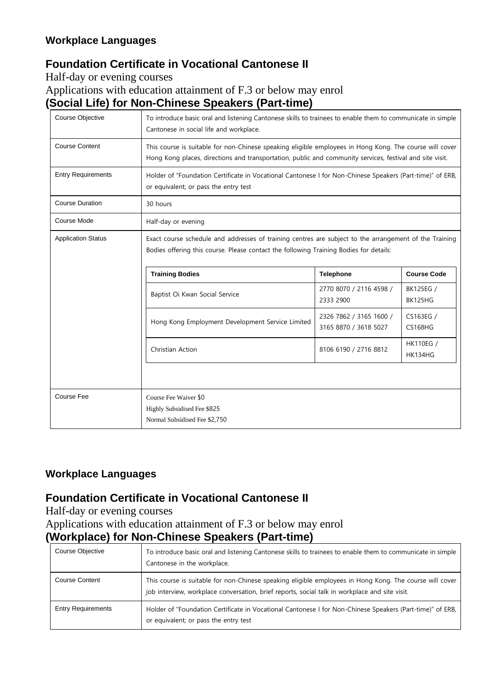## **Foundation Certificate in Vocational Cantonese II**

Half-day or evening courses

Applications with education attainment of F.3 or below may enrol

**(Social Life) for Non-Chinese Speakers (Part-time)**

| <b>Course Objective</b>                                          | To introduce basic oral and listening Cantonese skills to trainees to enable them to communicate in simple<br>Cantonese in social life and workplace.                                                               |                                                  |                             |  |
|------------------------------------------------------------------|---------------------------------------------------------------------------------------------------------------------------------------------------------------------------------------------------------------------|--------------------------------------------------|-----------------------------|--|
| <b>Course Content</b>                                            | This course is suitable for non-Chinese speaking eligible employees in Hong Kong. The course will cover<br>Hong Kong places, directions and transportation, public and community services, festival and site visit. |                                                  |                             |  |
| <b>Entry Requirements</b>                                        | Holder of "Foundation Certificate in Vocational Cantonese I for Non-Chinese Speakers (Part-time)" of ERB,<br>or equivalent; or pass the entry test                                                                  |                                                  |                             |  |
| <b>Course Duration</b>                                           | 30 hours                                                                                                                                                                                                            |                                                  |                             |  |
| Course Mode                                                      | Half-day or evening                                                                                                                                                                                                 |                                                  |                             |  |
| <b>Application Status</b>                                        | Exact course schedule and addresses of training centres are subject to the arrangement of the Training<br>Bodies offering this course. Please contact the following Training Bodies for details:                    |                                                  |                             |  |
| <b>Training Bodies</b><br><b>Course Code</b><br><b>Telephone</b> |                                                                                                                                                                                                                     |                                                  |                             |  |
|                                                                  | Baptist Oi Kwan Social Service                                                                                                                                                                                      | 2770 8070 / 2116 4598 /<br>2333 2900             | BK125EG /<br>BK125HG        |  |
|                                                                  | Hong Kong Employment Development Service Limited                                                                                                                                                                    | 2326 7862 / 3165 1600 /<br>3165 8870 / 3618 5027 | CS163EG /<br><b>CS168HG</b> |  |
|                                                                  | Christian Action                                                                                                                                                                                                    | 8106 6190 / 2716 8812                            | <b>HK110EG /</b><br>HK134HG |  |
|                                                                  |                                                                                                                                                                                                                     |                                                  |                             |  |
| Course Fee                                                       | Course Fee Waiver \$0<br>Highly Subsidised Fee \$825<br>Normal Subsidised Fee \$2,750                                                                                                                               |                                                  |                             |  |

#### **Workplace Languages**

## **Foundation Certificate in Vocational Cantonese II**

Half-day or evening courses

Applications with education attainment of F.3 or below may enrol **(Workplace) for Non-Chinese Speakers (Part-time)**

| Course Objective          | To introduce basic oral and listening Cantonese skills to trainees to enable them to communicate in simple<br>Cantonese in the workplace.                                                                 |
|---------------------------|-----------------------------------------------------------------------------------------------------------------------------------------------------------------------------------------------------------|
| <b>Course Content</b>     | This course is suitable for non-Chinese speaking eligible employees in Hong Kong. The course will cover<br>job interview, workplace conversation, brief reports, social talk in workplace and site visit. |
| <b>Entry Requirements</b> | Holder of "Foundation Certificate in Vocational Cantonese I for Non-Chinese Speakers (Part-time)" of ERB,<br>or equivalent; or pass the entry test                                                        |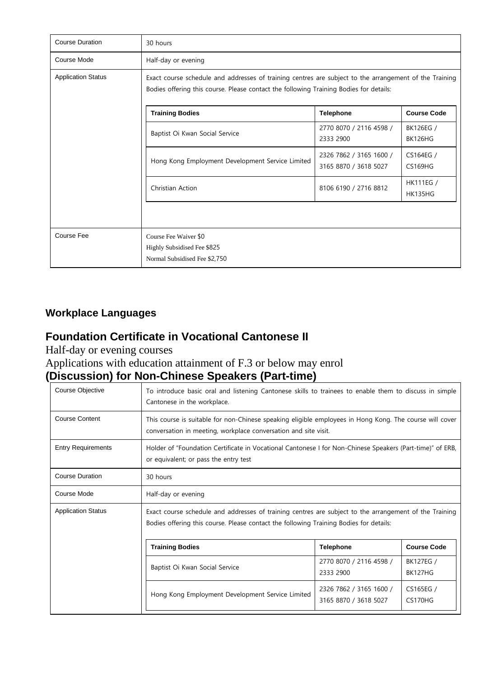| <b>Course Duration</b>    | 30 hours                                                                                                                                                                                         |                                                  |                                    |
|---------------------------|--------------------------------------------------------------------------------------------------------------------------------------------------------------------------------------------------|--------------------------------------------------|------------------------------------|
| Course Mode               | Half-day or evening                                                                                                                                                                              |                                                  |                                    |
| <b>Application Status</b> | Exact course schedule and addresses of training centres are subject to the arrangement of the Training<br>Bodies offering this course. Please contact the following Training Bodies for details: |                                                  |                                    |
|                           | <b>Training Bodies</b>                                                                                                                                                                           | <b>Telephone</b>                                 | <b>Course Code</b>                 |
|                           | Baptist Oi Kwan Social Service                                                                                                                                                                   | 2770 8070 / 2116 4598 /<br>2333 2900             | BK126EG /<br><b>BK126HG</b>        |
|                           | Hong Kong Employment Development Service Limited                                                                                                                                                 | 2326 7862 / 3165 1600 /<br>3165 8870 / 3618 5027 | CS164EG /<br>CS169HG               |
|                           | Christian Action                                                                                                                                                                                 | 8106 6190 / 2716 8812                            | <b>HK111EG /</b><br><b>HK135HG</b> |
|                           |                                                                                                                                                                                                  |                                                  |                                    |
| Course Fee                | Course Fee Waiver \$0<br>Highly Subsidised Fee \$825<br>Normal Subsidised Fee \$2,750                                                                                                            |                                                  |                                    |

#### **Foundation Certificate in Vocational Cantonese II**

Half-day or evening courses

Applications with education attainment of F.3 or below may enrol

# **(Discussion) for Non-Chinese Speakers (Part-time)**

| Course Objective          | To introduce basic oral and listening Cantonese skills to trainees to enable them to discuss in simple<br>Cantonese in the workplace.                                                            |                                      |                             |  |
|---------------------------|--------------------------------------------------------------------------------------------------------------------------------------------------------------------------------------------------|--------------------------------------|-----------------------------|--|
| <b>Course Content</b>     | This course is suitable for non-Chinese speaking eligible employees in Hong Kong. The course will cover<br>conversation in meeting, workplace conversation and site visit.                       |                                      |                             |  |
| <b>Entry Requirements</b> | Holder of "Foundation Certificate in Vocational Cantonese I for Non-Chinese Speakers (Part-time)" of ERB,<br>or equivalent; or pass the entry test                                               |                                      |                             |  |
| <b>Course Duration</b>    | 30 hours                                                                                                                                                                                         |                                      |                             |  |
| Course Mode               | Half-day or evening                                                                                                                                                                              |                                      |                             |  |
| <b>Application Status</b> | Exact course schedule and addresses of training centres are subject to the arrangement of the Training<br>Bodies offering this course. Please contact the following Training Bodies for details: |                                      |                             |  |
|                           | <b>Training Bodies</b><br><b>Course Code</b><br><b>Telephone</b>                                                                                                                                 |                                      |                             |  |
|                           | Baptist Oi Kwan Social Service                                                                                                                                                                   | 2770 8070 / 2116 4598 /<br>2333 2900 | BK127EG /<br><b>BK127HG</b> |  |
|                           | 2326 7862 / 3165 1600 /<br>3165 8870 / 3618 5027                                                                                                                                                 | CS165EG /<br>CS170HG                 |                             |  |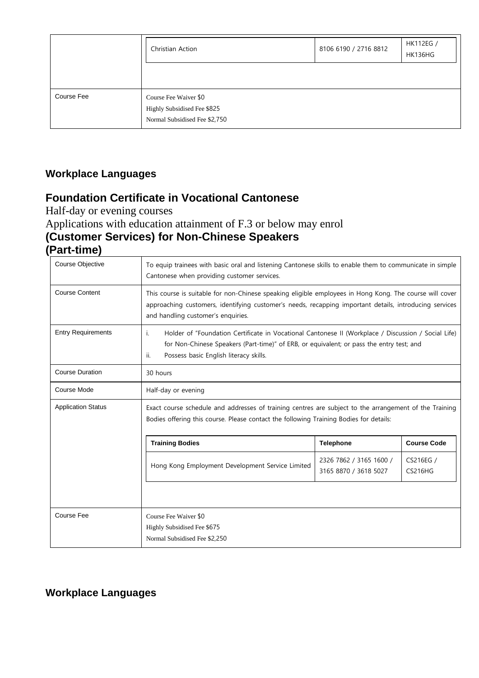|            | Christian Action                                                                      | 8106 6190 / 2716 8812 | HK112EG /<br>HK136HG |
|------------|---------------------------------------------------------------------------------------|-----------------------|----------------------|
|            |                                                                                       |                       |                      |
| Course Fee | Course Fee Waiver \$0<br>Highly Subsidised Fee \$825<br>Normal Subsidised Fee \$2,750 |                       |                      |

### **Foundation Certificate in Vocational Cantonese**

Half-day or evening courses

Applications with education attainment of F.3 or below may enrol **(Customer Services) for Non-Chinese Speakers (Part-time)**

| Course Objective          | To equip trainees with basic oral and listening Cantonese skills to enable them to communicate in simple<br>Cantonese when providing customer services.                                                                                                 |                                                  |                             |  |
|---------------------------|---------------------------------------------------------------------------------------------------------------------------------------------------------------------------------------------------------------------------------------------------------|--------------------------------------------------|-----------------------------|--|
| <b>Course Content</b>     | This course is suitable for non-Chinese speaking eligible employees in Hong Kong. The course will cover<br>approaching customers, identifying customer's needs, recapping important details, introducing services<br>and handling customer's enquiries. |                                                  |                             |  |
| <b>Entry Requirements</b> | Holder of "Foundation Certificate in Vocational Cantonese II (Workplace / Discussion / Social Life)<br>i.<br>for Non-Chinese Speakers (Part-time)" of ERB, or equivalent; or pass the entry test; and<br>ii.<br>Possess basic English literacy skills.  |                                                  |                             |  |
| <b>Course Duration</b>    | 30 hours                                                                                                                                                                                                                                                |                                                  |                             |  |
| Course Mode               | Half-day or evening                                                                                                                                                                                                                                     |                                                  |                             |  |
| <b>Application Status</b> | Exact course schedule and addresses of training centres are subject to the arrangement of the Training<br>Bodies offering this course. Please contact the following Training Bodies for details:                                                        |                                                  |                             |  |
|                           | <b>Course Code</b><br><b>Training Bodies</b><br><b>Telephone</b>                                                                                                                                                                                        |                                                  |                             |  |
|                           | Hong Kong Employment Development Service Limited                                                                                                                                                                                                        | 2326 7862 / 3165 1600 /<br>3165 8870 / 3618 5027 | CS216EG /<br><b>CS216HG</b> |  |
|                           |                                                                                                                                                                                                                                                         |                                                  |                             |  |
| Course Fee                | Course Fee Waiver \$0<br>Highly Subsidised Fee \$675<br>Normal Subsidised Fee \$2,250                                                                                                                                                                   |                                                  |                             |  |

#### **Workplace Languages**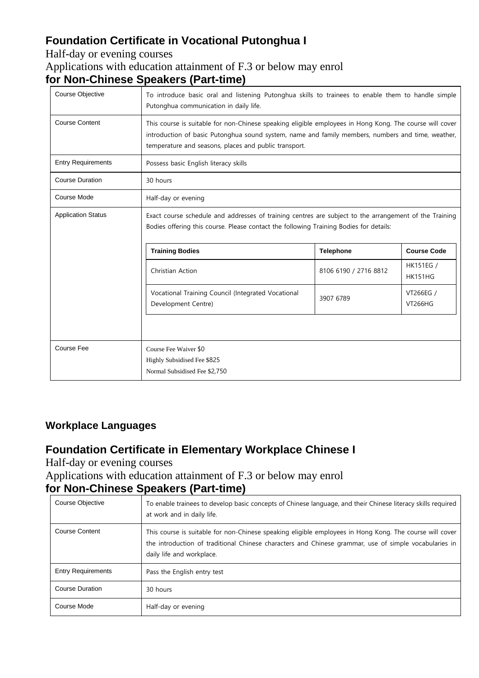# **Foundation Certificate in Vocational Putonghua I**

#### Half-day or evening courses Applications with education attainment of F.3 or below may enrol **for Non-Chinese Speakers (Part-time)**

| Course Objective          | To introduce basic oral and listening Putonghua skills to trainees to enable them to handle simple<br>Putonghua communication in daily life.                                                                                                                          |                       |                                    |
|---------------------------|-----------------------------------------------------------------------------------------------------------------------------------------------------------------------------------------------------------------------------------------------------------------------|-----------------------|------------------------------------|
| <b>Course Content</b>     | This course is suitable for non-Chinese speaking eligible employees in Hong Kong. The course will cover<br>introduction of basic Putonghua sound system, name and family members, numbers and time, weather,<br>temperature and seasons, places and public transport. |                       |                                    |
| <b>Entry Requirements</b> | Possess basic English literacy skills                                                                                                                                                                                                                                 |                       |                                    |
| <b>Course Duration</b>    | 30 hours                                                                                                                                                                                                                                                              |                       |                                    |
| Course Mode               | Half-day or evening                                                                                                                                                                                                                                                   |                       |                                    |
| <b>Application Status</b> | Exact course schedule and addresses of training centres are subject to the arrangement of the Training<br>Bodies offering this course. Please contact the following Training Bodies for details:                                                                      |                       |                                    |
|                           | <b>Training Bodies</b>                                                                                                                                                                                                                                                | <b>Telephone</b>      | <b>Course Code</b>                 |
|                           | Christian Action                                                                                                                                                                                                                                                      | 8106 6190 / 2716 8812 | <b>HK151EG /</b><br><b>HK151HG</b> |
|                           | Vocational Training Council (Integrated Vocational<br>Development Centre)                                                                                                                                                                                             | 3907 6789             | VT266EG /<br><b>VT266HG</b>        |
|                           |                                                                                                                                                                                                                                                                       |                       |                                    |
| <b>Course Fee</b>         | Course Fee Waiver \$0                                                                                                                                                                                                                                                 |                       |                                    |
|                           | Highly Subsidised Fee \$825                                                                                                                                                                                                                                           |                       |                                    |
|                           | Normal Subsidised Fee \$2,750                                                                                                                                                                                                                                         |                       |                                    |

#### **Workplace Languages**

#### **Foundation Certificate in Elementary Workplace Chinese I**

Half-day or evening courses

Applications with education attainment of F.3 or below may enrol

## **for Non-Chinese Speakers (Part-time)**

| Course Objective          | To enable trainees to develop basic concepts of Chinese language, and their Chinese literacy skills required<br>at work and in daily life.                                                                                                    |
|---------------------------|-----------------------------------------------------------------------------------------------------------------------------------------------------------------------------------------------------------------------------------------------|
| <b>Course Content</b>     | This course is suitable for non-Chinese speaking eligible employees in Hong Kong. The course will cover<br>the introduction of traditional Chinese characters and Chinese grammar, use of simple vocabularies in<br>daily life and workplace. |
| <b>Entry Requirements</b> | Pass the English entry test                                                                                                                                                                                                                   |
| <b>Course Duration</b>    | 30 hours                                                                                                                                                                                                                                      |
| Course Mode               | Half-day or evening                                                                                                                                                                                                                           |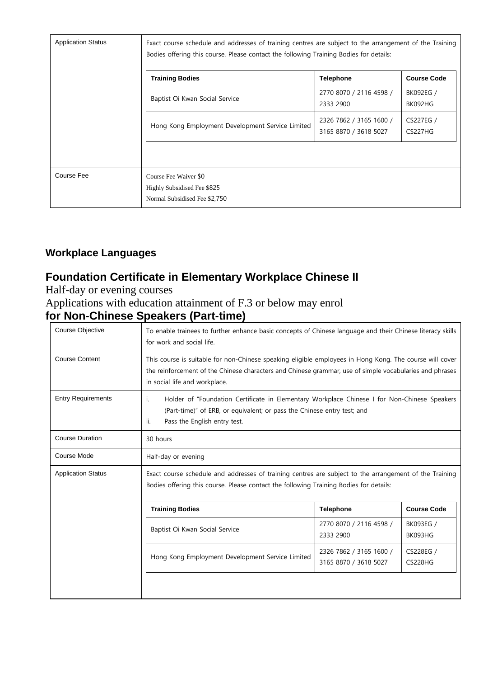| <b>Application Status</b> | Exact course schedule and addresses of training centres are subject to the arrangement of the Training<br>Bodies offering this course. Please contact the following Training Bodies for details: |                                                  |                             |
|---------------------------|--------------------------------------------------------------------------------------------------------------------------------------------------------------------------------------------------|--------------------------------------------------|-----------------------------|
|                           | <b>Training Bodies</b>                                                                                                                                                                           | <b>Telephone</b>                                 | <b>Course Code</b>          |
|                           | Baptist Oi Kwan Social Service                                                                                                                                                                   | 2770 8070 / 2116 4598 /<br>2333 2900             | BK092EG /<br>BK092HG        |
|                           | Hong Kong Employment Development Service Limited                                                                                                                                                 | 2326 7862 / 3165 1600 /<br>3165 8870 / 3618 5027 | <b>CS227EG /</b><br>CS227HG |
|                           |                                                                                                                                                                                                  |                                                  |                             |
| Course Fee                | Course Fee Waiver \$0<br>Highly Subsidised Fee \$825<br>Normal Subsidised Fee \$2,750                                                                                                            |                                                  |                             |

## **Foundation Certificate in Elementary Workplace Chinese II**

Half-day or evening courses

#### Applications with education attainment of F.3 or below may enrol

#### **for Non-Chinese Speakers (Part-time)**

| <b>Course Objective</b>                                                                        | To enable trainees to further enhance basic concepts of Chinese language and their Chinese literacy skills<br>for work and social life.                                                                                                             |                                                  |                             |
|------------------------------------------------------------------------------------------------|-----------------------------------------------------------------------------------------------------------------------------------------------------------------------------------------------------------------------------------------------------|--------------------------------------------------|-----------------------------|
| <b>Course Content</b>                                                                          | This course is suitable for non-Chinese speaking eligible employees in Hong Kong. The course will cover<br>the reinforcement of the Chinese characters and Chinese grammar, use of simple vocabularies and phrases<br>in social life and workplace. |                                                  |                             |
| <b>Entry Requirements</b>                                                                      | Holder of "Foundation Certificate in Elementary Workplace Chinese I for Non-Chinese Speakers<br>i.<br>(Part-time)" of ERB, or equivalent; or pass the Chinese entry test; and<br>ii.<br>Pass the English entry test.                                |                                                  |                             |
| <b>Course Duration</b>                                                                         | 30 hours                                                                                                                                                                                                                                            |                                                  |                             |
| Course Mode                                                                                    | Half-day or evening                                                                                                                                                                                                                                 |                                                  |                             |
| <b>Application Status</b>                                                                      | Exact course schedule and addresses of training centres are subject to the arrangement of the Training<br>Bodies offering this course. Please contact the following Training Bodies for details:                                                    |                                                  |                             |
|                                                                                                | <b>Training Bodies</b>                                                                                                                                                                                                                              | <b>Telephone</b>                                 | <b>Course Code</b>          |
| 2770 8070 / 2116 4598 /<br>BK093EG /<br>Baptist Oi Kwan Social Service<br>BK093HG<br>2333 2900 |                                                                                                                                                                                                                                                     |                                                  |                             |
|                                                                                                | Hong Kong Employment Development Service Limited                                                                                                                                                                                                    | 2326 7862 / 3165 1600 /<br>3165 8870 / 3618 5027 | CS228EG /<br><b>CS228HG</b> |
|                                                                                                |                                                                                                                                                                                                                                                     |                                                  |                             |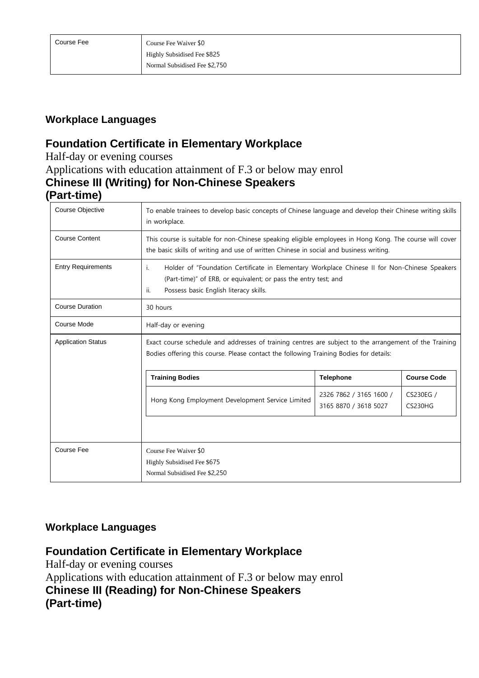#### **Foundation Certificate in Elementary Workplace**

Half-day or evening courses Applications with education attainment of F.3 or below may enrol **Chinese III (Writing) for Non-Chinese Speakers**

#### **(Part-time)**

| Course Objective          | To enable trainees to develop basic concepts of Chinese language and develop their Chinese writing skills<br>in workplace.                                                                                                                                           |                                                  |                             |
|---------------------------|----------------------------------------------------------------------------------------------------------------------------------------------------------------------------------------------------------------------------------------------------------------------|--------------------------------------------------|-----------------------------|
| <b>Course Content</b>     | This course is suitable for non-Chinese speaking eligible employees in Hong Kong. The course will cover<br>the basic skills of writing and use of written Chinese in social and business writing.                                                                    |                                                  |                             |
| <b>Entry Requirements</b> | Holder of "Foundation Certificate in Elementary Workplace Chinese II for Non-Chinese Speakers<br>i.<br>(Part-time)" of ERB, or equivalent; or pass the entry test; and<br>ii.<br>Possess basic English literacy skills.                                              |                                                  |                             |
| <b>Course Duration</b>    | 30 hours                                                                                                                                                                                                                                                             |                                                  |                             |
| Course Mode               | Half-day or evening                                                                                                                                                                                                                                                  |                                                  |                             |
| <b>Application Status</b> | Exact course schedule and addresses of training centres are subject to the arrangement of the Training<br>Bodies offering this course. Please contact the following Training Bodies for details:<br><b>Training Bodies</b><br><b>Telephone</b><br><b>Course Code</b> |                                                  |                             |
|                           |                                                                                                                                                                                                                                                                      |                                                  |                             |
|                           | Hong Kong Employment Development Service Limited                                                                                                                                                                                                                     | 2326 7862 / 3165 1600 /<br>3165 8870 / 3618 5027 | CS230EG /<br><b>CS230HG</b> |
|                           |                                                                                                                                                                                                                                                                      |                                                  |                             |
| <b>Course Fee</b>         | Course Fee Waiver \$0                                                                                                                                                                                                                                                |                                                  |                             |
|                           | Highly Subsidised Fee \$675<br>Normal Subsidised Fee \$2,250                                                                                                                                                                                                         |                                                  |                             |

#### **Workplace Languages**

#### **Foundation Certificate in Elementary Workplace**

Half-day or evening courses Applications with education attainment of F.3 or below may enrol **Chinese III (Reading) for Non-Chinese Speakers (Part-time)**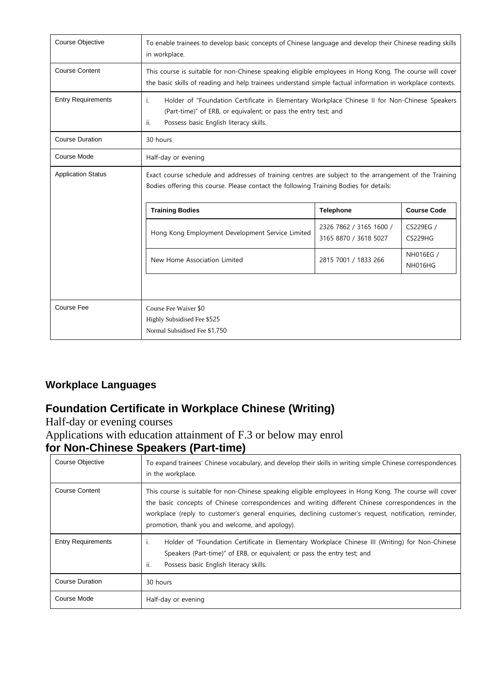| <b>Course Objective</b>   | To enable trainees to develop basic concepts of Chinese language and develop their Chinese reading skills<br>in workplace.                                                                                              |                                                  |                      |  |  |
|---------------------------|-------------------------------------------------------------------------------------------------------------------------------------------------------------------------------------------------------------------------|--------------------------------------------------|----------------------|--|--|
| <b>Course Content</b>     | This course is suitable for non-Chinese speaking eligible employees in Hong Kong. The course will cover<br>the basic skills of reading and help trainees understand simple factual information in workplace contexts.   |                                                  |                      |  |  |
| <b>Entry Requirements</b> | Holder of "Foundation Certificate in Elementary Workplace Chinese II for Non-Chinese Speakers<br>i.<br>(Part-time)" of ERB, or equivalent; or pass the entry test; and<br>Possess basic English literacy skills.<br>ii. |                                                  |                      |  |  |
| <b>Course Duration</b>    | 30 hours                                                                                                                                                                                                                |                                                  |                      |  |  |
| Course Mode               | Half-day or evening                                                                                                                                                                                                     |                                                  |                      |  |  |
| <b>Application Status</b> | Exact course schedule and addresses of training centres are subject to the arrangement of the Training<br>Bodies offering this course. Please contact the following Training Bodies for details:                        |                                                  |                      |  |  |
|                           | <b>Training Bodies</b>                                                                                                                                                                                                  | <b>Telephone</b>                                 | <b>Course Code</b>   |  |  |
|                           | Hong Kong Employment Development Service Limited                                                                                                                                                                        | 2326 7862 / 3165 1600 /<br>3165 8870 / 3618 5027 | CS229EG /<br>CS229HG |  |  |
|                           | NH016EG /<br>New Home Association Limited<br>2815 7001 / 1833 266<br>NH016HG                                                                                                                                            |                                                  |                      |  |  |
|                           |                                                                                                                                                                                                                         |                                                  |                      |  |  |
| <b>Course Fee</b>         | Course Fee Waiver \$0<br>Highly Subsidised Fee \$525<br>Normal Subsidised Fee \$1,750                                                                                                                                   |                                                  |                      |  |  |

## **Foundation Certificate in Workplace Chinese (Writing)**

Half-day or evening courses Applications with education attainment of F.3 or below may enrol **for Non-Chinese Speakers (Part-time)**

| Course Objective          | To expand trainees' Chinese vocabulary, and develop their skills in writing simple Chinese correspondences<br>in the workplace.                                                                                                                                                                                                                                             |
|---------------------------|-----------------------------------------------------------------------------------------------------------------------------------------------------------------------------------------------------------------------------------------------------------------------------------------------------------------------------------------------------------------------------|
| <b>Course Content</b>     | This course is suitable for non-Chinese speaking eligible employees in Hong Kong. The course will cover<br>the basic concepts of Chinese correspondences and writing different Chinese correspondences in the<br>workplace (reply to customer's general enguiries, declining customer's request, notification, reminder,<br>promotion, thank you and welcome, and apology). |
| <b>Entry Requirements</b> | Holder of "Foundation Certificate in Elementary Workplace Chinese III (Writing) for Non-Chinese<br>-1.<br>Speakers (Part-time)" of ERB, or equivalent; or pass the entry test; and<br>ii.<br>Possess basic English literacy skills.                                                                                                                                         |
| <b>Course Duration</b>    | 30 hours                                                                                                                                                                                                                                                                                                                                                                    |
| Course Mode               | Half-day or evening                                                                                                                                                                                                                                                                                                                                                         |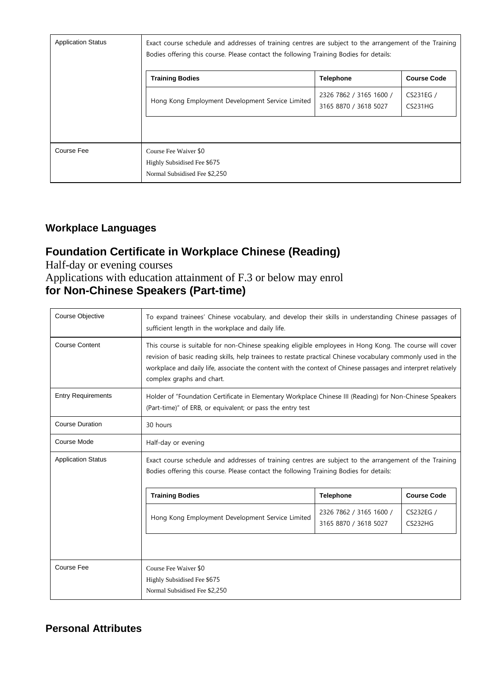| <b>Application Status</b> | Exact course schedule and addresses of training centres are subject to the arrangement of the Training |                                                  |                      |
|---------------------------|--------------------------------------------------------------------------------------------------------|--------------------------------------------------|----------------------|
|                           | <b>Training Bodies</b>                                                                                 | <b>Telephone</b>                                 | <b>Course Code</b>   |
|                           | Hong Kong Employment Development Service Limited                                                       | 2326 7862 / 3165 1600 /<br>3165 8870 / 3618 5027 | CS231EG /<br>CS231HG |
| Course Fee                | Course Fee Waiver \$0<br>Highly Subsidised Fee \$675<br>Normal Subsidised Fee \$2,250                  |                                                  |                      |

## **Foundation Certificate in Workplace Chinese (Reading)**

Half-day or evening courses Applications with education attainment of F.3 or below may enrol **for Non-Chinese Speakers (Part-time)**

| Course Objective          | To expand trainees' Chinese vocabulary, and develop their skills in understanding Chinese passages of<br>sufficient length in the workplace and daily life.                                                                                                                                                                                                           |  |  |  |  |
|---------------------------|-----------------------------------------------------------------------------------------------------------------------------------------------------------------------------------------------------------------------------------------------------------------------------------------------------------------------------------------------------------------------|--|--|--|--|
| <b>Course Content</b>     | This course is suitable for non-Chinese speaking eligible employees in Hong Kong. The course will cover<br>revision of basic reading skills, help trainees to restate practical Chinese vocabulary commonly used in the<br>workplace and daily life, associate the content with the context of Chinese passages and interpret relatively<br>complex graphs and chart. |  |  |  |  |
| <b>Entry Requirements</b> | Holder of "Foundation Certificate in Elementary Workplace Chinese III (Reading) for Non-Chinese Speakers<br>(Part-time)" of ERB, or equivalent; or pass the entry test                                                                                                                                                                                                |  |  |  |  |
| <b>Course Duration</b>    | 30 hours                                                                                                                                                                                                                                                                                                                                                              |  |  |  |  |
| Course Mode               | Half-day or evening                                                                                                                                                                                                                                                                                                                                                   |  |  |  |  |
| <b>Application Status</b> | Exact course schedule and addresses of training centres are subject to the arrangement of the Training<br>Bodies offering this course. Please contact the following Training Bodies for details:                                                                                                                                                                      |  |  |  |  |
|                           | <b>Course Code</b><br><b>Training Bodies</b><br><b>Telephone</b>                                                                                                                                                                                                                                                                                                      |  |  |  |  |
|                           | 2326 7862 / 3165 1600 /<br>CS232EG /<br>Hong Kong Employment Development Service Limited<br>3165 8870 / 3618 5027<br><b>CS232HG</b>                                                                                                                                                                                                                                   |  |  |  |  |
|                           |                                                                                                                                                                                                                                                                                                                                                                       |  |  |  |  |
| Course Fee                | Course Fee Waiver \$0                                                                                                                                                                                                                                                                                                                                                 |  |  |  |  |
|                           | Highly Subsidised Fee \$675<br>Normal Subsidised Fee \$2,250                                                                                                                                                                                                                                                                                                          |  |  |  |  |

#### **Personal Attributes**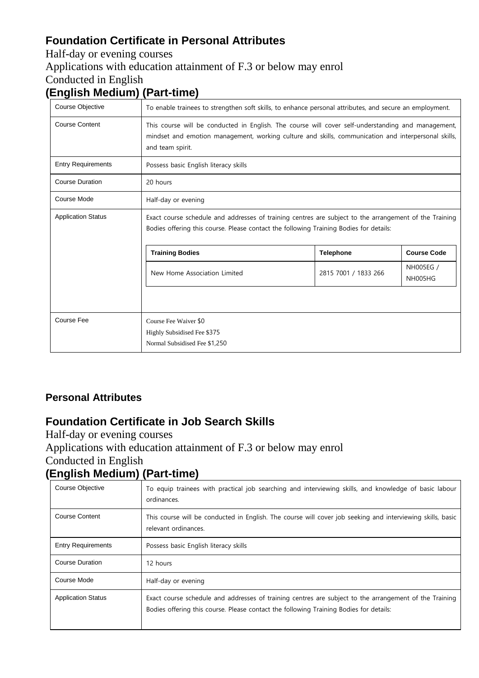## **Foundation Certificate in Personal Attributes**

Half-day or evening courses

#### Applications with education attainment of F.3 or below may enrol

Conducted in English

# **(English Medium) (Part-time)**

| Course Objective          | To enable trainees to strengthen soft skills, to enhance personal attributes, and secure an employment.                                                                                                                       |  |  |  |  |  |
|---------------------------|-------------------------------------------------------------------------------------------------------------------------------------------------------------------------------------------------------------------------------|--|--|--|--|--|
| <b>Course Content</b>     | This course will be conducted in English. The course will cover self-understanding and management,<br>mindset and emotion management, working culture and skills, communication and interpersonal skills,<br>and team spirit. |  |  |  |  |  |
| <b>Entry Requirements</b> | Possess basic English literacy skills                                                                                                                                                                                         |  |  |  |  |  |
| <b>Course Duration</b>    | 20 hours                                                                                                                                                                                                                      |  |  |  |  |  |
| Course Mode               | Half-day or evening                                                                                                                                                                                                           |  |  |  |  |  |
| <b>Application Status</b> | Exact course schedule and addresses of training centres are subject to the arrangement of the Training<br>Bodies offering this course. Please contact the following Training Bodies for details:                              |  |  |  |  |  |
|                           | <b>Course Code</b><br><b>Training Bodies</b><br><b>Telephone</b>                                                                                                                                                              |  |  |  |  |  |
|                           | NH005EG /<br>New Home Association Limited<br>2815 7001 / 1833 266<br><b>NH005HG</b>                                                                                                                                           |  |  |  |  |  |
|                           |                                                                                                                                                                                                                               |  |  |  |  |  |
| Course Fee                | Course Fee Waiver \$0                                                                                                                                                                                                         |  |  |  |  |  |
|                           | Highly Subsidised Fee \$375                                                                                                                                                                                                   |  |  |  |  |  |
|                           | Normal Subsidised Fee \$1,250                                                                                                                                                                                                 |  |  |  |  |  |

#### **Personal Attributes**

#### **Foundation Certificate in Job Search Skills**

Half-day or evening courses

Applications with education attainment of F.3 or below may enrol

#### Conducted in English

## **(English Medium) (Part-time)**

| Course Objective          | To equip trainees with practical job searching and interviewing skills, and knowledge of basic labour<br>ordinances.                                                                             |
|---------------------------|--------------------------------------------------------------------------------------------------------------------------------------------------------------------------------------------------|
| <b>Course Content</b>     | This course will be conducted in English. The course will cover job seeking and interviewing skills, basic<br>relevant ordinances.                                                               |
| <b>Entry Requirements</b> | Possess basic English literacy skills                                                                                                                                                            |
| Course Duration           | 12 hours                                                                                                                                                                                         |
| Course Mode               | Half-day or evening                                                                                                                                                                              |
| <b>Application Status</b> | Exact course schedule and addresses of training centres are subject to the arrangement of the Training<br>Bodies offering this course. Please contact the following Training Bodies for details: |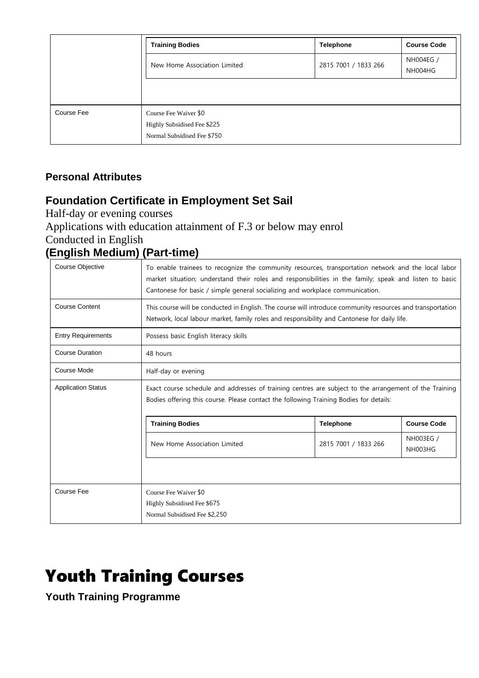|            | <b>Training Bodies</b>                                                              | <b>Telephone</b>     | <b>Course Code</b>   |
|------------|-------------------------------------------------------------------------------------|----------------------|----------------------|
|            | New Home Association Limited                                                        | 2815 7001 / 1833 266 | NH004EG /<br>NH004HG |
|            |                                                                                     |                      |                      |
| Course Fee | Course Fee Waiver \$0<br>Highly Subsidised Fee \$225<br>Normal Subsidised Fee \$750 |                      |                      |

#### **Personal Attributes**

## **Foundation Certificate in Employment Set Sail**

Half-day or evening courses

Applications with education attainment of F.3 or below may enrol Conducted in English

### **(English Medium) (Part-time)**

| Course Objective          | To enable trainees to recognize the community resources, transportation network and the local labor<br>market situation; understand their roles and responsibilities in the family; speak and listen to basic<br>Cantonese for basic / simple general socializing and workplace communication. |                  |                    |  |  |
|---------------------------|------------------------------------------------------------------------------------------------------------------------------------------------------------------------------------------------------------------------------------------------------------------------------------------------|------------------|--------------------|--|--|
| <b>Course Content</b>     | This course will be conducted in English. The course will introduce community resources and transportation<br>Network, local labour market, family roles and responsibility and Cantonese for daily life.                                                                                      |                  |                    |  |  |
| <b>Entry Requirements</b> | Possess basic English literacy skills                                                                                                                                                                                                                                                          |                  |                    |  |  |
| <b>Course Duration</b>    | 48 hours                                                                                                                                                                                                                                                                                       |                  |                    |  |  |
| Course Mode               | Half-day or evening                                                                                                                                                                                                                                                                            |                  |                    |  |  |
| <b>Application Status</b> | Exact course schedule and addresses of training centres are subject to the arrangement of the Training<br>Bodies offering this course. Please contact the following Training Bodies for details:                                                                                               |                  |                    |  |  |
|                           | <b>Training Bodies</b>                                                                                                                                                                                                                                                                         | <b>Telephone</b> | <b>Course Code</b> |  |  |
|                           | NH003EG /<br>New Home Association Limited<br>2815 7001 / 1833 266<br>NH003HG                                                                                                                                                                                                                   |                  |                    |  |  |
|                           |                                                                                                                                                                                                                                                                                                |                  |                    |  |  |
| Course Fee                | Course Fee Waiver \$0<br>Highly Subsidised Fee \$675<br>Normal Subsidised Fee \$2,250                                                                                                                                                                                                          |                  |                    |  |  |

# Youth Training Courses

**Youth Training Programme**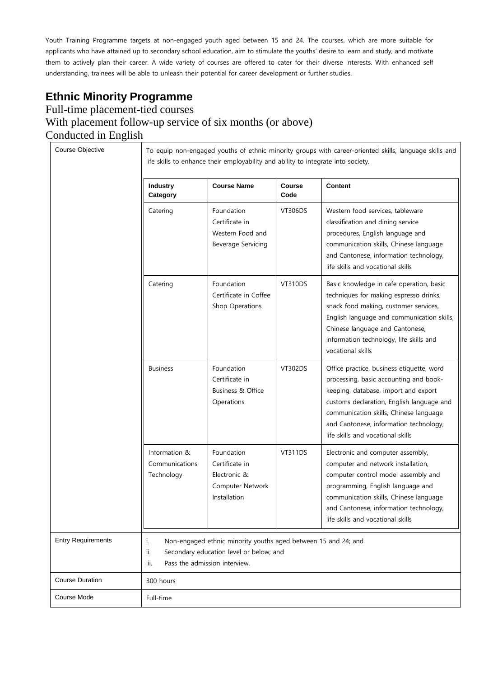Youth Training Programme targets at non-engaged youth aged between 15 and 24. The courses, which are more suitable for applicants who have attained up to secondary school education, aim to stimulate the youths' desire to learn and study, and motivate them to actively plan their career. A wide variety of courses are offered to cater for their diverse interests. With enhanced self understanding, trainees will be able to unleash their potential for career development or further studies.

# **Ethnic Minority Programme**

#### Full-time placement-tied courses With placement follow-up service of six months (or above) Conducted in English

|                           | Industry<br>Category                          | <b>Course Name</b>                                                                                                                         | <b>Course</b><br>Code | <b>Content</b>                                                                                                                                                                                                                                                                                    |
|---------------------------|-----------------------------------------------|--------------------------------------------------------------------------------------------------------------------------------------------|-----------------------|---------------------------------------------------------------------------------------------------------------------------------------------------------------------------------------------------------------------------------------------------------------------------------------------------|
|                           | Catering                                      | Foundation<br>Certificate in<br>Western Food and<br>Beverage Servicing                                                                     | <b>VT306DS</b>        | Western food services, tableware<br>classification and dining service<br>procedures, English language and<br>communication skills, Chinese language<br>and Cantonese, information technology,<br>life skills and vocational skills                                                                |
|                           | Catering                                      | Foundation<br>Certificate in Coffee<br>Shop Operations                                                                                     | <b>VT310DS</b>        | Basic knowledge in cafe operation, basic<br>techniques for making espresso drinks,<br>snack food making, customer services,<br>English language and communication skills,<br>Chinese language and Cantonese,<br>information technology, life skills and<br>vocational skills                      |
|                           | <b>Business</b>                               | Foundation<br>Certificate in<br>Business & Office<br>Operations                                                                            | <b>VT302DS</b>        | Office practice, business etiquette, word<br>processing, basic accounting and book-<br>keeping, database, import and export<br>customs declaration, English language and<br>communication skills, Chinese language<br>and Cantonese, information technology,<br>life skills and vocational skills |
|                           | Information &<br>Communications<br>Technology | Foundation<br>Certificate in<br>Electronic &<br>Computer Network<br>Installation                                                           | <b>VT311DS</b>        | Electronic and computer assembly,<br>computer and network installation,<br>computer control model assembly and<br>programming, English language and<br>communication skills, Chinese language<br>and Cantonese, information technology,<br>life skills and vocational skills                      |
| <b>Entry Requirements</b> | i.<br>ii.<br>iii.                             | Non-engaged ethnic minority youths aged between 15 and 24; and<br>Secondary education level or below; and<br>Pass the admission interview. |                       |                                                                                                                                                                                                                                                                                                   |
| <b>Course Duration</b>    | 300 hours                                     |                                                                                                                                            |                       |                                                                                                                                                                                                                                                                                                   |
| Course Mode               | Full-time                                     |                                                                                                                                            |                       |                                                                                                                                                                                                                                                                                                   |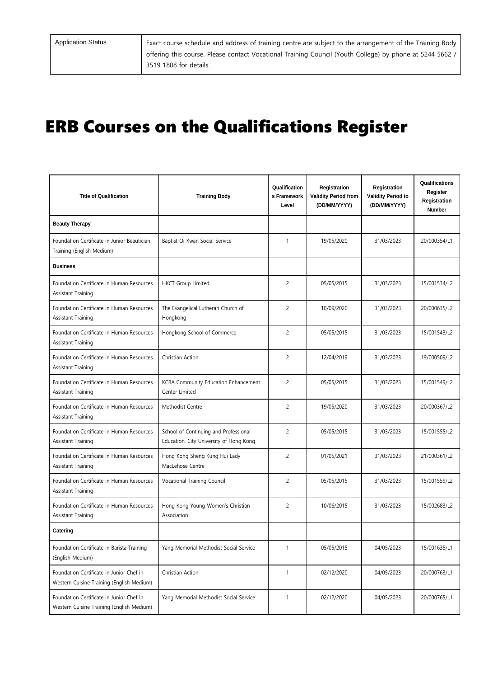Application Status **Exact course schedule and address of training centre are subject to the arrangement of the Training Body** offering this course. Please contact Vocational Training Council (Youth College) by phone at 5244 5662 / 3519 1808 for details.

# ERB Courses on the Qualifications Register

| <b>Title of Qualification</b>                                                         | <b>Training Body</b>                                                             | Qualification<br>s Framework<br>Level | Registration<br><b>Validity Period from</b><br>(DD/MM/YYYY) | Registration<br><b>Validity Period to</b><br>(DD/MM/YYYY) | Qualifications<br>Register<br>Registration<br><b>Number</b> |
|---------------------------------------------------------------------------------------|----------------------------------------------------------------------------------|---------------------------------------|-------------------------------------------------------------|-----------------------------------------------------------|-------------------------------------------------------------|
| <b>Beauty Therapy</b>                                                                 |                                                                                  |                                       |                                                             |                                                           |                                                             |
| Foundation Certificate in Junior Beautician<br>Training (English Medium)              | Baptist Oi Kwan Social Service                                                   | $\mathbf{1}$                          | 19/05/2020                                                  | 31/03/2023                                                | 20/000354/L1                                                |
| <b>Business</b>                                                                       |                                                                                  |                                       |                                                             |                                                           |                                                             |
| Foundation Certificate in Human Resources<br>Assistant Training                       | <b>HKCT Group Limited</b>                                                        | $\overline{c}$                        | 05/05/2015                                                  | 31/03/2023                                                | 15/001534/L2                                                |
| Foundation Certificate in Human Resources<br>Assistant Training                       | The Evangelical Lutheran Church of<br>Hongkong                                   | $\overline{c}$                        | 10/09/2020                                                  | 31/03/2023                                                | 20/000635/L2                                                |
| Foundation Certificate in Human Resources<br>Assistant Training                       | Hongkong School of Commerce                                                      | $\overline{c}$                        | 05/05/2015                                                  | 31/03/2023                                                | 15/001543/L2                                                |
| Foundation Certificate in Human Resources<br>Assistant Training                       | Christian Action                                                                 | $\overline{c}$                        | 12/04/2019                                                  | 31/03/2023                                                | 19/000509/L2                                                |
| Foundation Certificate in Human Resources<br>Assistant Training                       | KCRA Community Education Enhancement<br>Center Limited                           | $\overline{c}$                        | 05/05/2015                                                  | 31/03/2023                                                | 15/001549/L2                                                |
| Foundation Certificate in Human Resources<br>Assistant Training                       | Methodist Centre                                                                 | $\overline{c}$                        | 19/05/2020                                                  | 31/03/2023                                                | 20/000367/L2                                                |
| Foundation Certificate in Human Resources<br>Assistant Training                       | School of Continuing and Professional<br>Education, City University of Hong Kong | $\overline{c}$                        | 05/05/2015                                                  | 31/03/2023                                                | 15/001555/L2                                                |
| Foundation Certificate in Human Resources<br>Assistant Training                       | Hong Kong Sheng Kung Hui Lady<br>MacLehose Centre                                | $\overline{c}$                        | 01/05/2021                                                  | 31/03/2023                                                | 21/000361/L2                                                |
| Foundation Certificate in Human Resources<br>Assistant Training                       | Vocational Training Council                                                      | $\overline{c}$                        | 05/05/2015                                                  | 31/03/2023                                                | 15/001559/L2                                                |
| Foundation Certificate in Human Resources<br>Assistant Training                       | Hong Kong Young Women's Christian<br>Association                                 | $\overline{c}$                        | 10/06/2015                                                  | 31/03/2023                                                | 15/002683/L2                                                |
| Catering                                                                              |                                                                                  |                                       |                                                             |                                                           |                                                             |
| Foundation Certificate in Barista Training<br>(English Medium)                        | Yang Memorial Methodist Social Service                                           | 1                                     | 05/05/2015                                                  | 04/05/2023                                                | 15/001635/L1                                                |
| Foundation Certificate in Junior Chef in<br>Western Cuisine Training (English Medium) | Christian Action                                                                 | $\mathbf{1}$                          | 02/12/2020                                                  | 04/05/2023                                                | 20/000763/L1                                                |
| Foundation Certificate in Junior Chef in<br>Western Cuisine Training (English Medium) | Yang Memorial Methodist Social Service                                           | $\mathbf{1}$                          | 02/12/2020                                                  | 04/05/2023                                                | 20/000765/L1                                                |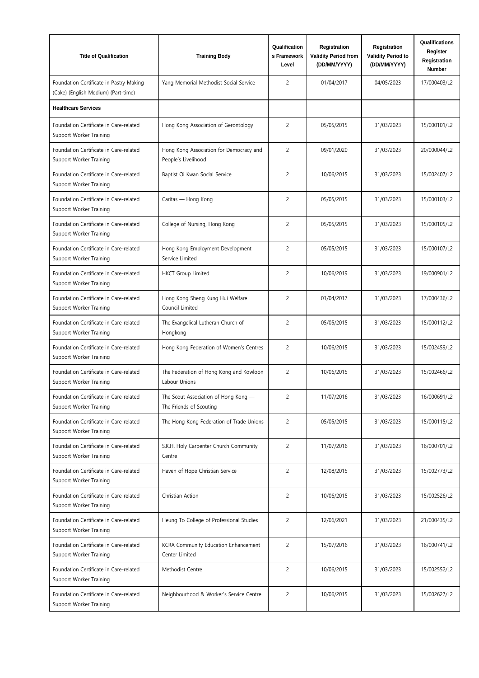| <b>Title of Qualification</b>                                                  | <b>Training Body</b>                                            | Qualification<br>s Framework<br>Level | Registration<br><b>Validity Period from</b><br>(DD/MM/YYYY) | Registration<br><b>Validity Period to</b><br>(DD/MM/YYYY) | Qualifications<br>Register<br>Registration<br>Number |
|--------------------------------------------------------------------------------|-----------------------------------------------------------------|---------------------------------------|-------------------------------------------------------------|-----------------------------------------------------------|------------------------------------------------------|
| Foundation Certificate in Pastry Making<br>(Cake) (English Medium) (Part-time) | Yang Memorial Methodist Social Service                          | $\overline{c}$                        | 01/04/2017                                                  | 04/05/2023                                                | 17/000403/L2                                         |
| <b>Healthcare Services</b>                                                     |                                                                 |                                       |                                                             |                                                           |                                                      |
| Foundation Certificate in Care-related<br>Support Worker Training              | Hong Kong Association of Gerontology                            | $\overline{c}$                        | 05/05/2015                                                  | 31/03/2023                                                | 15/000101/L2                                         |
| Foundation Certificate in Care-related<br>Support Worker Training              | Hong Kong Association for Democracy and<br>People's Livelihood  | $\overline{c}$                        | 09/01/2020                                                  | 31/03/2023                                                | 20/000044/L2                                         |
| Foundation Certificate in Care-related<br>Support Worker Training              | Baptist Oi Kwan Social Service                                  | $\overline{c}$                        | 10/06/2015                                                  | 31/03/2023                                                | 15/002407/L2                                         |
| Foundation Certificate in Care-related<br>Support Worker Training              | Caritas — Hong Kong                                             | $\overline{c}$                        | 05/05/2015                                                  | 31/03/2023                                                | 15/000103/L2                                         |
| Foundation Certificate in Care-related<br>Support Worker Training              | College of Nursing, Hong Kong                                   | $\overline{c}$                        | 05/05/2015                                                  | 31/03/2023                                                | 15/000105/L2                                         |
| Foundation Certificate in Care-related<br>Support Worker Training              | Hong Kong Employment Development<br>Service Limited             | $\overline{c}$                        | 05/05/2015                                                  | 31/03/2023                                                | 15/000107/L2                                         |
| Foundation Certificate in Care-related<br>Support Worker Training              | <b>HKCT</b> Group Limited                                       | $\overline{c}$                        | 10/06/2019                                                  | 31/03/2023                                                | 19/000901/L2                                         |
| Foundation Certificate in Care-related<br>Support Worker Training              | Hong Kong Sheng Kung Hui Welfare<br>Council Limited             | $\overline{c}$                        | 01/04/2017                                                  | 31/03/2023                                                | 17/000436/L2                                         |
| Foundation Certificate in Care-related<br>Support Worker Training              | The Evangelical Lutheran Church of<br>Hongkong                  | $\overline{c}$                        | 05/05/2015                                                  | 31/03/2023                                                | 15/000112/L2                                         |
| Foundation Certificate in Care-related<br>Support Worker Training              | Hong Kong Federation of Women's Centres                         | $\overline{c}$                        | 10/06/2015                                                  | 31/03/2023                                                | 15/002459/L2                                         |
| Foundation Certificate in Care-related<br>Support Worker Training              | The Federation of Hong Kong and Kowloon<br>Labour Unions        | $\overline{c}$                        | 10/06/2015                                                  | 31/03/2023                                                | 15/002466/L2                                         |
| Foundation Certificate in Care-related<br>Support Worker Training              | The Scout Association of Hong Kong -<br>The Friends of Scouting | 2                                     | 11/07/2016                                                  | 31/03/2023                                                | 16/000691/L2                                         |
| Foundation Certificate in Care-related<br>Support Worker Training              | The Hong Kong Federation of Trade Unions                        | $\overline{c}$                        | 05/05/2015                                                  | 31/03/2023                                                | 15/000115/L2                                         |
| Foundation Certificate in Care-related<br>Support Worker Training              | S.K.H. Holy Carpenter Church Community<br>Centre                | $\overline{c}$                        | 11/07/2016                                                  | 31/03/2023                                                | 16/000701/L2                                         |
| Foundation Certificate in Care-related<br>Support Worker Training              | Haven of Hope Christian Service                                 | $\overline{c}$                        | 12/08/2015                                                  | 31/03/2023                                                | 15/002773/L2                                         |
| Foundation Certificate in Care-related<br>Support Worker Training              | Christian Action                                                | $\overline{c}$                        | 10/06/2015                                                  | 31/03/2023                                                | 15/002526/L2                                         |
| Foundation Certificate in Care-related<br>Support Worker Training              | Heung To College of Professional Studies                        | $\overline{c}$                        | 12/06/2021                                                  | 31/03/2023                                                | 21/000435/L2                                         |
| Foundation Certificate in Care-related<br>Support Worker Training              | KCRA Community Education Enhancement<br>Center Limited          | $\overline{c}$                        | 15/07/2016                                                  | 31/03/2023                                                | 16/000741/L2                                         |
| Foundation Certificate in Care-related<br>Support Worker Training              | Methodist Centre                                                | $\overline{c}$                        | 10/06/2015                                                  | 31/03/2023                                                | 15/002552/L2                                         |
| Foundation Certificate in Care-related<br>Support Worker Training              | Neighbourhood & Worker's Service Centre                         | $\overline{c}$                        | 10/06/2015                                                  | 31/03/2023                                                | 15/002627/L2                                         |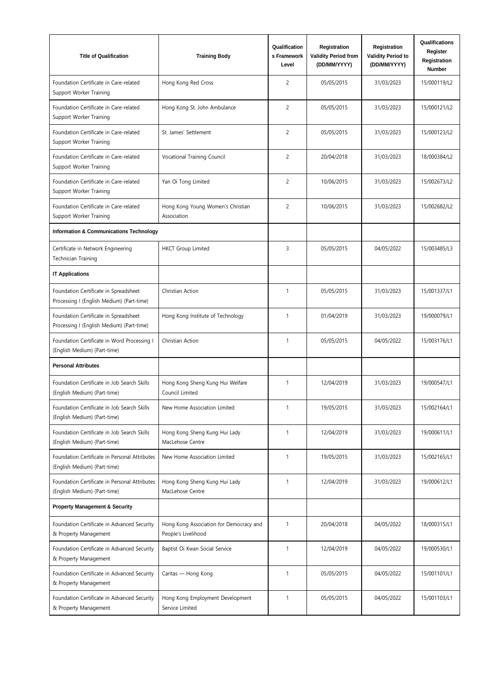| <b>Title of Qualification</b>                                                      | <b>Training Body</b>                                           | Qualification<br>s Framework<br>Level | Registration<br><b>Validity Period from</b><br>(DD/MM/YYYY) | Registration<br><b>Validity Period to</b><br>(DD/MM/YYYY) | Qualifications<br>Register<br>Registration<br><b>Number</b> |
|------------------------------------------------------------------------------------|----------------------------------------------------------------|---------------------------------------|-------------------------------------------------------------|-----------------------------------------------------------|-------------------------------------------------------------|
| Foundation Certificate in Care-related<br>Support Worker Training                  | Hong Kong Red Cross                                            | $\overline{c}$                        | 05/05/2015                                                  | 31/03/2023                                                | 15/000119/L2                                                |
| Foundation Certificate in Care-related<br>Support Worker Training                  | Hong Kong St. John Ambulance                                   | $\overline{c}$                        | 05/05/2015                                                  | 31/03/2023                                                | 15/000121/L2                                                |
| Foundation Certificate in Care-related<br>Support Worker Training                  | St. James' Settlement                                          | $\overline{c}$                        | 05/05/2015                                                  | 31/03/2023                                                | 15/000123/L2                                                |
| Foundation Certificate in Care-related<br>Support Worker Training                  | Vocational Training Council                                    | $\overline{c}$                        | 20/04/2018                                                  | 31/03/2023                                                | 18/000384/L2                                                |
| Foundation Certificate in Care-related<br>Support Worker Training                  | Yan Oi Tong Limited                                            | $\overline{c}$                        | 10/06/2015                                                  | 31/03/2023                                                | 15/002673/L2                                                |
| Foundation Certificate in Care-related<br>Support Worker Training                  | Hong Kong Young Women's Christian<br>Association               | $\overline{c}$                        | 10/06/2015                                                  | 31/03/2023                                                | 15/002682/L2                                                |
| <b>Information &amp; Communications Technology</b>                                 |                                                                |                                       |                                                             |                                                           |                                                             |
| Certificate in Network Engineering<br>Technician Training                          | <b>HKCT</b> Group Limited                                      | 3                                     | 05/05/2015                                                  | 04/05/2022                                                | 15/003485/L3                                                |
| <b>IT Applications</b>                                                             |                                                                |                                       |                                                             |                                                           |                                                             |
| Foundation Certificate in Spreadsheet<br>Processing I (English Medium) (Part-time) | Christian Action                                               | $\mathbf{1}$                          | 05/05/2015                                                  | 31/03/2023                                                | 15/001337/L1                                                |
| Foundation Certificate in Spreadsheet<br>Processing I (English Medium) (Part-time) | Hong Kong Institute of Technology                              | $\mathbf{1}$                          | 01/04/2019                                                  | 31/03/2023                                                | 19/000079/L1                                                |
| Foundation Certificate in Word Processing I<br>(English Medium) (Part-time)        | Christian Action                                               | 1                                     | 05/05/2015                                                  | 04/05/2022                                                | 15/003176/L1                                                |
| <b>Personal Attributes</b>                                                         |                                                                |                                       |                                                             |                                                           |                                                             |
| Foundation Certificate in Job Search Skills<br>(English Medium) (Part-time)        | Hong Kong Sheng Kung Hui Welfare<br>Council Limited            | 1                                     | 12/04/2019                                                  | 31/03/2023                                                | 19/000547/L1                                                |
| Foundation Certificate in Job Search Skills<br>(English Medium) (Part-time)        | New Home Association Limited                                   | $\mathbf{1}$                          | 19/05/2015                                                  | 31/03/2023                                                | 15/002164/L1                                                |
| Foundation Certificate in Job Search Skills<br>(English Medium) (Part-time)        | Hong Kong Sheng Kung Hui Lady<br>MacLehose Centre              | $\mathbf{1}$                          | 12/04/2019                                                  | 31/03/2023                                                | 19/000611/L1                                                |
| Foundation Certificate in Personal Attributes<br>(English Medium) (Part-time)      | New Home Association Limited                                   | $\mathbf{1}$                          | 19/05/2015                                                  | 31/03/2023                                                | 15/002165/L1                                                |
| Foundation Certificate in Personal Attributes<br>(English Medium) (Part-time)      | Hong Kong Sheng Kung Hui Lady<br>MacLehose Centre              | $\mathbf{1}$                          | 12/04/2019                                                  | 31/03/2023                                                | 19/000612/L1                                                |
| <b>Property Management &amp; Security</b>                                          |                                                                |                                       |                                                             |                                                           |                                                             |
| Foundation Certificate in Advanced Security<br>& Property Management               | Hong Kong Association for Democracy and<br>People's Livelihood | 1                                     | 20/04/2018                                                  | 04/05/2022                                                | 18/000315/L1                                                |
| Foundation Certificate in Advanced Security<br>& Property Management               | Baptist Oi Kwan Social Service                                 | $\mathbf{1}$                          | 12/04/2019                                                  | 04/05/2022                                                | 19/000530/L1                                                |
| Foundation Certificate in Advanced Security<br>& Property Management               | Caritas - Hong Kong                                            | $\mathbf{1}$                          | 05/05/2015                                                  | 04/05/2022                                                | 15/001101/L1                                                |
| Foundation Certificate in Advanced Security<br>& Property Management               | Hong Kong Employment Development<br>Service Limited            | $\mathbf{1}$                          | 05/05/2015                                                  | 04/05/2022                                                | 15/001103/L1                                                |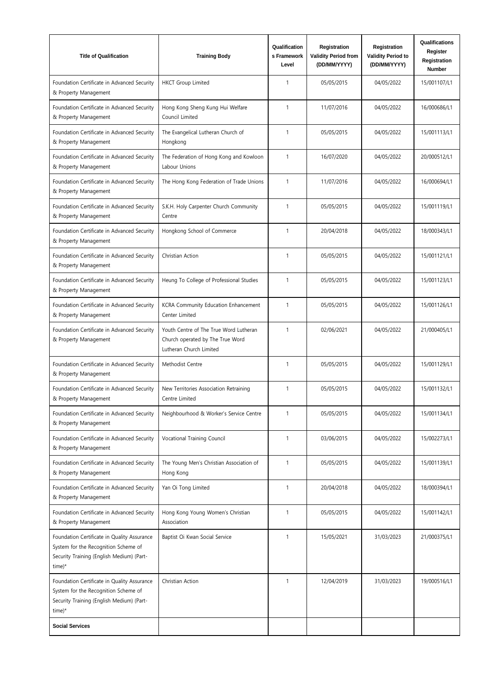| <b>Title of Qualification</b>                                                                                                              | <b>Training Body</b>                                                                                  | Qualification<br>s Framework<br>Level | Registration<br><b>Validity Period from</b><br>(DD/MM/YYYY) | Registration<br><b>Validity Period to</b><br>(DD/MM/YYYY) | Qualifications<br>Register<br>Registration<br>Number |
|--------------------------------------------------------------------------------------------------------------------------------------------|-------------------------------------------------------------------------------------------------------|---------------------------------------|-------------------------------------------------------------|-----------------------------------------------------------|------------------------------------------------------|
| Foundation Certificate in Advanced Security<br>& Property Management                                                                       | <b>HKCT</b> Group Limited                                                                             | $\mathbf{1}$                          | 05/05/2015                                                  | 04/05/2022                                                | 15/001107/L1                                         |
| Foundation Certificate in Advanced Security<br>& Property Management                                                                       | Hong Kong Sheng Kung Hui Welfare<br>Council Limited                                                   | $\mathbf{1}$                          | 11/07/2016                                                  | 04/05/2022                                                | 16/000686/L1                                         |
| Foundation Certificate in Advanced Security<br>& Property Management                                                                       | The Evangelical Lutheran Church of<br>Hongkong                                                        | $\mathbf{1}$                          | 05/05/2015                                                  | 04/05/2022                                                | 15/001113/L1                                         |
| Foundation Certificate in Advanced Security<br>& Property Management                                                                       | The Federation of Hong Kong and Kowloon<br>Labour Unions                                              | $\mathbf{1}$                          | 16/07/2020                                                  | 04/05/2022                                                | 20/000512/L1                                         |
| Foundation Certificate in Advanced Security<br>& Property Management                                                                       | The Hong Kong Federation of Trade Unions                                                              | 1                                     | 11/07/2016                                                  | 04/05/2022                                                | 16/000694/L1                                         |
| Foundation Certificate in Advanced Security<br>& Property Management                                                                       | S.K.H. Holy Carpenter Church Community<br>Centre                                                      | $\mathbf{1}$                          | 05/05/2015                                                  | 04/05/2022                                                | 15/001119/L1                                         |
| Foundation Certificate in Advanced Security<br>& Property Management                                                                       | Hongkong School of Commerce                                                                           | $\mathbf{1}$                          | 20/04/2018                                                  | 04/05/2022                                                | 18/000343/L1                                         |
| Foundation Certificate in Advanced Security<br>& Property Management                                                                       | Christian Action                                                                                      | $\mathbf{1}$                          | 05/05/2015                                                  | 04/05/2022                                                | 15/001121/L1                                         |
| Foundation Certificate in Advanced Security<br>& Property Management                                                                       | Heung To College of Professional Studies                                                              | $\mathbf{1}$                          | 05/05/2015                                                  | 04/05/2022                                                | 15/001123/L1                                         |
| Foundation Certificate in Advanced Security<br>& Property Management                                                                       | KCRA Community Education Enhancement<br>Center Limited                                                | $\mathbf{1}$                          | 05/05/2015                                                  | 04/05/2022                                                | 15/001126/L1                                         |
| Foundation Certificate in Advanced Security<br>& Property Management                                                                       | Youth Centre of The True Word Lutheran<br>Church operated by The True Word<br>Lutheran Church Limited | $\mathbf{1}$                          | 02/06/2021                                                  | 04/05/2022                                                | 21/000405/L1                                         |
| Foundation Certificate in Advanced Security<br>& Property Management                                                                       | Methodist Centre                                                                                      | $\mathbf{1}$                          | 05/05/2015                                                  | 04/05/2022                                                | 15/001129/L1                                         |
| Foundation Certificate in Advanced Security<br>& Property Management                                                                       | New Territories Association Retraining<br>Centre Limited                                              | 1                                     | 05/05/2015                                                  | 04/05/2022                                                | 15/001132/L1                                         |
| Foundation Certificate in Advanced Security<br>& Property Management                                                                       | Neighbourhood & Worker's Service Centre                                                               | 1                                     | 05/05/2015                                                  | 04/05/2022                                                | 15/001134/L1                                         |
| Foundation Certificate in Advanced Security<br>& Property Management                                                                       | Vocational Training Council                                                                           | 1                                     | 03/06/2015                                                  | 04/05/2022                                                | 15/002273/L1                                         |
| Foundation Certificate in Advanced Security<br>& Property Management                                                                       | The Young Men's Christian Association of<br>Hong Kong                                                 | 1                                     | 05/05/2015                                                  | 04/05/2022                                                | 15/001139/L1                                         |
| Foundation Certificate in Advanced Security<br>& Property Management                                                                       | Yan Oi Tong Limited                                                                                   | $\mathbf{1}$                          | 20/04/2018                                                  | 04/05/2022                                                | 18/000394/L1                                         |
| Foundation Certificate in Advanced Security<br>& Property Management                                                                       | Hong Kong Young Women's Christian<br>Association                                                      | $\mathbf{1}$                          | 05/05/2015                                                  | 04/05/2022                                                | 15/001142/L1                                         |
| Foundation Certificate in Quality Assurance<br>System for the Recognition Scheme of<br>Security Training (English Medium) (Part-<br>time)* | Baptist Oi Kwan Social Service                                                                        | $\mathbf{1}$                          | 15/05/2021                                                  | 31/03/2023                                                | 21/000375/L1                                         |
| Foundation Certificate in Quality Assurance<br>System for the Recognition Scheme of<br>Security Training (English Medium) (Part-<br>time)* | Christian Action                                                                                      | $\mathbf{1}$                          | 12/04/2019                                                  | 31/03/2023                                                | 19/000516/L1                                         |
| <b>Social Services</b>                                                                                                                     |                                                                                                       |                                       |                                                             |                                                           |                                                      |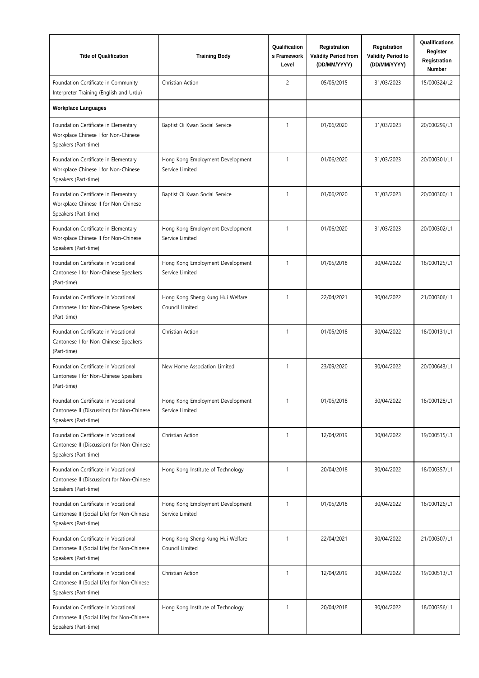| <b>Title of Qualification</b>                                                                              | <b>Training Body</b>                                | Qualification<br>s Framework<br>Level | Registration<br><b>Validity Period from</b><br>(DD/MM/YYYY) | Registration<br><b>Validity Period to</b><br>(DD/MM/YYYY) | Qualifications<br>Register<br>Registration<br><b>Number</b> |
|------------------------------------------------------------------------------------------------------------|-----------------------------------------------------|---------------------------------------|-------------------------------------------------------------|-----------------------------------------------------------|-------------------------------------------------------------|
| Foundation Certificate in Community<br>Interpreter Training (English and Urdu)                             | Christian Action                                    | $\overline{c}$                        | 05/05/2015                                                  | 31/03/2023                                                | 15/000324/L2                                                |
| <b>Workplace Languages</b>                                                                                 |                                                     |                                       |                                                             |                                                           |                                                             |
| Foundation Certificate in Elementary<br>Workplace Chinese I for Non-Chinese<br>Speakers (Part-time)        | Baptist Oi Kwan Social Service                      | $\mathbf{1}$                          | 01/06/2020                                                  | 31/03/2023                                                | 20/000299/L1                                                |
| Foundation Certificate in Elementary<br>Workplace Chinese I for Non-Chinese<br>Speakers (Part-time)        | Hong Kong Employment Development<br>Service Limited | $\mathbf{1}$                          | 01/06/2020                                                  | 31/03/2023                                                | 20/000301/L1                                                |
| Foundation Certificate in Elementary<br>Workplace Chinese II for Non-Chinese<br>Speakers (Part-time)       | Baptist Oi Kwan Social Service                      | $\mathbf{1}$                          | 01/06/2020                                                  | 31/03/2023                                                | 20/000300/L1                                                |
| Foundation Certificate in Elementary<br>Workplace Chinese II for Non-Chinese<br>Speakers (Part-time)       | Hong Kong Employment Development<br>Service Limited | $\mathbf{1}$                          | 01/06/2020                                                  | 31/03/2023                                                | 20/000302/L1                                                |
| Foundation Certificate in Vocational<br>Cantonese I for Non-Chinese Speakers<br>(Part-time)                | Hong Kong Employment Development<br>Service Limited | $\mathbf{1}$                          | 01/05/2018                                                  | 30/04/2022                                                | 18/000125/L1                                                |
| Foundation Certificate in Vocational<br>Cantonese I for Non-Chinese Speakers<br>(Part-time)                | Hong Kong Sheng Kung Hui Welfare<br>Council Limited | $\mathbf{1}$                          | 22/04/2021                                                  | 30/04/2022                                                | 21/000306/L1                                                |
| Foundation Certificate in Vocational<br>Cantonese I for Non-Chinese Speakers<br>(Part-time)                | Christian Action                                    | $\mathbf{1}$                          | 01/05/2018                                                  | 30/04/2022                                                | 18/000131/L1                                                |
| Foundation Certificate in Vocational<br>Cantonese I for Non-Chinese Speakers<br>(Part-time)                | New Home Association Limited                        | $\mathbf{1}$                          | 23/09/2020                                                  | 30/04/2022                                                | 20/000643/L1                                                |
| Foundation Certificate in Vocational<br>Cantonese II (Discussion) for Non-Chinese<br>Speakers (Part-time)  | Hong Kong Employment Development<br>Service Limited | $\mathbf{1}$                          | 01/05/2018                                                  | 30/04/2022                                                | 18/000128/L1                                                |
| Foundation Certificate in Vocational<br>Cantonese II (Discussion) for Non-Chinese<br>Speakers (Part-time)  | Christian Action                                    | 1                                     | 12/04/2019                                                  | 30/04/2022                                                | 19/000515/L1                                                |
| Foundation Certificate in Vocational<br>Cantonese II (Discussion) for Non-Chinese<br>Speakers (Part-time)  | Hong Kong Institute of Technology                   | $\mathbf{1}$                          | 20/04/2018                                                  | 30/04/2022                                                | 18/000357/L1                                                |
| Foundation Certificate in Vocational<br>Cantonese II (Social Life) for Non-Chinese<br>Speakers (Part-time) | Hong Kong Employment Development<br>Service Limited | $\mathbf{1}$                          | 01/05/2018                                                  | 30/04/2022                                                | 18/000126/L1                                                |
| Foundation Certificate in Vocational<br>Cantonese II (Social Life) for Non-Chinese<br>Speakers (Part-time) | Hong Kong Sheng Kung Hui Welfare<br>Council Limited | 1                                     | 22/04/2021                                                  | 30/04/2022                                                | 21/000307/L1                                                |
| Foundation Certificate in Vocational<br>Cantonese II (Social Life) for Non-Chinese<br>Speakers (Part-time) | Christian Action                                    | $\mathbf{1}$                          | 12/04/2019                                                  | 30/04/2022                                                | 19/000513/L1                                                |
| Foundation Certificate in Vocational<br>Cantonese II (Social Life) for Non-Chinese<br>Speakers (Part-time) | Hong Kong Institute of Technology                   | $\mathbf{1}$                          | 20/04/2018                                                  | 30/04/2022                                                | 18/000356/L1                                                |